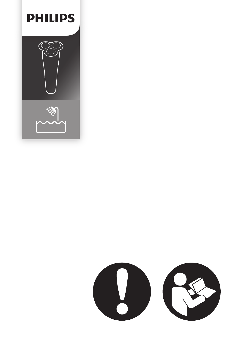

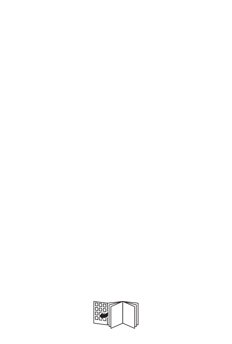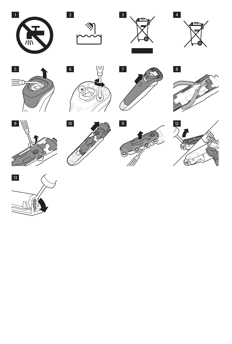























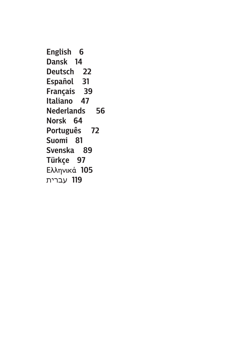**[English](#page-5-0) 6 [Dansk](#page-13-0) 14 [Deutsch](#page-21-0) 22 [Español](#page-30-0) 31 [Français](#page-38-0) 39 [Italiano](#page-46-0) 47 [Nederlands](#page-55-0) 56 [Norsk](#page-63-0) 64 [Português](#page-71-0) 72 [Suomi](#page-80-0) 81 [Svenska](#page-88-0) 89 [Türkçe](#page-96-0) 97** [Ελληνικά](#page-104-0) **105 119** [עברית](#page-118-0)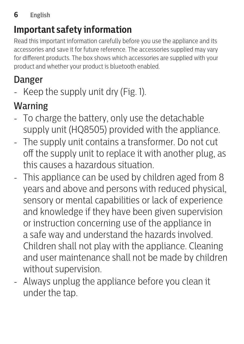## <span id="page-5-0"></span>**Important safety information**

Read this important information carefully before you use the appliance and its accessories and save it for future reference. The accessories supplied may vary for different products. The box shows which accessories are supplied with your product and whether your product is bluetooth enabled.

# Danger

Keep the supply unit dry (Fig. 1).

# Warning

- To charge the battery, only use the detachable supply unit (HQ8505) provided with the appliance.
- The supply unit contains a transformer. Do not cut off the supply unit to replace it with another plug, as this causes a hazardous situation.
- This appliance can be used by children aged from 8 years and above and persons with reduced physical, sensory or mental capabilities or lack of experience and knowledge if they have been given supervision or instruction concerning use of the appliance in a safe way and understand the hazards involved. Children shall not play with the appliance. Cleaning and user maintenance shall not be made by children without supervision.
- Always unplug the appliance before you clean it under the tap.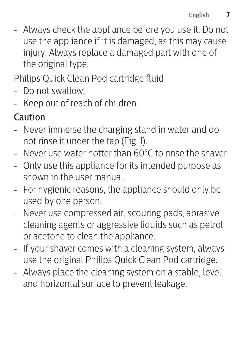- Always check the appliance before you use it. Do not use the appliance if it is damaged, as this may cause injury. Always replace a damaged part with one of the original type.

Philips Quick Clean Pod cartridge fluid

- Do not swallow
- Keep out of reach of children.

# Caution

- Never immerse the charging stand in water and do not rinse it under the tap (Fig. 1).
- Never use water hotter than 60°C to rinse the shaver.
- Only use this appliance for its intended purpose as shown in the user manual.
- For hygienic reasons, the appliance should only be used by one person.
- Never use compressed air, scouring pads, abrasive cleaning agents or aggressive liquids such as petrol or acetone to clean the appliance.
- If your shaver comes with a cleaning system, always use the original Philips Quick Clean Pod cartridge.
- Always place the cleaning system on a stable, level and horizontal surface to prevent leakage.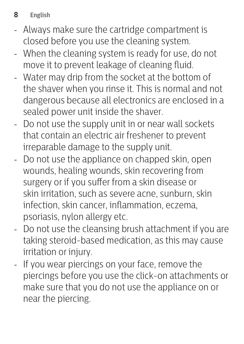- **8 English**
- Always make sure the cartridge compartment is closed before you use the cleaning system.
- When the cleaning system is ready for use, do not move it to prevent leakage of cleaning fluid.
- Water may drip from the socket at the bottom of the shaver when you rinse it. This is normal and not dangerous because all electronics are enclosed in a sealed power unit inside the shaver.
- Do not use the supply unit in or near wall sockets that contain an electric air freshener to prevent irreparable damage to the supply unit.
- Do not use the appliance on chapped skin, open wounds, healing wounds, skin recovering from surgery or if you suffer from a skin disease or skin irritation, such as severe acne, sunburn, skin infection, skin cancer, inflammation, eczema, psoriasis, nylon allergy etc.
- Do not use the cleansing brush attachment if you are taking steroid-based medication, as this may cause irritation or injury.
- If you wear piercings on your face, remove the piercings before you use the click-on attachments or make sure that you do not use the appliance on or near the piercing.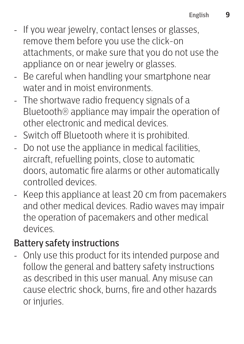- If you wear jewelry, contact lenses or glasses, remove them before you use the click-on attachments, or make sure that you do not use the appliance on or near jewelry or glasses.
- Be careful when handling your smartphone near water and in moist environments.
- The shortwave radio frequency signals of a Bluetooth® appliance may impair the operation of other electronic and medical devices.
- Switch off Bluetooth where it is prohibited.
- Do not use the appliance in medical facilities, aircraft, refuelling points, close to automatic doors, automatic fire alarms or other automatically controlled devices.
- Keep this appliance at least 20 cm from pacemakers and other medical devices. Radio waves may impair the operation of pacemakers and other medical devices.

### Battery safety instructions

- Only use this product for its intended purpose and follow the general and battery safety instructions as described in this user manual. Any misuse can cause electric shock, burns, fire and other hazards or injuries.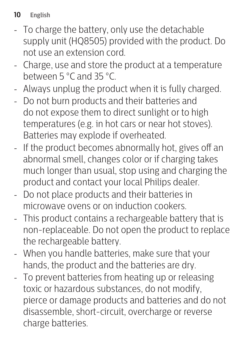**10 English**

- To charge the battery, only use the detachable supply unit (HQ8505) provided with the product. Do not use an extension cord.
- Charge, use and store the product at a temperature between 5 °C and 35 °C.
- Always unplug the product when it is fully charged.
- Do not burn products and their batteries and do not expose them to direct sunlight or to high temperatures (e.g. in hot cars or near hot stoves). Batteries may explode if overheated.
- If the product becomes abnormally hot, gives off an abnormal smell, changes color or if charging takes much longer than usual, stop using and charging the product and contact your local Philips dealer.
- Do not place products and their batteries in microwave ovens or on induction cookers.
- This product contains a rechargeable battery that is non-replaceable. Do not open the product to replace the rechargeable battery.
- When you handle batteries, make sure that your hands, the product and the batteries are dry.
- To prevent batteries from heating up or releasing toxic or hazardous substances, do not modify, pierce or damage products and batteries and do not disassemble, short-circuit, overcharge or reverse charge batteries.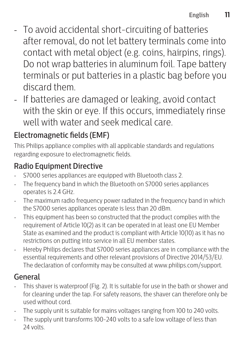- To avoid accidental short-circuiting of batteries after removal, do not let battery terminals come into contact with metal object (e.g. coins, hairpins, rings). Do not wrap batteries in aluminum foil. Tape battery terminals or put batteries in a plastic bag before you discard them.
- If batteries are damaged or leaking, avoid contact with the skin or eye. If this occurs, immediately rinse well with water and seek medical care.

#### Electromagnetic fields (EMF)

This Philips appliance complies with all applicable standards and regulations regarding exposure to electromagnetic fields.

#### Radio Equipment Directive

- S7000 series appliances are equipped with Bluetooth class 2.
- The frequency band in which the Bluetooth on S7000 series appliances operates is 2.4 GHz.
- The maximum radio frequency power radiated in the frequency band in which the S7000 series appliances operate is less than 20 dBm.
- This equipment has been so constructed that the product complies with the requirement of Article 10(2) as it can be operated in at least one EU Member State as examined and the product is compliant with Article 10(10) as it has no restrictions on putting into service in all EU member states.
- Hereby Philips declares that S7000 series appliances are in compliance with the essential requirements and other relevant provisions of Directive 2014/53/EU. The declaration of conformity may be consulted at www.philips.com/support.

#### General

- This shaver is waterproof (Fig. 2). It is suitable for use in the bath or shower and for cleaning under the tap. For safety reasons, the shaver can therefore only be used without cord.
- The supply unit is suitable for mains voltages ranging from 100 to 240 volts.
- The supply unit transforms 100-240 volts to a safe low voltage of less than 24 volts.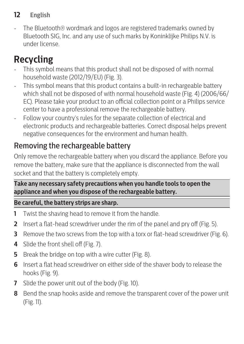#### **12 English**

- The Bluetooth® wordmark and logos are registered trademarks owned by Bluetooth SIG, Inc. and any use of such marks by Koninklijke Philips N.V. is under license.

# **Recycling**

- This symbol means that this product shall not be disposed of with normal household waste (2012/19/EU) (Fig. 3).
- This symbol means that this product contains a built-in rechargeable battery which shall not be disposed of with normal household waste (Fig. 4) (2006/66/ EC). Please take your product to an official collection point or a Philips service center to have a professional remove the rechargeable battery.
- Follow your country's rules for the separate collection of electrical and electronic products and rechargeable batteries. Correct disposal helps prevent negative consequences for the environment and human health.

### Removing the rechargeable battery

Only remove the rechargeable battery when you discard the appliance. Before you remove the battery, make sure that the appliance is disconnected from the wall socket and that the battery is completely empty.

#### **Take any necessary safety precautions when you handle tools to open the appliance and when you dispose of the rechargeable battery.**

#### **Be careful, the battery strips are sharp.**

- **1** Twist the shaving head to remove it from the handle.
- **2** Insert a flat-head screwdriver under the rim of the panel and pry off (Fig. 5).
- **3** Remove the two screws from the top with a torx or flat-head screwdriver (Fig. 6).
- **4** Slide the front shell off (Fig. 7).
- **5** Break the bridge on top with a wire cutter (Fig. 8).
- **6** Insert a flat head screwdriver on either side of the shaver body to release the hooks (Fig. 9).
- **7** Slide the power unit out of the body (Fig. 10).
- **8** Bend the snap hooks aside and remove the transparent cover of the power unit (Fig. 11).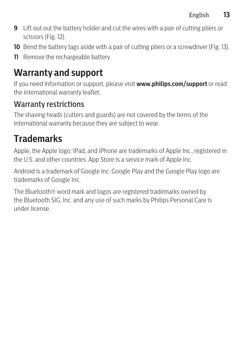- **9** Lift out out the battery holder and cut the wires with a pair of cutting pliers or scissors (Fig. 12).
- **10** Bend the battery tags aside with a pair of cutting pliers or a screwdriver (Fig. 13).
- **11** Remove the rechargeable battery.

### **Warranty and support**

If you need information or support, please visit **www.philips.com/support** or read the international warranty leaflet.

#### Warranty restrictions

The shaving heads (cutters and guards) are not covered by the terms of the international warranty because they are subject to wear.

### **Trademarks**

Apple, the Apple logo, iPad, and iPhone are trademarks of Apple Inc., registered in the U.S. and other countries. App Store is a service mark of Apple Inc.

Android is a trademark of Google Inc. Google Play and the Google Play logo are trademarks of Google Inc.

The Bluetooth® word mark and logos are registered trademarks owned by the Bluetooth SIG, Inc. and any use of such marks by Philips Personal Care is under license.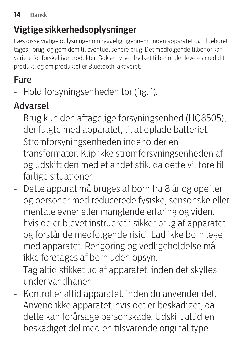# <span id="page-13-0"></span>**Vigtige sikkerhedsoplysninger**

Læs disse vigtige oplysninger omhyggeligt igennem, inden apparatet og tilbehøret tages i brug, og gem dem til eventuel senere brug. Det medfølgende tilbehør kan variere for forskellige produkter. Boksen viser, hvilket tilbehør der leveres med dit produkt, og om produktet er Bluetooth-aktiveret.

# Fare

Hold forsyningsenheden tor (fig. 1).

# Advarsel

- Brug kun den aftagelige forsyningsenhed (HQ8505), der fulgte med apparatet, til at oplade batteriet.
- Strømforsyningsenheden indeholder en transformator. Klip ikke strømforsyningsenheden af og udskift den med et andet stik, da dette vil føre til farlige situationer.
- Dette apparat må bruges af børn fra 8 år og opefter og personer med reducerede fysiske, sensoriske eller mentale evner eller manglende erfaring og viden, hvis de er blevet instrueret i sikker brug af apparatet og forstår de medfølgende risici. Lad ikke børn lege med apparatet. Rengøring og vedligeholdelse må ikke foretages af børn uden opsyn.
- Tag altid stikket ud af apparatet, inden det skylles under vandhanen.
- Kontroller altid apparatet, inden du anvender det. Anvend ikke apparatet, hvis det er beskadiget, da dette kan forårsage personskade. Udskift altid en beskadiget del med en tilsvarende original type.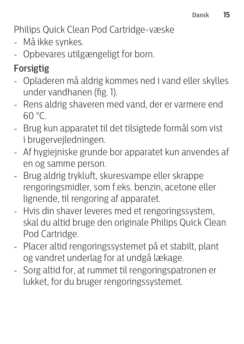Philips Quick Clean Pod Cartridge-væske

- Må ikke synkes.
- Opbevares utilgængeligt for børn.

## Forsigtig

- Opladeren må aldrig kommes ned i vand eller skylles under vandhanen (fig. 1).
- Rens aldrig shaveren med vand, der er varmere end  $60 °C$
- Brug kun apparatet til det tilsigtede formål som vist i brugervejledningen.
- Af hygiejniske grunde bør apparatet kun anvendes af en og samme person.
- Brug aldrig trykluft, skuresvampe eller skrappe rengøringsmidler, som f.eks. benzin, acetone eller lignende, til rengøring af apparatet.
- Hvis din shaver leveres med et rengøringssystem, skal du altid bruge den originale Philips Quick Clean Pod Cartridge.
- Placer altid rengøringssystemet på et stabilt, plant og vandret underlag for at undgå lækage.
- Sørg altid for, at rummet til rengøringspatronen er lukket, før du bruger rengøringssystemet.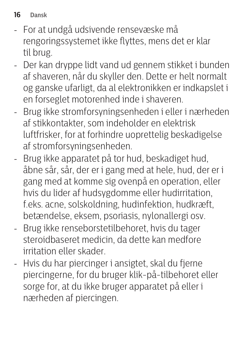- For at undgå udsivende rensevæske må rengøringssystemet ikke flyttes, mens det er klar til brug.
- Der kan dryppe lidt vand ud gennem stikket i bunden af shaveren, når du skyller den. Dette er helt normalt og ganske ufarligt, da al elektronikken er indkapslet i en forseglet motorenhed inde i shaveren.
- Brug ikke strømforsyningsenheden i eller i nærheden af stikkontakter, som indeholder en elektrisk luftfrisker, for at forhindre uoprettelig beskadigelse af strømforsyningsenheden.
- Brug ikke apparatet på tør hud, beskadiget hud, åbne sår, sår, der er i gang med at hele, hud, der er i gang med at komme sig ovenpå en operation, eller hvis du lider af hudsygdomme eller hudirritation, f.eks. acne, solskoldning, hudinfektion, hudkræft, betændelse, eksem, psoriasis, nylonallergi osv.
- Brug ikke rensebørstetilbehøret, hvis du tager steroidbaseret medicin, da dette kan medføre irritation eller skader.
- Hvis du har piercinger i ansigtet, skal du fjerne piercingerne, før du bruger klik-på-tilbehøret eller sørge for, at du ikke bruger apparatet på eller i nærheden af piercingen.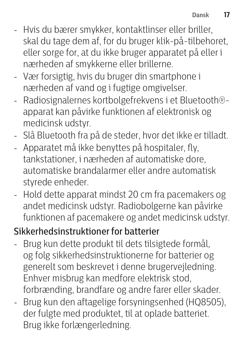- Hvis du bærer smykker, kontaktlinser eller briller, skal du tage dem af, før du bruger klik-på-tilbehøret, eller sørge for, at du ikke bruger apparatet på eller i nærheden af smykkerne eller brillerne.
- Vær forsigtig, hvis du bruger din smartphone i nærheden af vand og i fugtige omgivelser.
- Radiosignalernes kortbølgefrekvens i et Bluetooth® apparat kan påvirke funktionen af elektronisk og medicinsk udstyr.
- Slå Bluetooth fra på de steder, hvor det ikke er tilladt.
- Apparatet må ikke benyttes på hospitaler, fly, tankstationer, i nærheden af automatiske døre, automatiske brandalarmer eller andre automatisk styrede enheder.
- Hold dette apparat mindst 20 cm fra pacemakers og andet medicinsk udstyr. Radiobølgerne kan påvirke funktionen af pacemakere og andet medicinsk udstyr.

### Sikkerhedsinstruktioner for batterier

- Brug kun dette produkt til dets tilsigtede formål, og følg sikkerhedsinstruktionerne for batterier og generelt som beskrevet i denne brugervejledning. Enhver misbrug kan medføre elektrisk stød, forbrænding, brandfare og andre farer eller skader.
- Brug kun den aftagelige forsyningsenhed (HQ8505), der fulgte med produktet, til at oplade batteriet. Brug ikke forlængerledning.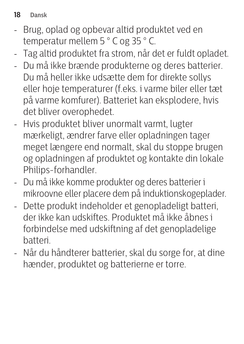**18 Dansk**

- Brug, oplad og opbevar altid produktet ved en temperatur mellem 5 ° C og 35 ° C.
- Tag altid produktet fra strøm, når det er fuldt opladet.
- Du må ikke brænde produkterne og deres batterier. Du må heller ikke udsætte dem for direkte sollys eller høje temperaturer (f.eks. i varme biler eller tæt på varme komfurer). Batteriet kan eksplodere, hvis det bliver overophedet.
- Hvis produktet bliver unormalt varmt, lugter mærkeligt, ændrer farve eller opladningen tager meget længere end normalt, skal du stoppe brugen og opladningen af produktet og kontakte din lokale Philips-forhandler.
- Du må ikke komme produkter og deres batterier i mikroovne eller placere dem på induktionskogeplader.
- Dette produkt indeholder et genopladeligt batteri, der ikke kan udskiftes. Produktet må ikke åbnes i forbindelse med udskiftning af det genopladelige batteri.
- Når du håndterer batterier, skal du sørge for, at dine hænder, produktet og batterierne er tørre.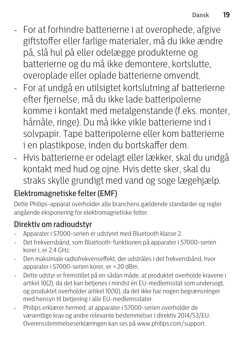- For at forhindre batterierne i at overophede, afgive giftstoffer eller farlige materialer, må du ikke ændre på, slå hul på eller ødelægge produkterne og batterierne og du må ikke demontere, kortslutte, overoplade eller oplade batterierne omvendt.
- For at undgå en utilsigtet kortslutning af batterierne efter fjernelse, må du ikke lade batteripolerne komme i kontakt med metalgenstande (f.eks. mønter, hårnåle, ringe). Du må ikke vikle batterierne ind i sølvpapir. Tape batteripolerne eller kom batterierne i en plastikpose, inden du bortskaffer dem.
- Hvis batterierne er ødelagt eller lækker, skal du undgå kontakt med hud og øjne. Hvis dette sker, skal du straks skylle grundigt med vand og søge lægehjælp.

#### Elektromagnetiske felter (EMF)

Dette Philips-apparat overholder alle branchens gældende standarder og regler angående eksponering for elektromagnetiske felter.

#### Direktiv om radioudstyr

- Apparater i S7000-serien er udstyret med Bluetooth klasse 2.
- Det frekvensbånd, som Bluetooth-funktionen på apparater i S7000-serien kører i, er 2,4 GHz.
- Den maksimale radiofrekvenseffekt, der udstråles i det frekvensbånd, hvor apparater i S7000-serien kører, er <20 dBm.
- Dette udstyr er fremstillet på en sådan måde, at produktet overholde kravene i artikel 10(2), da det kan betjenes i mindst én EU-medlemsstat som undersøgt, og produktet overholder artikel 10(10), da det ikke har nogen begrænsninger med hensyn til betjening i alle EU-medlemsstater.
- Philips erklærer hermed, at apparater i S7000-serien overholder de væsentlige krav og andre relevante bestemmelser i direktiv 2014/53/EU. Overensstemmelseserklæringen kan ses på www.philips.com/support.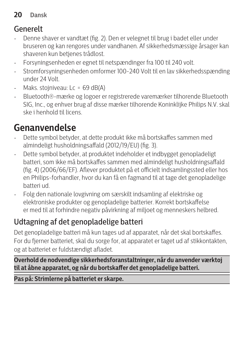#### **20 Dansk**

#### Generelt

- Denne shaver er vandtæt (fig. 2). Den er velegnet til brug i badet eller under bruseren og kan rengøres under vandhanen. Af sikkerhedsmæssige årsager kan shaveren kun betjenes trådløst.
- Forsyningsenheden er egnet til netspændinger fra 100 til 240 volt.
- Strømforsyningsenheden omformer 100-240 Volt til en lav sikkerhedsspænding under 24 Volt.
- Maks. stojniveau: Lc = 69 dB(A)
- Bluetooth®-mærke og logoer er registrerede varemærker tilhørende Bluetooth SIG, Inc., og enhver brug af disse mærker tilhørende Koninklijke Philips N.V. skal ske i henhold til licens.

## **Genanvendelse**

- Dette symbol betyder, at dette produkt ikke må bortskaffes sammen med almindeligt husholdningsaffald (2012/19/EU) (fig. 3).
- Dette symbol betyder, at produktet indeholder et indbygget genopladeligt batteri, som ikke må bortskaffes sammen med almindeligt husholdningsaffald (fig. 4) (2006/66/EF). Aflever produktet på et officielt indsamlingssted eller hos en Philips-forhandler, hvor du kan få en fagmand til at tage det genopladelige batteri ud.
- Følg den nationale lovgivning om særskilt indsamling af elektriske og elektroniske produkter og genopladelige batterier. Korrekt bortskaffelse er med til at forhindre negativ påvirkning af miljøet og menneskers helbred.

### Udtagning af det genopladelige batteri

Det genopladelige batteri må kun tages ud af apparatet, når det skal bortskaffes. Før du fjerner batteriet, skal du sørge for, at apparatet er taget ud af stikkontakten, og at batteriet er fuldstændigt afladet.

**Overhold de nødvendige sikkerhedsforanstaltninger, når du anvender værktøj til at åbne apparatet, og når du bortskaffer det genopladelige batteri.**

**Pas på: Strimlerne på batteriet er skarpe.**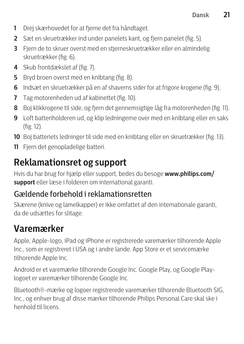- **1** Drej skærhovedet for at fjerne det fra håndtaget.
- **2** Sæt en skruetrækker ind under panelets kant, og fjern panelet (fig. 5).
- **3** Fjern de to skruer øverst med en stjerneskruetrækker eller en almindelig skruetrækker (fig. 6).
- **4** Skub frontdækslet af (fig. 7).
- **5** Bryd broen øverst med en knibtang (fig. 8).
- **6** Indsæt en skruetrækker på en af shaverns sider for at frigøre krogene (fig. 9).
- **7** Tag motorenheden ud af kabinettet (fig. 10).
- **8** Bøj klikkrogene til side, og fjern det gennemsigtige låg fra motorenheden (fig. 11).
- **9** Løft batteriholderen ud, og klip ledningerne over med en knibtang eller en saks (fig. 12).
- **10** Bøj batteriets ledninger til side med en knibtang eller en skruetrækker (fig. 13).
- **11** Fiern det genopladelige batteri.

### **Reklamationsret og support**

Hvis du har brug for hjælp eller support, bedes du besøge **www.philips.com/ support** eller læse i folderen om international garanti.

#### Gældende forbehold i reklamationsretten

Skærene (knive og lamelkapper) er ikke omfattet af den internationale garanti, da de udsættes for slitage.

### **Varemærker**

Apple, Apple-logo, iPad og iPhone er registrerede varemærker tilhørende Apple Inc., som er registreret i USA og i andre lande. App Store er et servicemærke tilhørende Apple Inc.

Android er et varemærke tilhørende Google Inc. Google Play, og Google Playlogoet er varemærker tilhørende Google Inc.

Bluetooth®-mærke og logoer registrerede varemærker tilhørende Bluetooth SIG, Inc., og enhver brug af disse mærker tilhørende Philips Personal Care skal ske i henhold til licens.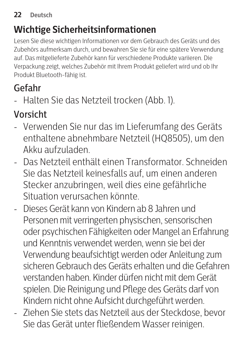# <span id="page-21-0"></span>**Wichtige Sicherheitsinformationen**

Lesen Sie diese wichtigen Informationen vor dem Gebrauch des Geräts und des Zubehörs aufmerksam durch, und bewahren Sie sie für eine spätere Verwendung auf. Das mitgelieferte Zubehör kann für verschiedene Produkte variieren. Die Verpackung zeigt, welches Zubehör mit Ihrem Produkt geliefert wird und ob Ihr Produkt Bluetooth-fähig ist.

# Gefahr

- Halten Sie das Netzteil trocken (Abb. 1).

# Vorsicht

- Verwenden Sie nur das im Lieferumfang des Geräts enthaltene abnehmbare Netzteil (HQ8505), um den Akku aufzuladen.
- Das Netzteil enthält einen Transformator. Schneiden Sie das Netzteil keinesfalls auf, um einen anderen Stecker anzubringen, weil dies eine gefährliche Situation verursachen könnte.
- Dieses Gerät kann von Kindern ab 8 Jahren und Personen mit verringerten physischen, sensorischen oder psychischen Fähigkeiten oder Mangel an Erfahrung und Kenntnis verwendet werden, wenn sie bei der Verwendung beaufsichtigt werden oder Anleitung zum sicheren Gebrauch des Geräts erhalten und die Gefahren verstanden haben. Kinder dürfen nicht mit dem Gerät spielen. Die Reinigung und Pflege des Geräts darf von Kindern nicht ohne Aufsicht durchgeführt werden.
- Ziehen Sie stets das Netzteil aus der Steckdose, bevor Sie das Gerät unter fließendem Wasser reinigen.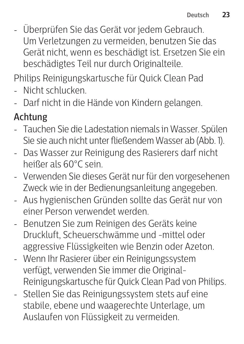- Überprüfen Sie das Gerät vor jedem Gebrauch. Um Verletzungen zu vermeiden, benutzen Sie das Gerät nicht, wenn es beschädigt ist. Ersetzen Sie ein beschädigtes Teil nur durch Originalteile.

Philips Reinigungskartusche für Quick Clean Pad

- Nicht schlucken.
- Darf nicht in die Hände von Kindern gelangen.

## Achtung

- Tauchen Sie die Ladestation niemals in Wasser. Spülen Sie sie auch nicht unter fließendem Wasser ab (Abb. 1).
- Das Wasser zur Reinigung des Rasierers darf nicht heißer als 60°C sein.
- Verwenden Sie dieses Gerät nur für den vorgesehenen Zweck wie in der Bedienungsanleitung angegeben.
- Aus hygienischen Gründen sollte das Gerät nur von einer Person verwendet werden.
- Benutzen Sie zum Reinigen des Geräts keine Druckluft, Scheuerschwämme und -mittel oder aggressive Flüssigkeiten wie Benzin oder Azeton.
- Wenn Ihr Rasierer über ein Reinigungssystem verfügt, verwenden Sie immer die Original-Reinigungskartusche für Quick Clean Pad von Philips.
- Stellen Sie das Reinigungssystem stets auf eine stabile, ebene und waagerechte Unterlage, um Auslaufen von Flüssigkeit zu vermeiden.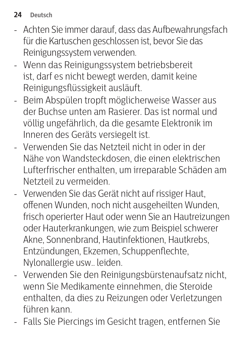#### **24 Deutsch**

- Achten Sie immer darauf, dass das Aufbewahrungsfach für die Kartuschen geschlossen ist, bevor Sie das Reinigungssystem verwenden.
- Wenn das Reinigungssystem betriebsbereit ist, darf es nicht bewegt werden, damit keine Reinigungsflüssigkeit ausläuft.
- Beim Abspülen tropft möglicherweise Wasser aus der Buchse unten am Rasierer. Das ist normal und völlig ungefährlich, da die gesamte Elektronik im Inneren des Geräts versiegelt ist.
- Verwenden Sie das Netzteil nicht in oder in der Nähe von Wandsteckdosen, die einen elektrischen Lufterfrischer enthalten, um irreparable Schäden am Netzteil zu vermeiden.
- Verwenden Sie das Gerät nicht auf rissiger Haut, offenen Wunden, noch nicht ausgeheilten Wunden, frisch operierter Haut oder wenn Sie an Hautreizungen oder Hauterkrankungen, wie zum Beispiel schwerer Akne, Sonnenbrand, Hautinfektionen, Hautkrebs, Entzündungen, Ekzemen, Schuppenflechte, Nylonallergie usw.. leiden.
- Verwenden Sie den Reinigungsbürstenaufsatz nicht, wenn Sie Medikamente einnehmen, die Steroide enthalten, da dies zu Reizungen oder Verletzungen führen kann.
- Falls Sie Piercings im Gesicht tragen, entfernen Sie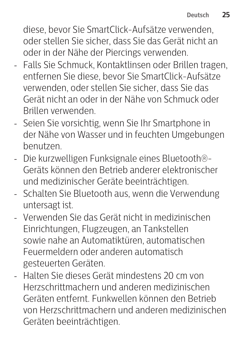diese, bevor Sie SmartClick-Aufsätze verwenden, oder stellen Sie sicher, dass Sie das Gerät nicht an oder in der Nähe der Piercings verwenden.

- Falls Sie Schmuck, Kontaktlinsen oder Brillen tragen, entfernen Sie diese, bevor Sie SmartClick-Aufsätze verwenden, oder stellen Sie sicher, dass Sie das Gerät nicht an oder in der Nähe von Schmuck oder Brillen verwenden.
- Seien Sie vorsichtig, wenn Sie Ihr Smartphone in der Nähe von Wasser und in feuchten Umgebungen benutzen.
- Die kurzwelligen Funksignale eines Bluetooth®- Geräts können den Betrieb anderer elektronischer und medizinischer Geräte beeinträchtigen.
- Schalten Sie Bluetooth aus, wenn die Verwendung untersagt ist.
- Verwenden Sie das Gerät nicht in medizinischen Einrichtungen, Flugzeugen, an Tankstellen sowie nahe an Automatiktüren, automatischen Feuermeldern oder anderen automatisch gesteuerten Geräten.
- Halten Sie dieses Gerät mindestens 20 cm von Herzschrittmachern und anderen medizinischen Geräten entfernt. Funkwellen können den Betrieb von Herzschrittmachern und anderen medizinischen Geräten beeinträchtigen.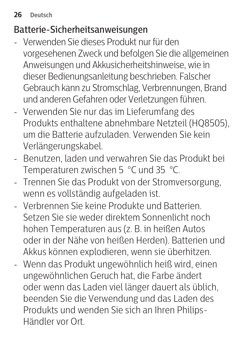### Batterie-Sicherheitsanweisungen

- Verwenden Sie dieses Produkt nur für den vorgesehenen Zweck und befolgen Sie die allgemeinen Anweisungen und Akkusicherheitshinweise, wie in dieser Bedienungsanleitung beschrieben. Falscher Gebrauch kann zu Stromschlag, Verbrennungen, Brand und anderen Gefahren oder Verletzungen führen.
- Verwenden Sie nur das im Lieferumfang des Produkts enthaltene abnehmbare Netzteil (HQ8505), um die Batterie aufzuladen. Verwenden Sie kein Verlängerungskabel.
- Benutzen, laden und verwahren Sie das Produkt bei Temperaturen zwischen 5 °C und 35 °C.
- Trennen Sie das Produkt von der Stromversorgung, wenn es vollständig aufgeladen ist.
- Verbrennen Sie keine Produkte und Batterien. Setzen Sie sie weder direktem Sonnenlicht noch hohen Temperaturen aus (z. B. in heißen Autos oder in der Nähe von heißen Herden). Batterien und Akkus können explodieren, wenn sie überhitzen.
- Wenn das Produkt ungewöhnlich heiß wird, einen ungewöhnlichen Geruch hat, die Farbe ändert oder wenn das Laden viel länger dauert als üblich, beenden Sie die Verwendung und das Laden des Produkts und wenden Sie sich an Ihren Philips-Händler vor Ort.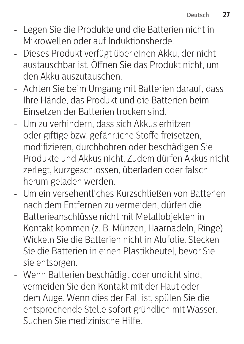- Legen Sie die Produkte und die Batterien nicht in Mikrowellen oder auf Induktionsherde.
- Dieses Produkt verfügt über einen Akku, der nicht austauschbar ist. Öffnen Sie das Produkt nicht, um den Akku auszutauschen.
- Achten Sie beim Umgang mit Batterien darauf, dass Ihre Hände, das Produkt und die Batterien beim Einsetzen der Batterien trocken sind.
- Um zu verhindern, dass sich Akkus erhitzen oder giftige bzw. gefährliche Stoffe freisetzen, modifizieren, durchbohren oder beschädigen Sie Produkte und Akkus nicht. Zudem dürfen Akkus nicht zerlegt, kurzgeschlossen, überladen oder falsch herum geladen werden.
- Um ein versehentliches Kurzschließen von Batterien nach dem Entfernen zu vermeiden, dürfen die Batterieanschlüsse nicht mit Metallobjekten in Kontakt kommen (z. B. Münzen, Haarnadeln, Ringe). Wickeln Sie die Batterien nicht in Alufolie. Stecken Sie die Batterien in einen Plastikbeutel, bevor Sie sie entsorgen.
- Wenn Batterien beschädigt oder undicht sind, vermeiden Sie den Kontakt mit der Haut oder dem Auge. Wenn dies der Fall ist, spülen Sie die entsprechende Stelle sofort gründlich mit Wasser. Suchen Sie medizinische Hilfe.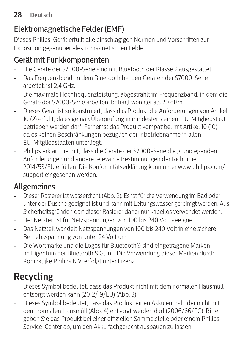#### **28 Deutsch**

### Elektromagnetische Felder (EMF)

Dieses Philips-Gerät erfüllt alle einschlägigen Normen und Vorschriften zur Exposition gegenüber elektromagnetischen Feldern.

#### Gerät mit Funkkomponenten

- Die Geräte der S7000-Serie sind mit Bluetooth der Klasse 2 ausgestattet.
- Das Frequenzband, in dem Bluetooth bei den Geräten der S7000-Serie arbeitet, ist 2,4 GHz.
- Die maximale Hochfrequenzleistung, abgestrahlt im Frequenzband, in dem die Geräte der S7000-Serie arbeiten, beträgt weniger als 20 dBm.
- Dieses Gerät ist so konstruiert, dass das Produkt die Anforderungen von Artikel 10 (2) erfüllt, da es gemäß Überprüfung in mindestens einem EU-Mitgliedstaat betrieben werden darf. Ferner ist das Produkt kompatibel mit Artikel 10 (10), da es keinen Beschränkungen bezüglich der Inbetriebnahme in allen EU-Mitgliedstaaten unterliegt.
- Philips erklärt hiermit, dass die Geräte der S7000-Serie die grundlegenden Anforderungen und andere relevante Bestimmungen der Richtlinie 2014/53/EU erfüllen. Die Konformitätserklärung kann unter www.philips.com/ support eingesehen werden.

### Allgemeines

- Dieser Rasierer ist wasserdicht (Abb. 2). Es ist für die Verwendung im Bad oder unter der Dusche geeignet ist und kann mit Leitungswasser gereinigt werden. Aus Sicherheitsgründen darf dieser Rasierer daher nur kabellos verwendet werden.
- Der Netzteil ist für Netzspannungen von 100 bis 240 Volt geeignet.
- Das Netzteil wandelt Netzspannungen von 100 bis 240 Volt in eine sichere Betriebsspannung von unter 24 Volt um.
- Die Wortmarke und die Logos für Bluetooth® sind eingetragene Marken im Eigentum der Bluetooth SIG, Inc. Die Verwendung dieser Marken durch Koninklijke Philips N.V. erfolgt unter Lizenz.

# **Recycling**

- Dieses Symbol bedeutet, dass das Produkt nicht mit dem normalen Hausmüll entsorgt werden kann (2012/19/EU) (Abb. 3).
- Dieses Symbol bedeutet, dass das Produkt einen Akku enthält, der nicht mit dem normalen Hausmüll (Abb. 4) entsorgt werden darf (2006/66/EG). Bitte geben Sie das Produkt bei einer offiziellen Sammelstelle oder einem Philips Service-Center ab, um den Akku fachgerecht ausbauen zu lassen.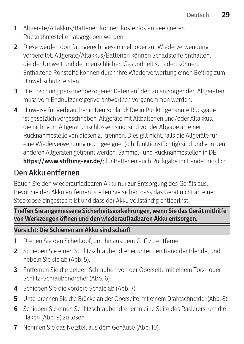- **1** Altgeräte/Altakkus/Batterien können kostenlos an geeigneten Rücknahmestellen abgegeben werden.
- **2** Diese werden dort fachgerecht gesammelt oder zur Wiederverwendung vorbereitet. Altgeräte/Altakkus/Batterien können Schadstoffe enthalten, die der Umwelt und der menschlichen Gesundheit schaden können. Enthaltene Rohstoffe können durch ihre Wiederverwertung einen Beitrag zum Umweltschutz leisten.
- **3** Die Löschung personenbezogener Daten auf den zu entsorgenden Altgeräten muss vom Endnutzer eigenverantwortlich vorgenommen werden.
- **4** Hinweise für Verbraucher in Deutschland: Die in Punkt 1 genannte Rückgabe ist gesetzlich vorgeschrieben. Altgeräte mit Altbatterien und/oder Altakkus, die nicht vom Altgerät umschlossen sind, sind vor der Abgabe an einer Rücknahmestelle von diesen zu trennen. Dies gilt nicht, falls die Altgeräte für eine Wiederverwendung noch geeignet (d.h. funktionstüchtig) sind und von den anderen Altgeräten getrennt werden. Sammel- und Rücknahmestellen in DE: **https://www.stiftung-ear.de/**; für Batterien auch Rückgabe im Handel möglich.

#### Den Akku entfernen

Bauen Sie den wiederaufladbaren Akku nur zur Entsorgung des Geräts aus. Bevor Sie den Akku entfernen, stellen Sie sicher, dass das Gerät nicht an einer Steckdose eingesteckt ist und dass der Akku vollständig entleert ist.

**Treffen Sie angemessene Sicherheitsvorkehrungen, wenn Sie das Gerät mithilfe von Werkzeugen öffnen und den wiederaufladbaren Akku entsorgen.**

#### **Vorsicht: Die Schienen am Akku sind scharf!**

- **1** Drehen Sie den Scherkopf, um ihn aus dem Griff zu entfernen.
- **2** Schieben Sie einen Schlitzschraubendreher unter den Rand der Blende, und hebeln Sie sie ab (Abb. 5).
- **3** Entfernen Sie die beiden Schrauben von der Oberseite mit einem Torx- oder Schlitz-Schraubendreher (Abb. 6).
- **4** Schieben Sie die vordere Schale ab (Abb. 7).
- **5** Unterbrechen Sie die Brücke an der Oberseite mit einem Drahtschneider (Abb. 8).
- **6** Schieben Sie einen Schlitzschraubendreher in eine Seite des Rasierers, um die Haken (Abb. 9) zu lösen.
- **7** Nehmen Sie das Netzteil aus dem Gehäuse (Abb. 10).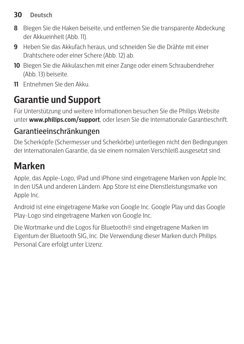#### **30 Deutsch**

- **8** Biegen Sie die Haken beiseite, und entfernen Sie die transparente Abdeckung der Akkueinheit (Abb. 11).
- **9** Heben Sie das Akkufach heraus, und schneiden Sie die Drähte mit einer Drahtschere oder einer Schere (Abb. 12) ab.
- **10** Biegen Sie die Akkulaschen mit einer Zange oder einem Schraubendreher (Abb. 13) beiseite.
- **11** Entnehmen Sie den Akku.

# **Garantie und Support**

Für Unterstützung und weitere Informationen besuchen Sie die Philips Website unter **www.philips.com/support**, oder lesen Sie die internationale Garantieschrift.

#### Garantieeinschränkungen

Die Scherköpfe (Schermesser und Scherkörbe) unterliegen nicht den Bedingungen der internationalen Garantie, da sie einem normalen Verschleiß ausgesetzt sind.

# **Marken**

Apple, das Apple-Logo, iPad und iPhone sind eingetragene Marken von Apple Inc. in den USA und anderen Ländern. App Store ist eine Dienstleistungsmarke von Apple Inc.

Android ist eine eingetragene Marke von Google Inc. Google Play und das Google Play-Logo sind eingetragene Marken von Google Inc.

Die Wortmarke und die Logos für Bluetooth® sind eingetragene Marken im Eigentum der Bluetooth SIG, Inc. Die Verwendung dieser Marken durch Philips Personal Care erfolgt unter Lizenz.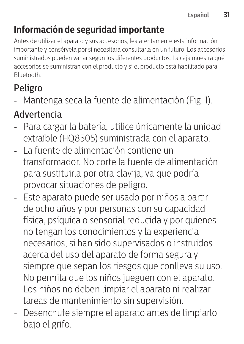## <span id="page-30-0"></span>**Información de seguridad importante**

Antes de utilizar el aparato y sus accesorios, lea atentamente esta información importante y consérvela por si necesitara consultarla en un futuro. Los accesorios suministrados pueden variar según los diferentes productos. La caja muestra qué accesorios se suministran con el producto y si el producto está habilitado para Bluetooth.

## Peligro

Mantenga seca la fuente de alimentación (Fig. 1).

## Advertencia

- Para cargar la batería, utilice únicamente la unidad extraíble (HQ8505) suministrada con el aparato.
- La fuente de alimentación contiene un transformador. No corte la fuente de alimentación para sustituirla por otra clavija, ya que podría provocar situaciones de peligro.
- Este aparato puede ser usado por niños a partir de ocho años y por personas con su capacidad física, psíquica o sensorial reducida y por quienes no tengan los conocimientos y la experiencia necesarios, si han sido supervisados o instruidos acerca del uso del aparato de forma segura y siempre que sepan los riesgos que conlleva su uso. No permita que los niños jueguen con el aparato. Los niños no deben limpiar el aparato ni realizar tareas de mantenimiento sin supervisión.
- Desenchufe siempre el aparato antes de limpiarlo bajo el grifo.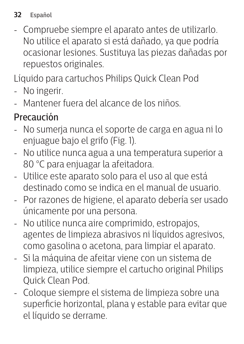- Compruebe siempre el aparato antes de utilizarlo. No utilice el aparato si está dañado, ya que podría ocasionar lesiones. Sustituya las piezas dañadas por repuestos originales.

Líquido para cartuchos Philips Quick Clean Pod

- No ingerir.
- Mantener fuera del alcance de los niños.

## Precaución

- No sumerja nunca el soporte de carga en agua ni lo enjuague bajo el grifo (Fig. 1).
- No utilice nunca agua a una temperatura superior a 80 °C para enjuagar la afeitadora.
- Utilice este aparato solo para el uso al que está destinado como se indica en el manual de usuario.
- Por razones de higiene, el aparato debería ser usado únicamente por una persona.
- No utilice nunca aire comprimido, estropajos, agentes de limpieza abrasivos ni líquidos agresivos, como gasolina o acetona, para limpiar el aparato.
- Si la máquina de afeitar viene con un sistema de limpieza, utilice siempre el cartucho original Philips Quick Clean Pod.
- Coloque siempre el sistema de limpieza sobre una superficie horizontal, plana y estable para evitar que el líquido se derrame.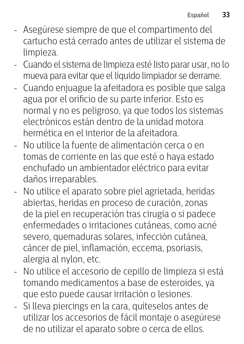- Asegúrese siempre de que el compartimento del cartucho está cerrado antes de utilizar el sistema de limpieza.
- Cuando el sistema de limpieza esté listo parar usar, no lo mueva para evitar que el líquido limpiador se derrame.
- Cuando enjuague la afeitadora es posible que salga agua por el orificio de su parte inferior. Esto es normal y no es peligroso, ya que todos los sistemas electrónicos están dentro de la unidad motora hermética en el interior de la afeitadora.
- No utilice la fuente de alimentación cerca o en tomas de corriente en las que esté o haya estado enchufado un ambientador eléctrico para evitar daños irreparables.
- No utilice el aparato sobre piel agrietada, heridas abiertas, heridas en proceso de curación, zonas de la piel en recuperación tras cirugía o si padece enfermedades o irritaciones cutáneas, como acné severo, quemaduras solares, infección cutánea, cáncer de piel, inflamación, eccema, psoriasis, alergia al nylon, etc.
- No utilice el accesorio de cepillo de limpieza si está tomando medicamentos a base de esteroides, ya que esto puede causar irritación o lesiones.
- Si lleva piercings en la cara, quíteselos antes de utilizar los accesorios de fácil montaje o asegúrese de no utilizar el aparato sobre o cerca de ellos.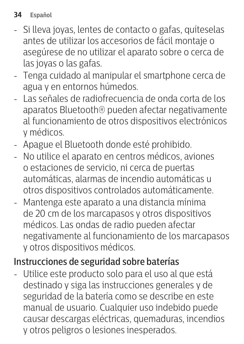- Si lleva joyas, lentes de contacto o gafas, quíteselas antes de utilizar los accesorios de fácil montaje o asegúrese de no utilizar el aparato sobre o cerca de las joyas o las gafas.
- Tenga cuidado al manipular el smartphone cerca de agua y en entornos húmedos.
- Las señales de radiofrecuencia de onda corta de los aparatos Bluetooth® pueden afectar negativamente al funcionamiento de otros dispositivos electrónicos y médicos.
- Apague el Bluetooth donde esté prohibido.
- No utilice el aparato en centros médicos, aviones o estaciones de servicio, ni cerca de puertas automáticas, alarmas de incendio automáticas u otros dispositivos controlados automáticamente.
- Mantenga este aparato a una distancia mínima de 20 cm de los marcapasos y otros dispositivos médicos. Las ondas de radio pueden afectar negativamente al funcionamiento de los marcapasos y otros dispositivos médicos.

### Instrucciones de seguridad sobre baterías

- Utilice este producto solo para el uso al que está destinado y siga las instrucciones generales y de seguridad de la batería como se describe en este manual de usuario. Cualquier uso indebido puede causar descargas eléctricas, quemaduras, incendios y otros peligros o lesiones inesperados.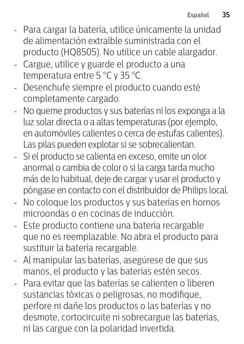- Para cargar la batería, utilice únicamente la unidad de alimentación extraíble suministrada con el producto (HQ8505). No utilice un cable alargador.
- Cargue, utilice y guarde el producto a una temperatura entre 5 °C y 35 °C.
- Desenchufe siempre el producto cuando esté completamente cargado.
- No queme productos y sus baterías ni los exponga a la luz solar directa o a altas temperaturas (por ejemplo, en automóviles calientes o cerca de estufas calientes). Las pilas pueden explotar si se sobrecalientan.
- Si el producto se calienta en exceso, emite un olor anormal o cambia de color o si la carga tarda mucho más de lo habitual, deje de cargar y usar el producto y póngase en contacto con el distribuidor de Philips local.
- No coloque los productos y sus baterías en hornos microondas o en cocinas de inducción.
- Este producto contiene una batería recargable que no es reemplazable. No abra el producto para sustituir la batería recargable.
- Al manipular las baterías, asegúrese de que sus manos, el producto y las baterías estén secos.
- Para evitar que las baterías se calienten o liberen sustancias tóxicas o peligrosas, no modifique, perfore ni dañe los productos o las baterías y no desmote, cortocircuite ni sobrecargue las baterías, ni las cargue con la polaridad invertida.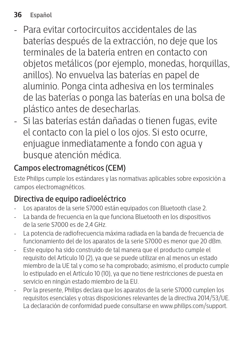#### **36 Español**

- Para evitar cortocircuitos accidentales de las baterías después de la extracción, no deje que los terminales de la batería entren en contacto con objetos metálicos (por ejemplo, monedas, horquillas, anillos). No envuelva las baterías en papel de aluminio. Ponga cinta adhesiva en los terminales de las baterías o ponga las baterías en una bolsa de plástico antes de desecharlas.
- Si las baterías están dañadas o tienen fugas, evite el contacto con la piel o los ojos. Si esto ocurre, enjuague inmediatamente a fondo con agua y busque atención médica.

### Campos electromagnéticos (CEM)

Este Philips cumple los estándares y las normativas aplicables sobre exposición a campos electromagnéticos.

### Directiva de equipo radioeléctrico

- Los aparatos de la serie S7000 están equipados con Bluetooth clase 2.
- La banda de frecuencia en la que funciona Bluetooth en los dispositivos de la serie S7000 es de 2,4 GHz.
- La potencia de radiofrecuencia máxima radiada en la banda de frecuencia de funcionamiento del de los aparatos de la serie S7000 es menor que 20 dBm.
- Este equipo ha sido construido de tal manera que el producto cumple el requisito del Artículo 10 (2), ya que se puede utilizar en al menos un estado miembro de la UE tal y como se ha comprobado; asimismo, el producto cumple lo estipulado en el Artículo 10 (10), ya que no tiene restricciones de puesta en servicio en ningún estado miembro de la EU.
- Por la presente, Philips declara que los aparatos de la serie S7000 cumplen los requisitos esenciales y otras disposiciones relevantes de la directiva 2014/53/UE. La declaración de conformidad puede consultarse en www.philips.com/support.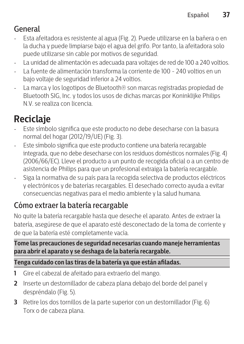#### General

- Esta afeitadora es resistente al agua (Fig. 2). Puede utilizarse en la bañera o en la ducha y puede limpiarse bajo el agua del grifo. Por tanto, la afeitadora solo puede utilizarse sin cable por motivos de seguridad.
- La unidad de alimentación es adecuada para voltajes de red de 100 a 240 voltios.
- La fuente de alimentación transforma la corriente de 100 240 voltios en un bajo voltaje de seguridad inferior a 24 voltios.
- La marca y los logotipos de Bluetooth® son marcas registradas propiedad de Bluetooth SIG, Inc. y todos los usos de dichas marcas por Koninklijke Philips N.V. se realiza con licencia.

# **Reciclaje**

- Este símbolo significa que este producto no debe desecharse con la basura normal del hogar (2012/19/UE) (Fig. 3).
- Este símbolo significa que este producto contiene una batería recargable integrada, que no debe desecharse con los residuos domésticos normales (Fig. 4) (2006/66/EC). Lleve el producto a un punto de recogida oficial o a un centro de asistencia de Philips para que un profesional extraiga la batería recargable.
- Siga la normativa de su país para la recogida selectiva de productos eléctricos y electrónicos y de baterías recargables. El desechado correcto ayuda a evitar consecuencias negativas para el medio ambiente y la salud humana.

### Cómo extraer la batería recargable

No quite la batería recargable hasta que deseche el aparato. Antes de extraer la batería, asegúrese de que el aparato esté desconectado de la toma de corriente y de que la batería esté completamente vacía.

**Tome las precauciones de seguridad necesarias cuando maneje herramientas para abrir el aparato y se deshaga de la batería recargable.**

**Tenga cuidado con las tiras de la batería ya que están afiladas.**

- **1** Gire el cabezal de afeitado para extraerlo del mango.
- **2** Inserte un destornillador de cabeza plana debajo del borde del panel y despréndalo (Fig. 5).
- **3** Retire los dos tornillos de la parte superior con un destornillador (Fig. 6) Torx o de cabeza plana.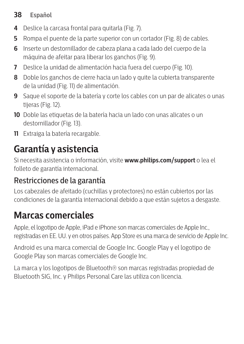#### **38 Español**

- **4** Deslice la carcasa frontal para quitarla (Fig. 7).
- **5** Rompa el puente de la parte superior con un cortador (Fig. 8) de cables.
- **6** Inserte un destornillador de cabeza plana a cada lado del cuerpo de la máquina de afeitar para liberar los ganchos (Fig. 9).
- **7** Deslice la unidad de alimentación hacia fuera del cuerpo (Fig. 10).
- **8** Doble los ganchos de cierre hacia un lado y quite la cubierta transparente de la unidad (Fig. 11) de alimentación.
- **9** Saque el soporte de la batería y corte los cables con un par de alicates o unas tijeras (Fig. 12).
- **10** Doble las etiquetas de la batería hacia un lado con unas alicates o un destornillador (Fig. 13).
- **11** Extraiga la batería recargable.

# **Garantía y asistencia**

Si necesita asistencia o información, visite **www.philips.com/support** o lea el folleto de garantía internacional.

### Restricciones de la garantía

Los cabezales de afeitado (cuchillas y protectores) no están cubiertos por las condiciones de la garantía internacional debido a que están sujetos a desgaste.

## **Marcas comerciales**

Apple, el logotipo de Apple, iPad e iPhone son marcas comerciales de Apple Inc., registradas en EE. UU. y en otros países. App Store es una marca de servicio de Apple Inc.

Android es una marca comercial de Google Inc. Google Play y el logotipo de Google Play son marcas comerciales de Google Inc.

La marca y los logotipos de Bluetooth® son marcas registradas propiedad de Bluetooth SIG, Inc. y Philips Personal Care las utiliza con licencia.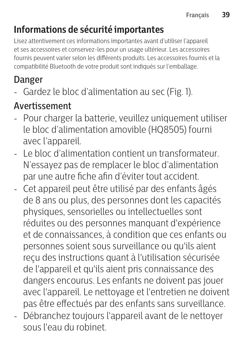## **Informations de sécurité importantes**

Lisez attentivement ces informations importantes avant d'utiliser l'appareil et ses accessoires et conservez-les pour un usage ultérieur. Les accessoires fournis peuvent varier selon les différents produits. Les accessoires fournis et la compatibilité Bluetooth de votre produit sont indiqués sur l'emballage.

## Danger

- Gardez le bloc d'alimentation au sec (Fig. 1).

## Avertissement

- Pour charger la batterie, veuillez uniquement utiliser le bloc d'alimentation amovible (HQ8505) fourni avec l'appareil.
- Le bloc d'alimentation contient un transformateur. N'essayez pas de remplacer le bloc d'alimentation par une autre fiche afin d'éviter tout accident.
- Cet appareil peut être utilisé par des enfants âgés de 8 ans ou plus, des personnes dont les capacités physiques, sensorielles ou intellectuelles sont réduites ou des personnes manquant d'expérience et de connaissances, à condition que ces enfants ou personnes soient sous surveillance ou qu'ils aient reçu des instructions quant à l'utilisation sécurisée de l'appareil et qu'ils aient pris connaissance des dangers encourus. Les enfants ne doivent pas jouer avec l'appareil. Le nettoyage et l'entretien ne doivent pas être effectués par des enfants sans surveillance. Débranchez toujours l'appareil avant de le nettoyer
- sous l'eau du robinet.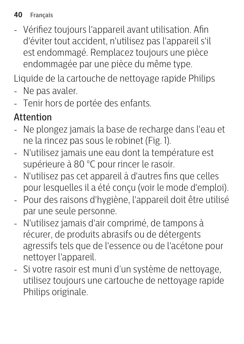#### **40 Français**

- Vérifiez toujours l'appareil avant utilisation. Afin d'éviter tout accident, n'utilisez pas l'appareil s'il est endommagé. Remplacez toujours une pièce endommagée par une pièce du même type.

Liquide de la cartouche de nettoyage rapide Philips

- Ne pas avaler.
- Tenir hors de portée des enfants.

## Attention

- Ne plongez jamais la base de recharge dans l'eau et ne la rincez pas sous le robinet (Fig. 1).
- N'utilisez jamais une eau dont la température est supérieure à 80 °C pour rincer le rasoir.
- N'utilisez pas cet appareil à d'autres fins que celles pour lesquelles il a été conçu (voir le mode d'emploi).
- Pour des raisons d'hygiène, l'appareil doit être utilisé par une seule personne.
- N'utilisez jamais d'air comprimé, de tampons à récurer, de produits abrasifs ou de détergents agressifs tels que de l'essence ou de l'acétone pour nettoyer l'appareil.
- Si votre rasoir est muni d'un système de nettoyage, utilisez toujours une cartouche de nettoyage rapide Philips originale.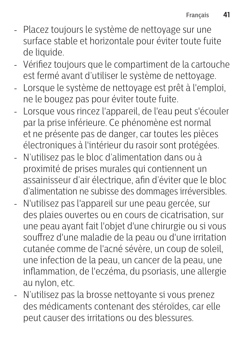- Placez toujours le système de nettoyage sur une surface stable et horizontale pour éviter toute fuite de liquide.
- Vérifiez toujours que le compartiment de la cartouche est fermé avant d'utiliser le système de nettoyage.
- Lorsque le système de nettoyage est prêt à l'emploi. ne le bougez pas pour éviter toute fuite.
- Lorsque vous rincez l'appareil, de l'eau peut s'écouler par la prise inférieure. Ce phénomène est normal et ne présente pas de danger, car toutes les pièces électroniques à l'intérieur du rasoir sont protégées.
- N'utilisez pas le bloc d'alimentation dans ou à proximité de prises murales qui contiennent un assainisseur d'air électrique, afin d'éviter que le bloc d'alimentation ne subisse des dommages irréversibles.
- N'utilisez pas l'appareil sur une peau gercée, sur des plaies ouvertes ou en cours de cicatrisation, sur une peau ayant fait l'objet d'une chirurgie ou si vous souffrez d'une maladie de la peau ou d'une irritation cutanée comme de l'acné sévère, un coup de soleil, une infection de la peau, un cancer de la peau, une inflammation, de l'eczéma, du psoriasis, une allergie au nylon, etc.
- N'utilisez pas la brosse nettoyante si vous prenez des médicaments contenant des stéroïdes, car elle peut causer des irritations ou des blessures.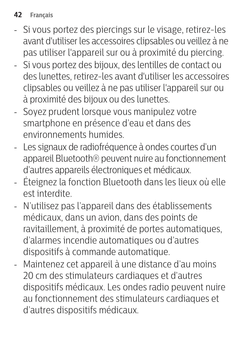- Si vous portez des piercings sur le visage, retirez-les avant d'utiliser les accessoires clipsables ou veillez à ne pas utiliser l'appareil sur ou à proximité du piercing.
- Si vous portez des bijoux, des lentilles de contact ou des lunettes, retirez-les avant d'utiliser les accessoires clipsables ou veillez à ne pas utiliser l'appareil sur ou à proximité des bijoux ou des lunettes.
- Soyez prudent lorsque vous manipulez votre smartphone en présence d'eau et dans des environnements humides.
- Les signaux de radiofréquence à ondes courtes d'un appareil Bluetooth® peuvent nuire au fonctionnement d'autres appareils électroniques et médicaux.
- Éteignez la fonction Bluetooth dans les lieux où elle est interdite.
- N'utilisez pas l'appareil dans des établissements médicaux, dans un avion, dans des points de ravitaillement, à proximité de portes automatiques, d'alarmes incendie automatiques ou d'autres dispositifs à commande automatique.
- Maintenez cet appareil à une distance d'au moins 20 cm des stimulateurs cardiaques et d'autres dispositifs médicaux. Les ondes radio peuvent nuire au fonctionnement des stimulateurs cardiaques et d'autres dispositifs médicaux.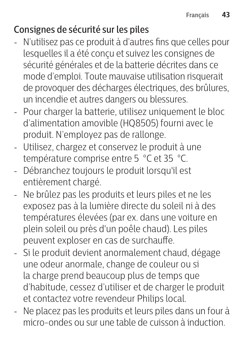### Consignes de sécurité sur les piles

- N'utilisez pas ce produit à d'autres fins que celles pour lesquelles il a été conçu et suivez les consignes de sécurité générales et de la batterie décrites dans ce mode d'emploi. Toute mauvaise utilisation risquerait de provoquer des décharges électriques, des brûlures, un incendie et autres dangers ou blessures.
- Pour charger la batterie, utilisez uniquement le bloc d'alimentation amovible (HQ8505) fourni avec le produit. N'employez pas de rallonge.
- Utilisez, chargez et conservez le produit à une température comprise entre 5 °C et 35 °C.
- Débranchez toujours le produit lorsqu'il est entièrement chargé.
- Ne brûlez pas les produits et leurs piles et ne les exposez pas à la lumière directe du soleil ni à des températures élevées (par ex. dans une voiture en plein soleil ou près d'un poêle chaud). Les piles peuvent exploser en cas de surchauffe.
- Si le produit devient anormalement chaud, dégage une odeur anormale, change de couleur ou si la charge prend beaucoup plus de temps que d'habitude, cessez d'utiliser et de charger le produit et contactez votre revendeur Philips local.
- Ne placez pas les produits et leurs piles dans un four à micro-ondes ou sur une table de cuisson à induction.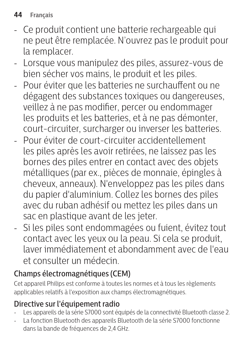- Ce produit contient une batterie rechargeable qui ne peut être remplacée. N'ouvrez pas le produit pour la remplacer.
- Lorsque vous manipulez des piles, assurez-vous de bien sécher vos mains, le produit et les piles.
- Pour éviter que les batteries ne surchauffent ou ne dégagent des substances toxiques ou dangereuses, veillez à ne pas modifier, percer ou endommager les produits et les batteries, et à ne pas démonter, court-circuiter, surcharger ou inverser les batteries.
- Pour éviter de court-circuiter accidentellement les piles après les avoir retirées, ne laissez pas les bornes des piles entrer en contact avec des objets métalliques (par ex., pièces de monnaie, épingles à cheveux, anneaux). N'enveloppez pas les piles dans du papier d'aluminium. Collez les bornes des piles avec du ruban adhésif ou mettez les piles dans un sac en plastique avant de les jeter.
- Si les piles sont endommagées ou fuient, évitez tout contact avec les yeux ou la peau. Si cela se produit, laver immédiatement et abondamment avec de l'eau et consulter un médecin.

#### Champs électromagnétiques (CEM)

Cet appareil Philips est conforme à toutes les normes et à tous les règlements applicables relatifs à l'exposition aux champs électromagnétiques.

#### Directive sur l'équipement radio

- Les appareils de la série S7000 sont équipés de la connectivité Bluetooth classe 2.
- La fonction Bluetooth des appareils Bluetooth de la série S7000 fonctionne dans la bande de fréquences de 2,4 GHz.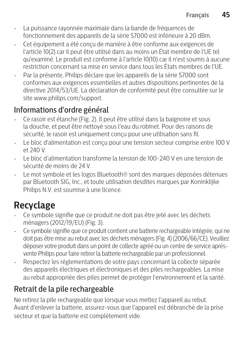- La puissance rayonnée maximale dans la bande de fréquences de fonctionnement des appareils de la série S7000 est inférieure à 20 dBm.
- Cet équipement a été conçu de manière à être conforme aux exigences de l'article 10(2) car il peut être utilisé dans au moins un État membre de l'UE tel qu'examiné. Le produit est conforme à l'article 10(10) car il n'est soumis à aucune restriction concernant sa mise en service dans tous les États membres de l'UE.
- Par la présente, Philips déclare que les appareils de la série S7000 sont conformes aux exigences essentielles et autres dispositions pertinentes de la directive 2014/53/UE. La déclaration de conformité peut être consultée sur le site www.philips.com/support.

#### Informations d'ordre général

- Ce rasoir est étanche (Fig. 2). Il peut être utilisé dans la baignoire et sous la douche, et peut être nettoyé sous l'eau du robinet. Pour des raisons de sécurité, le rasoir est uniquement conçu pour une utilisation sans fil.
- Le bloc d'alimentation est conçu pour une tension secteur comprise entre 100 V et 240 V.
- Le bloc d'alimentation transforme la tension de 100-240 V en une tension de sécurité de moins de 24 V.
- Le mot symbole et les logos Bluetooth® sont des marques déposées détenues par Bluetooth SIG, Inc., et toute utilisation desdites marques par Koninklijke Philips N.V. est soumise à une licence.

## **Recyclage**

- Ce symbole signifie que ce produit ne doit pas être jeté avec les déchets ménagers (2012/19/EU) (Fig. 3).
- Ce symbole signifie que ce produit contient une batterie rechargeable intégrée, qui ne doit pas être mise au rebut avec les déchets ménagers (Fig. 4) (2006/66/CE). Veuillez déposer votre produit dans un point de collecte agréé ou un centre de service aprèsvente Philips pour faire retirer la batterie rechargeable par un professionnel.
- Respectez les réglementations de votre pays concernant la collecte séparée des appareils électriques et électroniques et des piles rechargeables. La mise au rebut appropriée des piles permet de protéger l'environnement et la santé.

#### Retrait de la pile rechargeable

Ne retirez la pile rechargeable que lorsque vous mettez l'appareil au rebut. Avant d'enlever la batterie, assurez-vous que l'appareil est débranché de la prise secteur et que la batterie est complètement vide.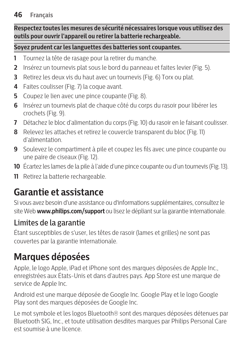#### **46 Français**

**Respectez toutes les mesures de sécurité nécessaires lorsque vous utilisez des outils pour ouvrir l'appareil ou retirer la batterie rechargeable.**

#### **Soyez prudent car les languettes des batteries sont coupantes.**

- **1** Tournez la tête de rasage pour la retirer du manche.
- **2** Insérez un tournevis plat sous le bord du panneau et faites levier (Fig. 5).
- **3** Retirez les deux vis du haut avec un tournevis (Fig. 6) Torx ou plat.
- **4** Faites coulisser (Fig. 7) la coque avant.
- **5** Coupez le lien avec une pince coupante (Fig. 8).
- **6** Insérez un tournevis plat de chaque côté du corps du rasoir pour libérer les crochets (Fig. 9).
- **7** Détachez le bloc d'alimentation du corps (Fig. 10) du rasoir en le faisant coulisser.
- **8** Relevez les attaches et retirez le couvercle transparent du bloc (Fig. 11) d'alimentation.
- **9** Soulevez le compartiment à pile et coupez les fils avec une pince coupante ou une paire de ciseaux (Fig. 12).
- **10** Écartez les lames de la pile à l'aide d'une pince coupante ou d'un tournevis (Fig. 13).
- **11** Retirez la batterie rechargeable.

## **Garantie et assistance**

Si vous avez besoin d'une assistance ou d'informations supplémentaires, consultez le site Web **www.philips.com/support** ou lisez le dépliant sur la garantie internationale.

#### Limites de la garantie

Étant susceptibles de s'user, les têtes de rasoir (lames et grilles) ne sont pas couvertes par la garantie internationale.

# **Marques déposées**

Apple, le logo Apple, iPad et iPhone sont des marques déposées de Apple Inc., enregistrées aux États-Unis et dans d'autres pays. App Store est une marque de service de Apple Inc.

Android est une marque déposée de Google Inc. Google Play et le logo Google Play sont des marques déposées de Google Inc.

Le mot symbole et les logos Bluetooth® sont des marques déposées détenues par Bluetooth SIG, Inc., et toute utilisation desdites marques par Philips Personal Care est soumise à une licence.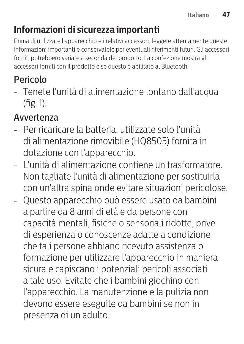## **Informazioni di sicurezza importanti**

Prima di utilizzare l'apparecchio e i relativi accessori, leggete attentamente queste informazioni importanti e conservatele per eventuali riferimenti futuri. Gli accessori forniti potrebbero variare a seconda del prodotto. La confezione mostra gli accessori forniti con il prodotto e se questo è abilitato al Bluetooth.

# Pericolo

- Tenete l'unità di alimentazione lontano dall'acqua (fig. 1).

## Avvertenza

- Per ricaricare la batteria, utilizzate solo l'unità di alimentazione rimovibile (HQ8505) fornita in dotazione con l'apparecchio.
- L'unità di alimentazione contiene un trasformatore. Non tagliate l'unità di alimentazione per sostituirla con un'altra spina onde evitare situazioni pericolose.
- Questo apparecchio può essere usato da bambini a partire da 8 anni di età e da persone con capacità mentali, fisiche o sensoriali ridotte, prive di esperienza o conoscenze adatte a condizione che tali persone abbiano ricevuto assistenza o formazione per utilizzare l'apparecchio in maniera sicura e capiscano i potenziali pericoli associati a tale uso. Evitate che i bambini giochino con l'apparecchio. La manutenzione e la pulizia non devono essere eseguite da bambini se non in presenza di un adulto.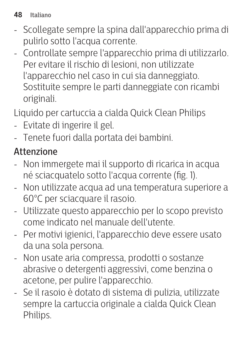- Scollegate sempre la spina dall'apparecchio prima di pulirlo sotto l'acqua corrente.
- Controllate sempre l'apparecchio prima di utilizzarlo. Per evitare il rischio di lesioni, non utilizzate l'apparecchio nel caso in cui sia danneggiato. Sostituite sempre le parti danneggiate con ricambi originali.

Liquido per cartuccia a cialda Quick Clean Philips

- Evitate di ingerire il gel.
- Tenete fuori dalla portata dei bambini.

## **Attenzione**

- Non immergete mai il supporto di ricarica in acqua né sciacquatelo sotto l'acqua corrente (fig. 1).
- Non utilizzate acqua ad una temperatura superiore a 60°C per sciacquare il rasoio.
- Utilizzate questo apparecchio per lo scopo previsto come indicato nel manuale dell'utente.
- Per motivi igienici, l'apparecchio deve essere usato da una sola persona.
- Non usate aria compressa, prodotti o sostanze abrasive o detergenti aggressivi, come benzina o acetone, per pulire l'apparecchio.
- Se il rasoio è dotato di sistema di pulizia, utilizzate sempre la cartuccia originale a cialda Quick Clean Philips.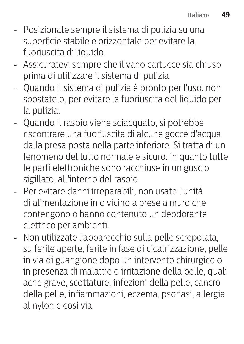- Posizionate sempre il sistema di pulizia su una superficie stabile e orizzontale per evitare la fuoriuscita di liquido.
- Assicuratevi sempre che il vano cartucce sia chiuso prima di utilizzare il sistema di pulizia.
- Quando il sistema di pulizia è pronto per l'uso, non spostatelo, per evitare la fuoriuscita del liquido per la pulizia.
- Quando il rasoio viene sciacquato, si potrebbe riscontrare una fuoriuscita di alcune gocce d'acqua dalla presa posta nella parte inferiore. Si tratta di un fenomeno del tutto normale e sicuro, in quanto tutte le parti elettroniche sono racchiuse in un guscio sigillato, all'interno del rasoio.
- Per evitare danni irreparabili, non usate l'unità di alimentazione in o vicino a prese a muro che contengono o hanno contenuto un deodorante elettrico per ambienti.
- Non utilizzate l'apparecchio sulla pelle screpolata, su ferite aperte, ferite in fase di cicatrizzazione, pelle in via di guarigione dopo un intervento chirurgico o in presenza di malattie o irritazione della pelle, quali acne grave, scottature, infezioni della pelle, cancro della pelle, infiammazioni, eczema, psoriasi, allergia al nylon e così via.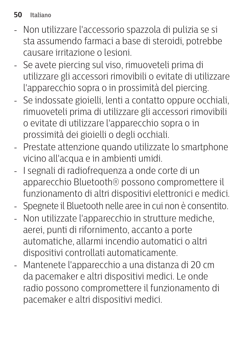- Non utilizzare l'accessorio spazzola di pulizia se si sta assumendo farmaci a base di steroidi, potrebbe causare irritazione o lesioni.
- Se avete piercing sul viso, rimuoveteli prima di utilizzare gli accessori rimovibili o evitate di utilizzare l'apparecchio sopra o in prossimità del piercing.
- Se indossate gioielli, lenti a contatto oppure occhiali, rimuoveteli prima di utilizzare gli accessori rimovibili o evitate di utilizzare l'apparecchio sopra o in prossimità dei gioielli o degli occhiali.
- Prestate attenzione quando utilizzate lo smartphone vicino all'acqua e in ambienti umidi.
- I segnali di radiofrequenza a onde corte di un apparecchio Bluetooth® possono compromettere il funzionamento di altri dispositivi elettronici e medici.
- Spegnete il Bluetooth nelle aree in cui non è consentito.
- Non utilizzate l'apparecchio in strutture mediche, aerei, punti di rifornimento, accanto a porte automatiche, allarmi incendio automatici o altri dispositivi controllati automaticamente.
- Mantenete l'apparecchio a una distanza di 20 cm da pacemaker e altri dispositivi medici. Le onde radio possono compromettere il funzionamento di pacemaker e altri dispositivi medici.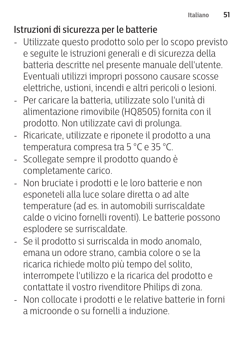## Istruzioni di sicurezza per le batterie

- Utilizzate questo prodotto solo per lo scopo previsto e seguite le istruzioni generali e di sicurezza della batteria descritte nel presente manuale dell'utente. Eventuali utilizzi impropri possono causare scosse elettriche, ustioni, incendi e altri pericoli o lesioni.
- Per caricare la batteria, utilizzate solo l'unità di alimentazione rimovibile (HQ8505) fornita con il prodotto. Non utilizzate cavi di prolunga.
- Ricaricate, utilizzate e riponete il prodotto a una temperatura compresa tra 5 °C e 35 °C.
- Scollegate sempre il prodotto quando è completamente carico.
- Non bruciate i prodotti e le loro batterie e non esponeteli alla luce solare diretta o ad alte temperature (ad es. in automobili surriscaldate calde o vicino fornelli roventi). Le batterie possono esplodere se surriscaldate.
- Se il prodotto si surriscalda in modo anomalo, emana un odore strano, cambia colore o se la ricarica richiede molto più tempo del solito, interrompete l'utilizzo e la ricarica del prodotto e contattate il vostro rivenditore Philips di zona.
- Non collocate i prodotti e le relative batterie in forni a microonde o su fornelli a induzione.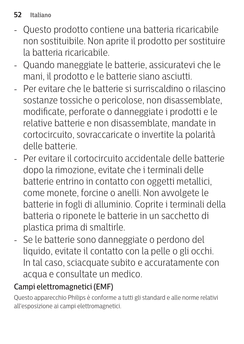- Questo prodotto contiene una batteria ricaricabile non sostituibile. Non aprite il prodotto per sostituire la batteria ricaricabile.
- Quando maneggiate le batterie, assicuratevi che le mani, il prodotto e le batterie siano asciutti.
- Per evitare che le batterie si surriscaldino o rilascino sostanze tossiche o pericolose, non disassemblate, modificate, perforate o danneggiate i prodotti e le relative batterie e non disassemblate, mandate in cortocircuito, sovraccaricate o invertite la polarità delle batterie.
- Per evitare il cortocircuito accidentale delle batterie dopo la rimozione, evitate che i terminali delle batterie entrino in contatto con oggetti metallici, come monete, forcine o anelli. Non avvolgete le batterie in fogli di alluminio. Coprite i terminali della batteria o riponete le batterie in un sacchetto di plastica prima di smaltirle.
- Se le batterie sono danneggiate o perdono del liquido, evitate il contatto con la pelle o gli occhi. In tal caso, sciacquate subito e accuratamente con acqua e consultate un medico.

### Campi elettromagnetici (EMF)

Questo apparecchio Philips è conforme a tutti gli standard e alle norme relativi all'esposizione ai campi elettromagnetici.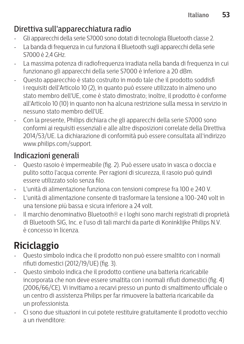#### Direttiva sull'apparecchiatura radio

- Gli apparecchi della serie S7000 sono dotati di tecnologia Bluetooth classe 2.
- La banda di frequenza in cui funziona il Bluetooth sugli apparecchi della serie S7000 è 2,4 GHz.
- La massima potenza di radiofrequenza irradiata nella banda di frequenza in cui funzionano gli apparecchi della serie S7000 è inferiore a 20 dBm.
- Questo apparecchio è stato costruito in modo tale che il prodotto soddisfi i requisiti dell'Articolo 10 (2), in quanto può essere utilizzato in almeno uno stato membro dell'UE, come è stato dimostrato; inoltre, il prodotto è conforme all'Articolo 10 (10) in quanto non ha alcuna restrizione sulla messa in servizio in nessuno stato membro dell'UE.
- Con la presente, Philips dichiara che gli apparecchi della serie S7000 sono conformi ai requisiti essenziali e alle altre disposizioni correlate della Direttiva 2014/53/UE. La dichiarazione di conformità può essere consultata all'indirizzo www.philips.com/support.

#### Indicazioni generali

- Questo rasoio è impermeabile (fig. 2). Può essere usato in vasca o doccia e pulito sotto l'acqua corrente. Per ragioni di sicurezza, il rasoio può quindi essere utilizzato solo senza filo.
- L'unità di alimentazione funziona con tensioni comprese fra 100 e 240 V.
- L'unità di alimentazione consente di trasformare la tensione a 100-240 volt in una tensione più bassa e sicura inferiore a 24 volt.
- Il marchio denominativo Bluetooth® e i loghi sono marchi registrati di proprietà di Bluetooth SIG, Inc. e l'uso di tali marchi da parte di Koninklijke Philips N.V. è concesso in licenza.

# **Riciclaggio**

- Questo simbolo indica che il prodotto non può essere smaltito con i normali rifiuti domestici (2012/19/UE) (fig. 3).
- Questo simbolo indica che il prodotto contiene una batteria ricaricabile incorporata che non deve essere smaltita con i normali rifiuti domestici (fig. 4) (2006/66/CE). Vi invitiamo a recarvi presso un punto di smaltimento ufficiale o un centro di assistenza Philips per far rimuovere la batteria ricaricabile da un professionista.
- Ci sono due situazioni in cui potete restituire gratuitamente il prodotto vecchio a un rivenditore: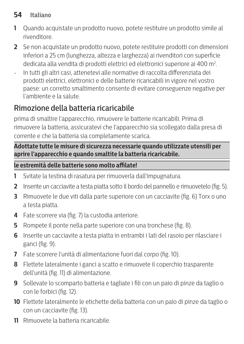#### **54 Italiano**

- **1** Quando acquistate un prodotto nuovo, potete restituire un prodotto simile al rivenditore.
- **2** Se non acquistate un prodotto nuovo, potete restituire prodotti con dimensioni inferiori a 25 cm (lunghezza, altezza e larghezza) ai rivenditori con superficie dedicata alla vendita di prodotti elettrici ed elettronici superiore ai 400 m2 .
- In tutti gli altri casi, attenetevi alle normative di raccolta differenziata dei prodotti elettrici, elettronici e delle batterie ricaricabili in vigore nel vostro paese: un corretto smaltimento consente di evitare conseguenze negative per l'ambiente e la salute.

### Rimozione della batteria ricaricabile

prima di smaltire l'apparecchio, rimuovere le batterie ricaricabili. Prima di rimuovere la batteria, assicuratevi che l'apparecchio sia scollegato dalla presa di corrente e che la batteria sia completamente scarica.

#### **Adottate tutte le misure di sicurezza necessarie quando utilizzate utensili per aprire l'apparecchio e quando smaltite la batteria ricaricabile.**

#### **le estremità delle batterie sono molto affilate!**

- **1** Svitate la testina di rasatura per rimuoverla dall'impugnatura.
- **2** Inserite un cacciavite a testa piatta sotto il bordo del pannello e rimuovetelo (fig. 5).
- **3** Rimuovete le due viti dalla parte superiore con un cacciavite (fig. 6) Torx o uno a testa piatta.
- **4** Fate scorrere via (fig. 7) la custodia anteriore.
- **5** Rompete il ponte nella parte superiore con una tronchese (fig. 8).
- **6** Inserite un cacciavite a testa piatta in entrambi i lati del rasoio per rilasciare i ganci (fig. 9).
- **7** Fate scorrere l'unità di alimentazione fuori dal corpo (fig. 10).
- **8** Flettete lateralmente i ganci a scatto e rimuovete il coperchio trasparente dell'unità (fig. 11) di alimentazione.
- **9** Sollevate lo scomparto batteria e tagliate i fili con un paio di pinze da taglio o con le forbici (fig. 12).
- **10** Flettete lateralmente le etichette della batteria con un paio di pinze da taglio o con un cacciavite (fig. 13).
- **11** Rimuovete la batteria ricaricabile.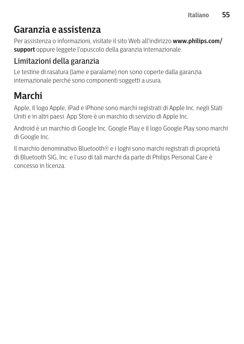## **Garanzia e assistenza**

Per assistenza o informazioni, visitate il sito Web all'indirizzo **www.philips.com/ support** oppure leggete l'opuscolo della garanzia internazionale.

#### Limitazioni della garanzia

Le testine di rasatura (lame e paralame) non sono coperte dalla garanzia internazionale perché sono componenti soggetti a usura.

# **Marchi**

Apple, il logo Apple, iPad e iPhone sono marchi registrati di Apple Inc. negli Stati Uniti e in altri paesi. App Store è un marchio di servizio di Apple Inc.

Android è un marchio di Google Inc. Google Play e il logo Google Play sono marchi di Google Inc.

Il marchio denominativo Bluetooth® e i loghi sono marchi registrati di proprietà di Bluetooth SIG, Inc. e l'uso di tali marchi da parte di Philips Personal Care è concesso in licenza.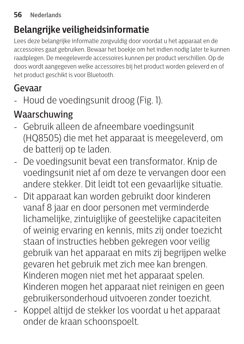## **Belangrijke veiligheidsinformatie**

Lees deze belangrijke informatie zorgvuldig door voordat u het apparaat en de accessoires gaat gebruiken. Bewaar het boekje om het indien nodig later te kunnen raadplegen. De meegeleverde accessoires kunnen per product verschillen. Op de doos wordt aangegeven welke accessoires bij het product worden geleverd en of het product geschikt is voor Bluetooth.

## Gevaar

Houd de voedingsunit droog (Fig. 1).

# Waarschuwing

- Gebruik alleen de afneembare voedingsunit (HQ8505) die met het apparaat is meegeleverd, om de batterij op te laden.
- De voedingsunit bevat een transformator. Knip de voedingsunit niet af om deze te vervangen door een andere stekker. Dit leidt tot een gevaarlijke situatie.
- Dit apparaat kan worden gebruikt door kinderen vanaf 8 jaar en door personen met verminderde lichamelijke, zintuiglijke of geestelijke capaciteiten of weinig ervaring en kennis, mits zij onder toezicht staan of instructies hebben gekregen voor veilig gebruik van het apparaat en mits zij begrijpen welke gevaren het gebruik met zich mee kan brengen. Kinderen mogen niet met het apparaat spelen. Kinderen mogen het apparaat niet reinigen en geen gebruikersonderhoud uitvoeren zonder toezicht.
- Koppel altijd de stekker los voordat u het apparaat onder de kraan schoonspoelt.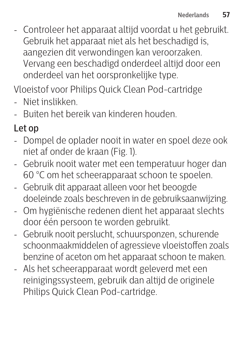- Controleer het apparaat altijd voordat u het gebruikt. Gebruik het apparaat niet als het beschadigd is, aangezien dit verwondingen kan veroorzaken. Vervang een beschadigd onderdeel altijd door een onderdeel van het oorspronkelijke type.

Vloeistof voor Philips Quick Clean Pod-cartridge

- Niet inslikken.
- Buiten het bereik van kinderen houden.

### Let op

- Dompel de oplader nooit in water en spoel deze ook niet af onder de kraan (Fig. 1).
- Gebruik nooit water met een temperatuur hoger dan 60 °C om het scheerapparaat schoon te spoelen.
- Gebruik dit apparaat alleen voor het beoogde doeleinde zoals beschreven in de gebruiksaanwijzing.
- Om hygiënische redenen dient het apparaat slechts door één persoon te worden gebruikt.
- Gebruik nooit perslucht, schuursponzen, schurende schoonmaakmiddelen of agressieve vloeistoffen zoals benzine of aceton om het apparaat schoon te maken.
- Als het scheerapparaat wordt geleverd met een reinigingssysteem, gebruik dan altijd de originele Philips Quick Clean Pod-cartridge.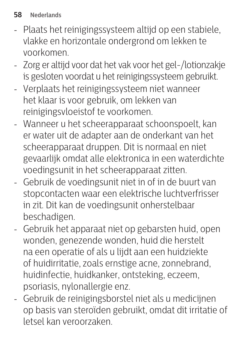- Plaats het reinigingssysteem altijd op een stabiele, vlakke en horizontale ondergrond om lekken te voorkomen.
- Zorg er altijd voor dat het vak voor het gel-/lotionzakje is gesloten voordat u het reinigingssysteem gebruikt.
- Verplaats het reinigingssysteem niet wanneer het klaar is voor gebruik, om lekken van reinigingsvloeistof te voorkomen.
- Wanneer u het scheerapparaat schoonspoelt, kan er water uit de adapter aan de onderkant van het scheerapparaat druppen. Dit is normaal en niet gevaarlijk omdat alle elektronica in een waterdichte voedingsunit in het scheerapparaat zitten.
- Gebruik de voedingsunit niet in of in de buurt van stopcontacten waar een elektrische luchtverfrisser in zit. Dit kan de voedingsunit onherstelbaar beschadigen.
- Gebruik het apparaat niet op gebarsten huid, open wonden, genezende wonden, huid die herstelt na een operatie of als u lijdt aan een huidziekte of huidirritatie, zoals ernstige acne, zonnebrand, huidinfectie, huidkanker, ontsteking, eczeem, psoriasis, nylonallergie enz.
- Gebruik de reinigingsborstel niet als u medicijnen op basis van steroïden gebruikt, omdat dit irritatie of letsel kan veroorzaken.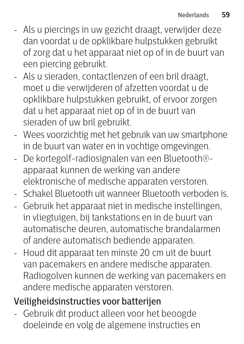- Als u piercings in uw gezicht draagt, verwijder deze dan voordat u de opklikbare hulpstukken gebruikt of zorg dat u het apparaat niet op of in de buurt van een piercing gebruikt.
- Als u sieraden, contactlenzen of een bril draagt, moet u die verwijderen of afzetten voordat u de opklikbare hulpstukken gebruikt, of ervoor zorgen dat u het apparaat niet op of in de buurt van sieraden of uw bril gebruikt.
- Wees voorzichtig met het gebruik van uw smartphone in de buurt van water en in vochtige omgevingen.
- De kortegolf-radiosignalen van een Bluetooth® apparaat kunnen de werking van andere elektronische of medische apparaten verstoren.
- Schakel Bluetooth uit wanneer Bluetooth verboden is.
- Gebruik het apparaat niet in medische instellingen, in vliegtuigen, bij tankstations en in de buurt van automatische deuren, automatische brandalarmen of andere automatisch bediende apparaten.
- Houd dit apparaat ten minste 20 cm uit de buurt van pacemakers en andere medische apparaten. Radiogolven kunnen de werking van pacemakers en andere medische apparaten verstoren.

### Veiligheidsinstructies voor batterijen

- Gebruik dit product alleen voor het beoogde doeleinde en volg de algemene instructies en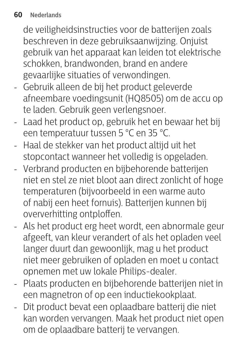de veiligheidsinstructies voor de batterijen zoals beschreven in deze gebruiksaanwijzing. Onjuist gebruik van het apparaat kan leiden tot elektrische schokken, brandwonden, brand en andere gevaarlijke situaties of verwondingen.

- Gebruik alleen de bij het product geleverde afneembare voedingsunit (HQ8505) om de accu op te laden. Gebruik geen verlengsnoer.
- Laad het product op, gebruik het en bewaar het bij een temperatuur tussen 5 °C en 35 °C.
- Haal de stekker van het product altijd uit het stopcontact wanneer het volledig is opgeladen.
- Verbrand producten en bijbehorende batterijen niet en stel ze niet bloot aan direct zonlicht of hoge temperaturen (bijvoorbeeld in een warme auto of nabij een heet fornuis). Batterijen kunnen bij oververhitting ontploffen.
- Als het product erg heet wordt, een abnormale geur afgeeft, van kleur verandert of als het opladen veel langer duurt dan gewoonlijk, mag u het product niet meer gebruiken of opladen en moet u contact opnemen met uw lokale Philips-dealer.
- Plaats producten en bijbehorende batterijen niet in een magnetron of op een inductiekookplaat.
- Dit product bevat een oplaadbare batterij die niet kan worden vervangen. Maak het product niet open om de oplaadbare batterij te vervangen.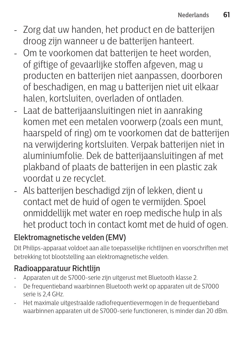- Zorg dat uw handen, het product en de batterijen droog zijn wanneer u de batterijen hanteert.
- Om te voorkomen dat batterijen te heet worden, of giftige of gevaarlijke stoffen afgeven, mag u producten en batterijen niet aanpassen, doorboren of beschadigen, en mag u batterijen niet uit elkaar halen, kortsluiten, overladen of ontladen.
- Laat de batterijaansluitingen niet in aanraking komen met een metalen voorwerp (zoals een munt, haarspeld of ring) om te voorkomen dat de batterijen na verwijdering kortsluiten. Verpak batterijen niet in aluminiumfolie. Dek de batterijaansluitingen af met plakband of plaats de batterijen in een plastic zak voordat u ze recyclet.
- Als batterijen beschadigd zijn of lekken, dient u contact met de huid of ogen te vermijden. Spoel onmiddellijk met water en roep medische hulp in als het product toch in contact komt met de huid of ogen.

## Elektromagnetische velden (EMV)

Dit Philips-apparaat voldoet aan alle toepasselijke richtlijnen en voorschriften met betrekking tot blootstelling aan elektromagnetische velden.

### Radioapparatuur Richtlijn

- Apparaten uit de S7000-serie zijn uitgerust met Bluetooth klasse 2.
- De frequentieband waarbinnen Bluetooth werkt op apparaten uit de S7000 serie is 2,4 GHz.
- Het maximale uitgestraalde radiofrequentievermogen in de frequentieband waarbinnen apparaten uit de S7000-serie functioneren, is minder dan 20 dBm.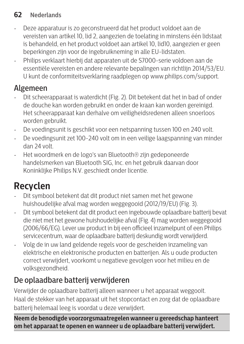#### **62 Nederlands**

- Deze apparatuur is zo geconstrueerd dat het product voldoet aan de vereisten van artikel 10, lid 2, aangezien de toelating in minstens één lidstaat is behandeld, en het product voldoet aan artikel 10, lid10, aangezien er geen beperkingen zijn voor de ingebruikneming in alle EU-lidstaten.
- Philips verklaart hierbij dat apparaten uit de S7000-serie voldoen aan de essentiële vereisten en andere relevante bepalingen van richtlijn 2014/53/EU. U kunt de conformiteitsverklaring raadplegen op www.philips.com/support.

#### Algemeen

- Dit scheerapparaat is waterdicht (Fig. 2). Dit betekent dat het in bad of onder de douche kan worden gebruikt en onder de kraan kan worden gereinigd. Het scheerapparaat kan derhalve om veiligheidsredenen alleen snoerloos worden gebruikt.
- De voedingsunit is geschikt voor een netspanning tussen 100 en 240 volt.
- De voedingsunit zet 100-240 volt om in een veilige laagspanning van minder dan 24 volt.
- Het woordmerk en de logo's van Bluetooth® zijn gedeponeerde handelsmerken van Bluetooth SIG, Inc. en het gebruik daarvan door Koninklijke Philips N.V. geschiedt onder licentie.

## **Recyclen**

- Dit symbool betekent dat dit product niet samen met het gewone huishoudelijke afval mag worden weggegooid (2012/19/EU) (Fig. 3).
- Dit symbool betekent dat dit product een ingebouwde oplaadbare batterij bevat die niet met het gewone huishoudelijke afval (Fig. 4) mag worden weggegooid (2006/66/EG). Lever uw product in bij een officieel inzamelpunt of een Philips servicecentrum, waar de oplaadbare batterij deskundig wordt verwijderd.
- Volg de in uw land geldende regels voor de gescheiden inzameling van elektrische en elektronische producten en batterijen. Als u oude producten correct verwijdert, voorkomt u negatieve gevolgen voor het milieu en de volksgezondheid.

### De oplaadbare batterij verwijderen

Verwijder de oplaadbare batterij alleen wanneer u het apparaat weggooit. Haal de stekker van het apparaat uit het stopcontact en zorg dat de oplaadbare batterij helemaal leeg is voordat u deze verwijdert.

**Neem de benodigde voorzorgsmaatregelen wanneer u gereedschap hanteert om het apparaat te openen en wanneer u de oplaadbare batterij verwijdert.**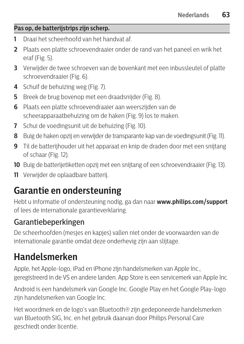#### **Pas op, de batterijstrips zijn scherp.**

- **1** Draai het scheerhoofd van het handvat af.
- **2** Plaats een platte schroevendraaier onder de rand van het paneel en wrik het eraf (Fig. 5).
- **3** Verwijder de twee schroeven van de bovenkant met een inbussleutel of platte schroevendraaier (Fig. 6).
- **4** Schuif de behuizing weg (Fig. 7).
- **5** Breek de brug bovenop met een draadsnijder (Fig. 8).
- **6** Plaats een platte schroevendraaier aan weerszijden van de scheerapparaatbehuizing om de haken (Fig. 9) los te maken.
- **7** Schui de voedingsunit uit de behuizing (Fig. 10).
- **8** Buig de haken opzij en verwijder de transparante kap van de voedingsunit (Fig. 11).
- **9** Til de batterijhouder uit het apparaat en knip de draden door met een snijtang of schaar (Fig. 12).
- **10** Buig de batterijetiketten opzij met een snijtang of een schroevendraaier (Fig. 13).
- **11** Verwijder de oplaadbare batterij.

## **Garantie en ondersteuning**

Hebt u informatie of ondersteuning nodig, ga dan naar **www.philips.com/support**  of lees de internationale garantieverklaring.

#### Garantiebeperkingen

De scheerhoofden (mesjes en kapjes) vallen niet onder de voorwaarden van de internationale garantie omdat deze onderhevig zijn aan slijtage.

## **Handelsmerken**

Apple, het Apple-logo, iPad en iPhone zijn handelsmerken van Apple Inc., geregistreerd in de VS en andere landen. App Store is een servicemerk van Apple Inc.

Android is een handelsmerk van Google Inc. Google Play en het Google Play-logo zijn handelsmerken van Google Inc.

Het woordmerk en de logo's van Bluetooth® zijn gedeponeerde handelsmerken van Bluetooth SIG, Inc. en het gebruik daarvan door Philips Personal Care geschiedt onder licentie.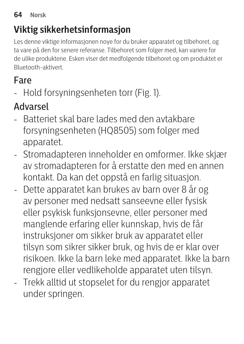# **Viktig sikkerhetsinformasjon**

Les denne viktige informasjonen noye for du bruker apparatet og tilbehøret, og ta vare på den for senere referanse. Tilbehøret som følger med, kan variere for de ulike produktene. Esken viser det medfølgende tilbehøret og om produktet er Bluetooth-aktivert.

# Fare

Hold forsyningsenheten torr (Fig. 1).

# Advarsel

- Batteriet skal bare lades med den avtakbare forsyningsenheten (HQ8505) som følger med apparatet.
- Strømadapteren inneholder en omformer. Ikke skjær av strømadapteren for å erstatte den med en annen kontakt. Da kan det oppstå en farlig situasjon.
- Dette apparatet kan brukes av barn over 8 år og av personer med nedsatt sanseevne eller fysisk eller psykisk funksjonsevne, eller personer med manglende erfaring eller kunnskap, hvis de får instruksjoner om sikker bruk av apparatet eller tilsyn som sikrer sikker bruk, og hvis de er klar over risikoen. Ikke la barn leke med apparatet. Ikke la barn rengjøre eller vedlikeholde apparatet uten tilsyn.
- Trekk alltid ut støpselet før du rengjør apparatet under springen.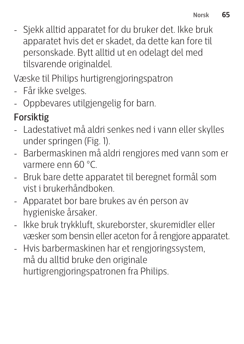- Sjekk alltid apparatet før du bruker det. Ikke bruk apparatet hvis det er skadet, da dette kan føre til personskade. Bytt alltid ut en ødelagt del med tilsvarende originaldel.

Væske til Philips hurtigrengjøringspatron

- Får ikke svelges.
- Oppbevares utilgjengelig for barn.

# Forsiktig

- Ladestativet må aldri senkes ned i vann eller skylles under springen (Fig. 1).
- Barbermaskinen må aldri rengjøres med vann som er varmere enn 60 °C.
- Bruk bare dette apparatet til beregnet formål som vist i brukerhåndboken.
- Apparatet bør bare brukes av én person av hygieniske årsaker.
- Ikke bruk trykkluft, skurebørster, skuremidler eller væsker som bensin eller aceton for å rengjøre apparatet.
- Hvis barbermaskinen har et rengjøringssystem, må du alltid bruke den originale hurtigrengjøringspatronen fra Philips.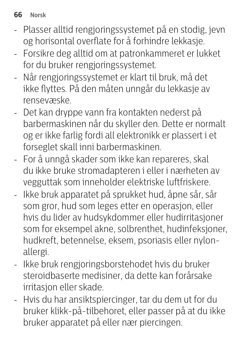- Plasser alltid rengjøringssystemet på en stødig, jevn og horisontal overflate for å forhindre lekkasje.
- Forsikre deg alltid om at patronkammeret er lukket før du bruker rengjøringssystemet.
- Når rengjøringssystemet er klart til bruk, må det ikke flyttes. På den måten unngår du lekkasje av rensevæske.
- Det kan dryppe vann fra kontakten nederst på barbermaskinen når du skyller den. Dette er normalt og er ikke farlig fordi all elektronikk er plassert i et forseglet skall inni barbermaskinen.
- For å unngå skader som ikke kan repareres, skal du ikke bruke strømadapteren i eller i nærheten av vegguttak som inneholder elektriske luftfriskere.
- Ikke bruk apparatet på sprukket hud, åpne sår, sår som gror, hud som leges etter en operasjon, eller hvis du lider av hudsykdommer eller hudirritasjoner som for eksempel akne, solbrenthet, hudinfeksjoner, hudkreft, betennelse, eksem, psoriasis eller nylonallergi.
- Ikke bruk rengjøringsbørstehodet hvis du bruker steroidbaserte medisiner, da dette kan forårsake irritasjon eller skade.
- Hvis du har ansiktspiercinger, tar du dem ut før du bruker klikk-på-tilbehøret, eller passer på at du ikke bruker apparatet på eller nær piercingen.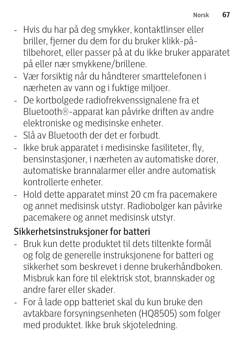- Hvis du har på deg smykker, kontaktlinser eller briller, fjerner du dem før du bruker klikk-påtilbehøret, eller passer på at du ikke bruker apparatet på eller nær smykkene/brillene.
- Vær forsiktig når du håndterer smarttelefonen i nærheten av vann og i fuktige miljoer.
- De kortbølgede radiofrekvenssignalene fra et Bluetooth®-apparat kan påvirke driften av andre elektroniske og medisinske enheter.
- Slå av Bluetooth der det er forbudt.
- Ikke bruk apparatet i medisinske fasiliteter, fly, bensinstasjoner, i nærheten av automatiske dører, automatiske brannalarmer eller andre automatisk kontrollerte enheter.
- Hold dette apparatet minst 20 cm fra pacemakere og annet medisinsk utstyr. Radiobølger kan påvirke pacemakere og annet medisinsk utstyr.

## Sikkerhetsinstruksjoner for batteri

- Bruk kun dette produktet til dets tiltenkte formål og følg de generelle instruksjonene for batteri og sikkerhet som beskrevet i denne brukerhåndboken. Misbruk kan føre til elektrisk støt, brannskader og andre farer eller skader.
- For å lade opp batteriet skal du kun bruke den avtakbare forsyningsenheten (HQ8505) som følger med produktet. Ikke bruk skjøteledning.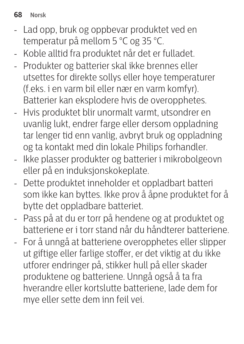- **68 Norsk**
- Lad opp, bruk og oppbevar produktet ved en temperatur på mellom 5 °C og 35 °C.
- Koble alltid fra produktet når det er fulladet.
- Produkter og batterier skal ikke brennes eller utsettes for direkte sollys eller høye temperaturer (f.eks. i en varm bil eller nær en varm komfyr). Batterier kan eksplodere hvis de overopphetes.
- Hvis produktet blir unormalt varmt, utsondrer en uvanlig lukt, endrer farge eller dersom oppladning tar lenger tid enn vanlig, avbryt bruk og oppladning og ta kontakt med din lokale Philips forhandler.
- Ikke plasser produkter og batterier i mikrobølgeovn eller på en induksjonskokeplate.
- Dette produktet inneholder et oppladbart batteri som ikke kan byttes. Ikke prøv å åpne produktet for å bytte det oppladbare batteriet.
- Pass på at du er tørr på hendene og at produktet og batteriene er i tørr stand når du håndterer batteriene.
- For å unngå at batteriene overopphetes eller slipper ut giftige eller farlige stoffer, er det viktig at du ikke utfører endringer på, stikker hull på eller skader produktene og batteriene. Unngå også å ta fra hverandre eller kortslutte batteriene, lade dem for mye eller sette dem inn feil vei.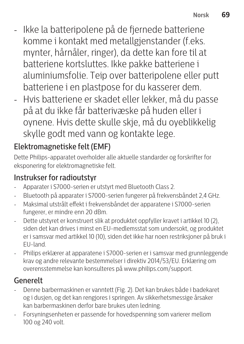- Ikke la batteripolene på de fjernede batteriene komme i kontakt med metallgjenstander (f.eks. mynter, hårnåler, ringer), da dette kan føre til at batteriene kortsluttes. Ikke pakke batteriene i aluminiumsfolie. Teip over batteripolene eller putt batteriene i en plastpose før du kasserer dem.
- Hvis batteriene er skadet eller lekker, må du passe på at du ikke får batterivæske på huden eller i øynene. Hvis dette skulle skje, må du øyeblikkelig skylle godt med vann og kontakte lege.

#### Elektromagnetiske felt (EMF)

Dette Philips-apparatet overholder alle aktuelle standarder og forskrifter for eksponering for elektromagnetiske felt.

#### Instrukser for radioutstyr

- Apparater i S7000-serien er utstyrt med Bluetooth Class 2.
- Bluetooth på apparater i S7000-serien fungerer på frekvensbåndet 2,4 GHz.
- Maksimal utstrålt effekt i frekvensbåndet der apparatene i S7000-serien fungerer, er mindre enn 20 dBm.
- Dette utstyret er konstruert slik at produktet oppfyller kravet i artikkel 10 (2), siden det kan drives i minst en EU-medlemsstat som undersøkt, og produktet er i samsvar med artikkel 10 (10), siden det ikke har noen restriksjoner på bruk i EU-land.
- Philips erklærer at apparatene i S7000-serien er i samsvar med grunnleggende krav og andre relevante bestemmelser i direktiv 2014/53/EU. Erklæring om overensstemmelse kan konsulteres på www.philips.com/support.

### Generelt

- Denne barbermaskinen er vanntett (Fig. 2). Det kan brukes både i badekaret og i dusjen, og det kan rengjøres i springen. Av sikkerhetsmessige årsaker kan barbermaskinen derfor bare brukes uten ledning.
- Forsyningsenheten er passende for hovedspenning som varierer mellom 100 og 240 volt.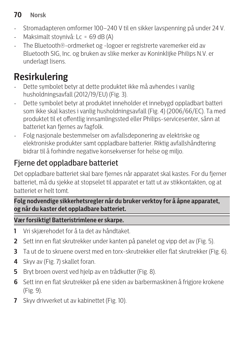#### **70 Norsk**

- Strømadapteren omformer 100–240 V til en sikker lavspenning på under 24 V.
- Maksimalt støynivå: Lc = 69 dB (A)
- The Bluetooth®-ordmerket og -logoer er registrerte varemerker eid av Bluetooth SIG, Inc. og bruken av slike merker av Koninklijke Philips N.V. er underlagt lisens.

# **Resirkulering**

- Dette symbolet betyr at dette produktet ikke må avhendes i vanlig husholdningsavfall (2012/19/EU) (Fig. 3).
- Dette symbolet betyr at produktet inneholder et innebygd oppladbart batteri som ikke skal kastes i vanlig husholdningsavfall (Fig. 4) (2006/66/EC). Ta med produktet til et offentlig innsamlingssted eller Philips-servicesenter, sånn at batteriet kan fjernes av fagfolk.
- Følg nasjonale bestemmelser om avfallsdeponering av elektriske og elektroniske produkter samt oppladbare batterier. Riktig avfallshåndtering bidrar til å forhindre negative konsekvenser for helse og miljø.

## Fjerne det oppladbare batteriet

Det oppladbare batteriet skal bare fjernes når apparatet skal kastes. Før du fjerner batteriet, må du sjekke at støpselet til apparatet er tatt ut av stikkontakten, og at batteriet er helt tomt.

**Følg nødvendige sikkerhetsregler når du bruker verktøy for å åpne apparatet, og når du kaster det oppladbare batteriet.**

#### **Vær forsiktig! Batteristrimlene er skarpe.**

- **1** Vri skjærehodet for å ta det av håndtaket.
- **2** Sett inn en flat skrutrekker under kanten på panelet og vipp det av (Fig. 5).
- **3** Ta ut de to skruene øverst med en torx-skrutrekker eller flat skrutrekker (Fig. 6).
- **4** Skyv av (Fig. 7) skallet foran.
- **5** Bryt broen øverst ved hjelp av en trådkutter (Fig. 8).
- **6** Sett inn en flat skrutrekker på ene siden av barbermaskinen å frigjøre krokene (Fig. 9).
- **7** Skyv drivverket ut av kabinettet (Fig. 10).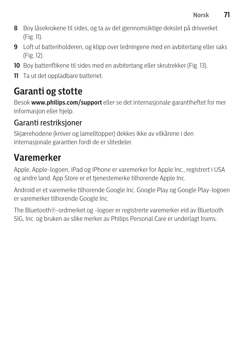- **8** Bøy låsekrokene til sides, og ta av det gjennomsiktige dekslet på drivverket (Fig. 11).
- **9** Løft ut batteriholderen, og klipp over ledningene med en avbitertang eller saks (Fig. 12).
- **10** Bøy batteriflikene til sides med en avbitertang eller skrutrekker (Fig. 13).
- **11** Ta ut det oppladbare batteriet.

## **Garanti og støtte**

Besøk **www.philips.com/support** eller se det internasjonale garantiheftet for mer informasjon eller hjelp.

#### Garanti restriksjoner

Skjærehodene (kniver og lamelltopper) dekkes ikke av vilkårene i den internasjonale garantien fordi de er slitedeler.

## **Varemerker**

Apple, Apple-logoen, iPad og iPhone er varemerker for Apple Inc., registrert i USA og andre land. App Store er et tjenestemerke tilhørende Apple Inc.

Android er et varemerke tilhørende Google Inc. Google Play og Google Play-logoen er varemerker tilhørende Google Inc.

The Bluetooth®-ordmerket og -logoer er registrerte varemerker eid av Bluetooth SIG, Inc. og bruken av slike merker av Philips Personal Care er underlagt lisens.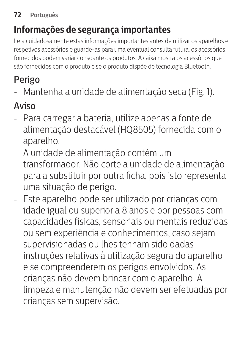# **Informações de segurança importantes**

Leia cuidadosamente estas informações importantes antes de utilizar os aparelhos e respetivos acessórios e guarde-as para uma eventual consulta futura. os acessórios fornecidos podem variar consoante os produtos. A caixa mostra os acessórios que são fornecidos com o produto e se o produto dispõe de tecnologia Bluetooth.

# Perigo

- Mantenha a unidade de alimentação seca (Fig. 1).

# Aviso

- Para carregar a bateria, utilize apenas a fonte de alimentação destacável (HQ8505) fornecida com o aparelho.
- A unidade de alimentação contém um transformador. Não corte a unidade de alimentação para a substituir por outra ficha, pois isto representa uma situação de perigo.
- Este aparelho pode ser utilizado por crianças com idade igual ou superior a 8 anos e por pessoas com capacidades físicas, sensoriais ou mentais reduzidas ou sem experiência e conhecimentos, caso sejam supervisionadas ou lhes tenham sido dadas instruções relativas à utilização segura do aparelho e se compreenderem os perigos envolvidos. As crianças não devem brincar com o aparelho. A limpeza e manutenção não devem ser efetuadas por crianças sem supervisão.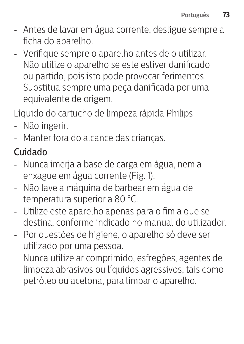- Antes de lavar em água corrente, desligue sempre a ficha do aparelho.
- Verifique sempre o aparelho antes de o utilizar. Não utilize o aparelho se este estiver danificado ou partido, pois isto pode provocar ferimentos. Substitua sempre uma peça danificada por uma equivalente de origem.

Líquido do cartucho de limpeza rápida Philips

- Não ingerir.
- Manter fora do alcance das crianças.

# Cuidado

- Nunca imerja a base de carga em água, nem a enxague em água corrente (Fig. 1).
- Não lave a máquina de barbear em água de temperatura superior a 80 °C.
- Utilize este aparelho apenas para o fim a que se destina, conforme indicado no manual do utilizador.
- Por questões de higiene, o aparelho só deve ser utilizado por uma pessoa.
- Nunca utilize ar comprimido, esfregões, agentes de limpeza abrasivos ou líquidos agressivos, tais como petróleo ou acetona, para limpar o aparelho.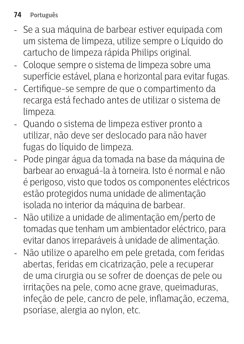- Se a sua máquina de barbear estiver equipada com um sistema de limpeza, utilize sempre o Líquido do cartucho de limpeza rápida Philips original.
- Coloque sempre o sistema de limpeza sobre uma superfície estável, plana e horizontal para evitar fugas.
- Certifique-se sempre de que o compartimento da recarga está fechado antes de utilizar o sistema de limpeza.
- Quando o sistema de limpeza estiver pronto a utilizar, não deve ser deslocado para não haver fugas do líquido de limpeza.
- Pode pingar água da tomada na base da máquina de barbear ao enxaguá-la à torneira. Isto é normal e não é perigoso, visto que todos os componentes eléctricos estão protegidos numa unidade de alimentação isolada no interior da máquina de barbear.
- Não utilize a unidade de alimentação em/perto de tomadas que tenham um ambientador eléctrico, para evitar danos irreparáveis à unidade de alimentação.
- Não utilize o aparelho em pele gretada, com feridas abertas, feridas em cicatrização, pele a recuperar de uma cirurgia ou se sofrer de doenças de pele ou irritações na pele, como acne grave, queimaduras, infeção de pele, cancro de pele, inflamação, eczema, psoríase, alergia ao nylon, etc.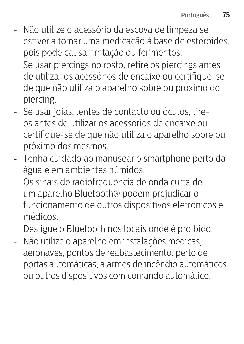- Não utilize o acessório da escova de limpeza se estiver a tomar uma medicação à base de esteroides, pois pode causar irritação ou ferimentos.
- Se usar piercings no rosto, retire os piercings antes de utilizar os acessórios de encaixe ou certifique-se de que não utiliza o aparelho sobre ou próximo do piercing.
- Se usar joias, lentes de contacto ou óculos, tireos antes de utilizar os acessórios de encaixe ou certifique-se de que não utiliza o aparelho sobre ou próximo dos mesmos.
- Tenha cuidado ao manusear o smartphone perto da água e em ambientes húmidos.
- Os sinais de radiofrequência de onda curta de um aparelho Bluetooth® podem prejudicar o funcionamento de outros dispositivos eletrónicos e médicos.
- Desligue o Bluetooth nos locais onde é proibido.
- Não utilize o aparelho em instalações médicas, aeronaves, pontos de reabastecimento, perto de portas automáticas, alarmes de incêndio automáticos ou outros dispositivos com comando automático.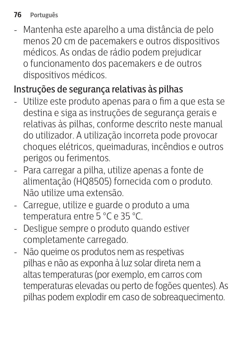- Mantenha este aparelho a uma distância de pelo menos 20 cm de pacemakers e outros dispositivos médicos. As ondas de rádio podem prejudicar o funcionamento dos pacemakers e de outros dispositivos médicos.

## Instruções de segurança relativas às pilhas

- Utilize este produto apenas para o fim a que esta se destina e siga as instruções de segurança gerais e relativas às pilhas, conforme descrito neste manual do utilizador. A utilização incorreta pode provocar choques elétricos, queimaduras, incêndios e outros perigos ou ferimentos.
- Para carregar a pilha, utilize apenas a fonte de alimentação (HQ8505) fornecida com o produto. Não utilize uma extensão.
- Carregue, utilize e guarde o produto a uma temperatura entre 5 °C e 35 °C.
- Desligue sempre o produto quando estiver completamente carregado.
- Não queime os produtos nem as respetivas pilhas e não as exponha à luz solar direta nem a altas temperaturas (por exemplo, em carros com temperaturas elevadas ou perto de fogões quentes). As pilhas podem explodir em caso de sobreaquecimento.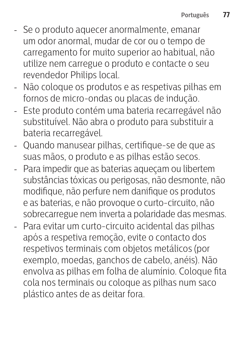- Se o produto aquecer anormalmente, emanar um odor anormal, mudar de cor ou o tempo de carregamento for muito superior ao habitual, não utilize nem carregue o produto e contacte o seu revendedor Philips local.
- Não coloque os produtos e as respetivas pilhas em fornos de micro-ondas ou placas de indução.
- Este produto contém uma bateria recarregável não substituível. Não abra o produto para substituir a bateria recarregável.
- Quando manusear pilhas, certifique-se de que as suas mãos, o produto e as pilhas estão secos.
- Para impedir que as baterias aqueçam ou libertem substâncias tóxicas ou perigosas, não desmonte, não modifique, não perfure nem danifique os produtos e as baterias, e não provoque o curto-circuito, não sobrecarregue nem inverta a polaridade das mesmas.
- Para evitar um curto-circuito acidental das pilhas após a respetiva remoção, evite o contacto dos respetivos terminais com objetos metálicos (por exemplo, moedas, ganchos de cabelo, anéis). Não envolva as pilhas em folha de alumínio. Coloque fita cola nos terminais ou coloque as pilhas num saco plástico antes de as deitar fora.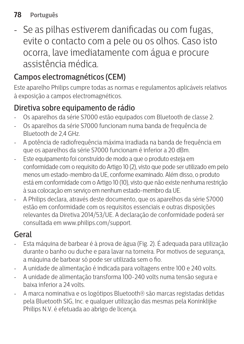- Se as pilhas estiverem danificadas ou com fugas, evite o contacto com a pele ou os olhos. Caso isto ocorra, lave imediatamente com água e procure assistência médica.

## Campos electromagnéticos (CEM)

Este aparelho Philips cumpre todas as normas e regulamentos aplicáveis relativos à exposição a campos electromagnéticos.

### Diretiva sobre equipamento de rádio

- Os aparelhos da série S7000 estão equipados com Bluetooth de classe 2.
- Os aparelhos da série S7000 funcionam numa banda de frequência de Bluetooth de 2,4 GHz.
- A potência de radiofrequência máxima irradiada na banda de frequência em que os aparelhos da série S7000 funcionam é inferior a 20 dBm.
- Este equipamento foi construído de modo a que o produto esteja em conformidade com o requisito do Artigo 10 (2), visto que pode ser utilizado em pelo menos um estado-membro da UE, conforme examinado. Além disso, o produto está em conformidade com o Artigo 10 (10), visto que não existe nenhuma restrição à sua colocação em serviço em nenhum estado-membro da UE.
- A Philips declara, através deste documento, que os aparelhos da série S7000 estão em conformidade com os requisitos essenciais e outras disposições relevantes da Diretiva 2014/53/UE. A declaração de conformidade poderá ser consultada em www.philips.com/support.

## Geral

- Esta máquina de barbear é à prova de água (Fig. 2). É adequada para utilização durante o banho ou duche e para lavar na torneira. Por motivos de segurança, a máquina de barbear só pode ser utilizada sem o fio.
- A unidade de alimentação é indicada para voltagens entre 100 e 240 volts.
- A unidade de alimentação transforma 100-240 volts numa tensão segura e baixa inferior a 24 volts.
- A marca nominativa e os logótipos Bluetooth® são marcas registadas detidas pela Bluetooth SIG, Inc. e qualquer utilização das mesmas pela Koninklijke Philips N.V. é efetuada ao abrigo de licença.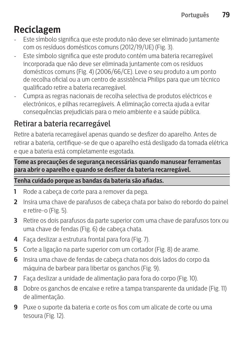# **Reciclagem**

- Este símbolo significa que este produto não deve ser eliminado juntamente com os resíduos domésticos comuns (2012/19/UE) (Fig. 3).
- Este símbolo significa que este produto contém uma bateria recarregável incorporada que não deve ser eliminada juntamente com os resíduos domésticos comuns (Fig. 4) (2006/66/CE). Leve o seu produto a um ponto de recolha oficial ou a um centro de assistência Philips para que um técnico qualificado retire a bateria recarregável.
- Cumpra as regras nacionais de recolha selectiva de produtos eléctricos e electrónicos, e pilhas recarregáveis. A eliminação correcta ajuda a evitar consequências prejudiciais para o meio ambiente e a saúde pública.

## Retirar a bateria recarregável

Retire a bateria recarregável apenas quando se desfizer do aparelho. Antes de retirar a bateria, certifique-se de que o aparelho está desligado da tomada elétrica e que a bateria está completamente esgotada.

#### **Tome as precauções de segurança necessárias quando manusear ferramentas para abrir o aparelho e quando se desfizer da bateria recarregável.**

#### **Tenha cuidado porque as bandas da bateria são afiadas.**

- **1** Rode a cabeça de corte para a remover da pega.
- **2** Insira uma chave de parafusos de cabeça chata por baixo do rebordo do painel e retire-o (Fig. 5).
- **3** Retire os dois parafusos da parte superior com uma chave de parafusos torx ou uma chave de fendas (Fig. 6) de cabeça chata.
- **4** Faça deslizar a estrutura frontal para fora (Fig. 7).
- **5** Corte a ligação na parte superior com um cortador (Fig. 8) de arame.
- **6** Insira uma chave de fendas de cabeça chata nos dois lados do corpo da máquina de barbear para libertar os ganchos (Fig. 9).
- **7** Faça deslizar a unidade de alimentação para fora do corpo (Fig. 10).
- **8** Dobre os ganchos de encaixe e retire a tampa transparente da unidade (Fig. 11) de alimentação.
- **9** Puxe o suporte da bateria e corte os fios com um alicate de corte ou uma tesoura (Fig. 12).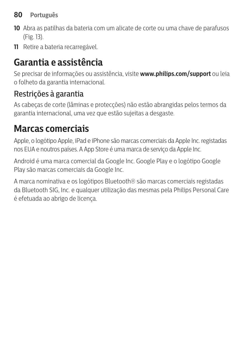#### **80 Português**

- **10** Abra as patilhas da bateria com um alicate de corte ou uma chave de parafusos (Fig. 13).
- **11** Retire a bateria recarregável.

# **Garantia e assistência**

Se precisar de informações ou assistência, visite **www.philips.com/support** ou leia o folheto da garantia internacional.

## Restrições à garantia

As cabeças de corte (lâminas e protecções) não estão abrangidas pelos termos da garantia internacional, uma vez que estão sujeitas a desgaste.

# **Marcas comerciais**

Apple, o logótipo Apple, iPad e iPhone são marcas comerciais da Apple Inc. registadas nos EUA e noutros países. A App Store é uma marca de serviço da Apple Inc.

Android é uma marca comercial da Google Inc. Google Play e o logótipo Google Play são marcas comerciais da Google Inc.

A marca nominativa e os logótipos Bluetooth® são marcas comerciais registadas da Bluetooth SIG, Inc. e qualquer utilização das mesmas pela Philips Personal Care é efetuada ao abrigo de licença.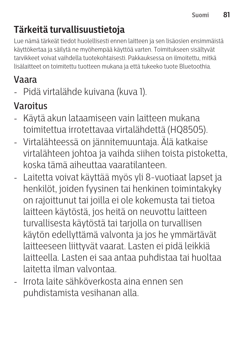# **Tärkeitä turvallisuustietoja**

Lue nämä tärkeät tiedot huolellisesti ennen laitteen ja sen lisäosien ensimmäistä käyttökertaa ja säilytä ne myöhempää käyttöä varten. Toimitukseen sisältyvät tarvikkeet voivat vaihdella tuotekohtaisesti. Pakkauksessa on ilmoitettu, mitkä lisälaitteet on toimitettu tuotteen mukana ja että tukeeko tuote Bluetoothia.

# Vaara

Pidä virtalähde kuivana (kuva 1).

# Varoitus

- Käytä akun lataamiseen vain laitteen mukana toimitettua irrotettavaa virtalähdettä (HQ8505).
- Virtalähteessä on jännitemuuntaja. Älä katkaise virtalähteen johtoa ja vaihda siihen toista pistoketta, koska tämä aiheuttaa vaaratilanteen.
- Laitetta voivat käyttää myös yli 8-vuotiaat lapset ja henkilöt, joiden fyysinen tai henkinen toimintakyky on rajoittunut tai joilla ei ole kokemusta tai tietoa laitteen käytöstä, jos heitä on neuvottu laitteen turvallisesta käytöstä tai tarjolla on turvallisen käytön edellyttämä valvonta ja jos he ymmärtävät laitteeseen liittyvät vaarat. Lasten ei pidä leikkiä laitteella. Lasten ei saa antaa puhdistaa tai huoltaa laitetta ilman valvontaa.
- Irrota laite sähköverkosta aina ennen sen puhdistamista vesihanan alla.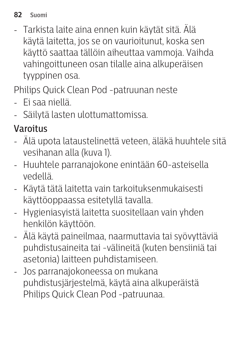#### **82 Suomi**

- Tarkista laite aina ennen kuin käytät sitä. Älä käytä laitetta, jos se on vaurioitunut, koska sen käyttö saattaa tällöin aiheuttaa vammoja. Vaihda vahingoittuneen osan tilalle aina alkuperäisen tyyppinen osa.

Philips Quick Clean Pod -patruunan neste

- Ei saa niellä.
- Säilytä lasten ulottumattomissa.

# Varoitus

- Älä upota lataustelinettä veteen, äläkä huuhtele sitä vesihanan alla (kuva 1).
- Huuhtele parranajokone enintään 60-asteisella vedellä.
- Käytä tätä laitetta vain tarkoituksenmukaisesti käyttöoppaassa esitetyllä tavalla.
- Hygieniasyistä laitetta suositellaan vain yhden henkilön käyttöön.
- Älä käytä paineilmaa, naarmuttavia tai syövyttäviä puhdistusaineita tai -välineitä (kuten bensiiniä tai asetonia) laitteen puhdistamiseen.
- Jos parranajokoneessa on mukana puhdistusjärjestelmä, käytä aina alkuperäistä Philips Quick Clean Pod -patruunaa.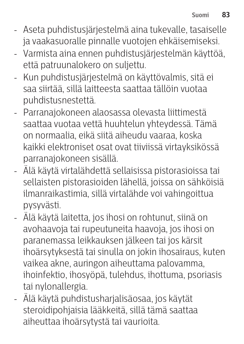- Aseta puhdistusjärjestelmä aina tukevalle, tasaiselle ja vaakasuoralle pinnalle vuotojen ehkäisemiseksi.
- Varmista aina ennen puhdistusjärjestelmän käyttöä, että patruunalokero on suljettu.
- Kun puhdistusjärjestelmä on käyttövalmis, sitä ei saa siirtää, sillä laitteesta saattaa tällöin vuotaa puhdistusnestettä.
- Parranajokoneen alaosassa olevasta liittimestä saattaa vuotaa vettä huuhtelun yhteydessä. Tämä on normaalia, eikä siitä aiheudu vaaraa, koska kaikki elektroniset osat ovat tiiviissä virtayksikössä parranajokoneen sisällä.
- Älä käytä virtalähdettä sellaisissa pistorasioissa tai sellaisten pistorasioiden lähellä, joissa on sähköisiä ilmanraikastimia, sillä virtalähde voi vahingoittua pysyvästi.
- Älä käytä laitetta, jos ihosi on rohtunut, siinä on avohaavoja tai rupeutuneita haavoja, jos ihosi on paranemassa leikkauksen jälkeen tai jos kärsit ihoärsytyksestä tai sinulla on jokin ihosairaus, kuten vaikea akne, auringon aiheuttama palovamma, ihoinfektio, ihosyöpä, tulehdus, ihottuma, psoriasis tai nylonallergia.
- Älä käytä puhdistusharjalisäosaa, jos käytät steroidipohjaisia lääkkeitä, sillä tämä saattaa aiheuttaa ihoärsytystä tai vaurioita.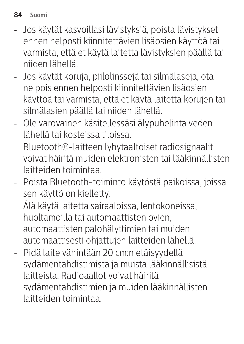- Jos käytät kasvoillasi lävistyksiä, poista lävistykset ennen helposti kiinnitettävien lisäosien käyttöä tai varmista, että et käytä laitetta lävistyksien päällä tai niiden lähellä.
- Jos käytät koruja, piilolinssejä tai silmälaseja, ota ne pois ennen helposti kiinnitettävien lisäosien käyttöä tai varmista, että et käytä laitetta korujen tai silmälasien päällä tai niiden lähellä.
- Ole varovainen käsitellessäsi älypuhelinta veden lähellä tai kosteissa tiloissa.
- Bluetooth®-laitteen lyhytaaltoiset radiosignaalit voivat häiritä muiden elektronisten tai lääkinnällisten laitteiden toimintaa.
- Poista Bluetooth-toiminto käytöstä paikoissa, joissa sen käyttö on kielletty.
- Älä käytä laitetta sairaaloissa, lentokoneissa, huoltamoilla tai automaattisten ovien, automaattisten palohälyttimien tai muiden automaattisesti ohjattujen laitteiden lähellä.
- Pidä laite vähintään 20 cm:n etäisyydellä sydämentahdistimista ja muista lääkinnällisistä laitteista. Radioaallot voivat häiritä sydämentahdistimien ja muiden lääkinnällisten laitteiden toimintaa.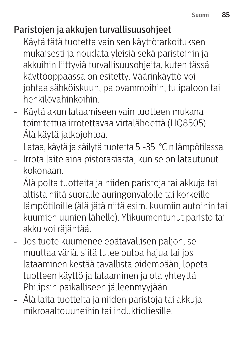## Paristojen ja akkujen turvallisuusohjeet

- Käytä tätä tuotetta vain sen käyttötarkoituksen mukaisesti ja noudata yleisiä sekä paristoihin ja akkuihin liittyviä turvallisuusohjeita, kuten tässä käyttöoppaassa on esitetty. Väärinkäyttö voi johtaa sähköiskuun, palovammoihin, tulipaloon tai henkilövahinkoihin.
- Käytä akun lataamiseen vain tuotteen mukana toimitettua irrotettavaa virtalähdettä (HQ8505). Älä käytä jatkojohtoa.
- Lataa, käytä ja säilytä tuotetta 5 -35 °C:n lämpötilassa.
- Irrota laite aina pistorasiasta, kun se on latautunut kokonaan.
- Älä polta tuotteita ja niiden paristoja tai akkuja tai altista niitä suoralle auringonvalolle tai korkeille lämpötiloille (älä jätä niitä esim. kuumiin autoihin tai kuumien uunien lähelle). Ylikuumentunut paristo tai akku voi räjähtää.
- Jos tuote kuumenee epätavallisen paljon, se muuttaa väriä, siitä tulee outoa hajua tai jos lataaminen kestää tavallista pidempään, lopeta tuotteen käyttö ja lataaminen ja ota yhteyttä Philipsin paikalliseen jälleenmyyjään.
- Älä laita tuotteita ja niiden paristoja tai akkuja mikroaaltouuneihin tai induktioliesille.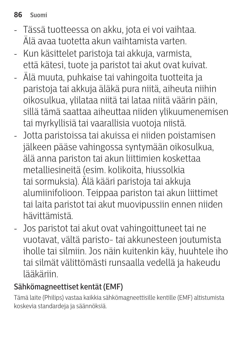- Tässä tuotteessa on akku, jota ei voi vaihtaa. Älä avaa tuotetta akun vaihtamista varten.
- Kun käsittelet paristoja tai akkuja, varmista, että kätesi, tuote ja paristot tai akut ovat kuivat.
- Älä muuta, puhkaise tai vahingoita tuotteita ja paristoja tai akkuja äläkä pura niitä, aiheuta niihin oikosulkua, ylilataa niitä tai lataa niitä väärin päin, sillä tämä saattaa aiheuttaa niiden ylikuumenemisen tai myrkyllisiä tai vaarallisia vuotoja niistä.
- Jotta paristoissa tai akuissa ei niiden poistamisen jälkeen pääse vahingossa syntymään oikosulkua, älä anna pariston tai akun liittimien koskettaa metalliesineitä (esim. kolikoita, hiussolkia tai sormuksia). Älä kääri paristoja tai akkuja alumiinifolioon. Teippaa pariston tai akun liittimet tai laita paristot tai akut muovipussiin ennen niiden hävittämistä.
- Jos paristot tai akut ovat vahingoittuneet tai ne vuotavat, vältä paristo- tai akkunesteen joutumista iholle tai silmiin. Jos näin kuitenkin käy, huuhtele iho tai silmät välittömästi runsaalla vedellä ja hakeudu lääkäriin.

## Sähkömagneettiset kentät (EMF)

Tämä laite (Philips) vastaa kaikkia sähkömagneettisille kentille (EMF) altistumista koskevia standardeja ja säännöksiä.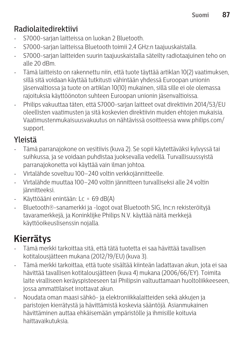#### Radiolaitedirektiivi

- S7000-sarjan laitteissa on luokan 2 Bluetooth.
- S7000-sarjan laitteissa Bluetooth toimii 2,4 GHz:n taajuuskaistalla.
- S7000-sarjan laitteiden suurin taajuuskaistalla säteilty radiotaajuinen teho on alle 20 dBm.
- Tämä laitteisto on rakennettu niin, että tuote täyttää artiklan 10(2) vaatimuksen, sillä sitä voidaan käyttää tutkitusti vähintään yhdessä Euroopan unionin jäsenvaltiossa ja tuote on artiklan 10(10) mukainen, sillä sille ei ole olemassa rajoituksia käyttöönoton suhteen Euroopan unionin jäsenvaltioissa.
- Philips vakuuttaa täten, että S7000-sarjan laitteet ovat direktiivin 2014/53/EU oleellisten vaatimusten ja sitä koskevien direktiivin muiden ehtojen mukaisia. Vaatimustenmukaisuusvakuutus on nähtävissä osoitteessa www.philips.com/ support.

#### Yleistä

- Tämä parranajokone on vesitiivis (kuva 2). Se sopii käytettäväksi kylvyssä tai suihkussa, ja se voidaan puhdistaa juoksevalla vedellä. Turvallisuussyistä parranajokonetta voi käyttää vain ilman johtoa.
- Virtalähde soveltuu 100–240 voltin verkkojännitteelle.
- Virtalähde muuttaa 100–240 voltin jännitteen turvalliseksi alle 24 voltin jännitteeksi.
- Käyttöääni enintään: Lc = 69 dB(A)
- Bluetooth®-sanamerkki ja -logot ovat Bluetooth SIG, Inc:n rekisteröityjä tavaramerkkejä, ja Koninklijke Philips N.V. käyttää näitä merkkejä käyttöoikeuslisenssin nojalla.

# **Kierrätys**

- Tämä merkki tarkoittaa sitä, että tätä tuotetta ei saa hävittää tavallisen kotitalousjätteen mukana (2012/19/EU) (kuva 3).
- Tämä merkki tarkoittaa, että tuote sisältää kiinteän ladattavan akun, jota ei saa hävittää tavallisen kotitalousjätteen (kuva 4) mukana (2006/66/EY). Toimita laite viralliseen keräyspisteeseen tai Philipsin valtuuttamaan huoltoliikkeeseen, jossa ammattilaiset irrottavat akun.
- Noudata oman maasi sähkö- ja elektroniikkalaitteiden sekä akkujen ja paristojen kierrätystä ja hävittämistä koskevia sääntöjä. Asianmukainen hävittäminen auttaa ehkäisemään ympäristölle ja ihmisille koituvia haittavaikutuksia.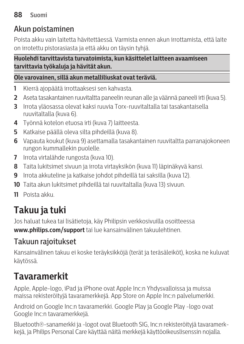#### **88 Suomi**

### Akun poistaminen

Poista akku vain laitetta hävitettäessä. Varmista ennen akun irrottamista, että laite on irrotettu pistorasiasta ja että akku on täysin tyhjä.

#### **Huolehdi tarvittavista turvatoimista, kun käsittelet laitteen avaamiseen tarvittavia työkaluja ja hävität akun.**

#### **Ole varovainen, sillä akun metalliliuskat ovat teräviä.**

- **1** Kierrä ajopäätä irrottaaksesi sen kahvasta.
- **2** Aseta tasakantainen ruuvitaltta paneelin reunan alle ja väännä paneeli irti (kuva 5).
- **3** Irrota yläosassa olevat kaksi ruuvia Torx-ruuvitaltalla tai tasakantaisella ruuvitaltalla (kuva 6).
- **4** Työnnä kotelon etuosa irti (kuva 7) laitteesta.
- **5** Katkaise päällä oleva silta pihdeillä (kuva 8).
- **6** Vapauta koukut (kuva 9) asettamalla tasakantainen ruuvitaltta parranajokoneen rungon kummallekin puolelle.
- **7** Irrota virtalähde rungosta (kuva 10).
- **8** Taita lukitsimet sivuun ja irrota virtayksikön (kuva 11) läpinäkyvä kansi.
- **9** Irrota akkuteline ja katkaise johdot pihdeillä tai saksilla (kuva 12).
- **10** Taita akun lukitsimet pihdeillä tai ruuvitaltalla (kuva 13) sivuun.
- **11** Poista akku.

# **Takuu ja tuki**

Jos haluat tukea tai lisätietoja, käy Philipsin verkkosivuilla osoitteessa **www.philips.com/support** tai lue kansainvälinen takuulehtinen.

## Takuun rajoitukset

Kansainvälinen takuu ei koske teräyksikköjä (terät ja teräsäleiköt), koska ne kuluvat käytössä.

# **Tavaramerkit**

Apple, Apple-logo, iPad ja iPhone ovat Apple Inc:n Yhdysvalloissa ja muissa maissa rekisteröityjä tavaramerkkejä. App Store on Apple Inc:n palvelumerkki.

Android on Google Inc:n tavaramerkki. Google Play ja Google Play -logo ovat Google Inc:n tavaramerkkejä.

Bluetooth®-sanamerkki ja -logot ovat Bluetooth SIG, Inc:n rekisteröityjä tavaramerkkejä, ja Philips Personal Care käyttää näitä merkkejä käyttöoikeuslisenssin nojalla.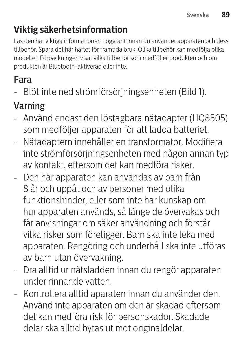# **Viktig säkerhetsinformation**

Läs den här viktiga informationen noggrant innan du använder apparaten och dess tillbehör. Spara det här häftet för framtida bruk. Olika tillbehör kan medfölja olika modeller. Förpackningen visar vilka tillbehör som medföljer produkten och om produkten är Bluetooth-aktiverad eller inte.

# Fara

Blöt inte ned strömförsörjningsenheten (Bild 1).

# Varning

- Använd endast den löstagbara nätadapter (HQ8505) som medföljer apparaten för att ladda batteriet.
- Nätadaptern innehåller en transformator. Modifiera inte strömförsörjningsenheten med någon annan typ av kontakt, eftersom det kan medföra risker.
- Den här apparaten kan användas av barn från 8 år och uppåt och av personer med olika funktionshinder, eller som inte har kunskap om hur apparaten används, så länge de övervakas och får anvisningar om säker användning och förstår vilka risker som föreligger. Barn ska inte leka med apparaten. Rengöring och underhåll ska inte utföras av barn utan övervakning.
- Dra alltid ur nätsladden innan du rengör apparaten under rinnande vatten.
- Kontrollera alltid aparaten innan du använder den. Använd inte apparaten om den är skadad eftersom det kan medföra risk för personskador. Skadade delar ska alltid bytas ut mot originaldelar.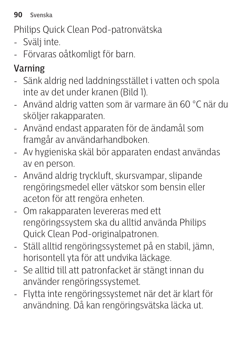**90 Svenska**

Philips Quick Clean Pod-patronvätska

- Svälj inte.
- Förvaras oåtkomligt för barn.

# Varning

- Sänk aldrig ned laddningsstället i vatten och spola inte av det under kranen (Bild 1).
- Använd aldrig vatten som är varmare än 60 °C när du sköljer rakapparaten.
- Använd endast apparaten för de ändamål som framgår av användarhandboken.
- Av hygieniska skäl bör apparaten endast användas av en person.
- Använd aldrig tryckluft, skursvampar, slipande rengöringsmedel eller vätskor som bensin eller aceton för att rengöra enheten.
- Om rakapparaten levereras med ett rengöringssystem ska du alltid använda Philips Quick Clean Pod-originalpatronen.
- Ställ alltid rengöringssystemet på en stabil, jämn, horisontell yta för att undvika läckage.
- Se alltid till att patronfacket är stängt innan du använder rengöringssystemet.
- Flytta inte rengöringssystemet när det är klart för användning. Då kan rengöringsvätska läcka ut.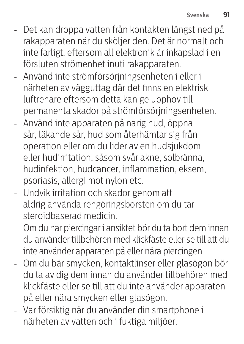- Det kan droppa vatten från kontakten längst ned på rakapparaten när du sköljer den. Det är normalt och inte farligt, eftersom all elektronik är inkapslad i en försluten strömenhet inuti rakapparaten.
- Använd inte strömförsörjningsenheten i eller i närheten av vägguttag där det finns en elektrisk luftrenare eftersom detta kan ge upphov till permanenta skador på strömförsörjningsenheten.
- Använd inte apparaten på narig hud, öppna sår, läkande sår, hud som återhämtar sig från operation eller om du lider av en hudsjukdom eller hudirritation, såsom svår akne, solbränna, hudinfektion, hudcancer, inflammation, eksem, psoriasis, allergi mot nylon etc.
- Undvik irritation och skador genom att aldrig använda rengöringsborsten om du tar steroidbaserad medicin.
- Om du har piercingar i ansiktet bör du ta bort dem innan du använder tillbehören med klickfäste eller se till att du inte använder apparaten på eller nära piercingen.
- Om du bär smycken, kontaktlinser eller glasögon bör du ta av dig dem innan du använder tillbehören med klickfäste eller se till att du inte använder apparaten på eller nära smycken eller glasögon.
- Var försiktig när du använder din smartphone i närheten av vatten och i fuktiga miljöer.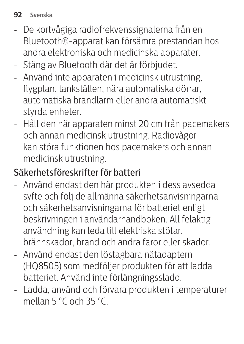- De kortvågiga radiofrekvenssignalerna från en Bluetooth®-apparat kan försämra prestandan hos andra elektroniska och medicinska apparater.
- Stäng av Bluetooth där det är förbjudet.
- Använd inte apparaten i medicinsk utrustning, flygplan, tankställen, nära automatiska dörrar, automatiska brandlarm eller andra automatiskt styrda enheter.
- Håll den här apparaten minst 20 cm från pacemakers och annan medicinsk utrustning. Radiovågor kan störa funktionen hos pacemakers och annan medicinsk utrustning.

## Säkerhetsföreskrifter för batteri

- Använd endast den här produkten i dess avsedda syfte och följ de allmänna säkerhetsanvisningarna och säkerhetsanvisningarna för batteriet enligt beskrivningen i användarhandboken. All felaktig användning kan leda till elektriska stötar, brännskador, brand och andra faror eller skador.
- Använd endast den löstagbara nätadaptern (HQ8505) som medföljer produkten för att ladda batteriet. Använd inte förlängningssladd.
- Ladda, använd och förvara produkten i temperaturer mellan 5 °C och 35 °C.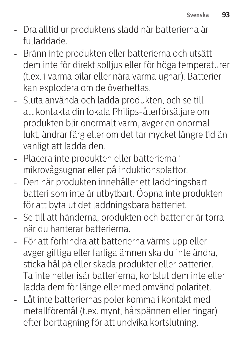- Dra alltid ur produktens sladd när batterierna är fulladdade.
- Bränn inte produkten eller batterierna och utsätt dem inte för direkt solljus eller för höga temperaturer (t.ex. i varma bilar eller nära varma ugnar). Batterier kan explodera om de överhettas.
- Sluta använda och ladda produkten, och se till att kontakta din lokala Philips-återförsäljare om produkten blir onormalt varm, avger en onormal lukt, ändrar färg eller om det tar mycket längre tid än vanligt att ladda den.
- Placera inte produkten eller batterierna i mikrovågsugnar eller på induktionsplattor.
- Den här produkten innehåller ett laddningsbart batteri som inte är utbytbart. Öppna inte produkten för att byta ut det laddningsbara batteriet.
- Se till att händerna, produkten och batterier är torra när du hanterar batterierna.
- För att förhindra att batterierna värms upp eller avger giftiga eller farliga ämnen ska du inte ändra, sticka hål på eller skada produkter eller batterier. Ta inte heller isär batterierna, kortslut dem inte eller ladda dem för länge eller med omvänd polaritet.
- Låt inte batteriernas poler komma i kontakt med metallföremål (t.ex. mynt, hårspännen eller ringar) efter borttagning för att undvika kortslutning.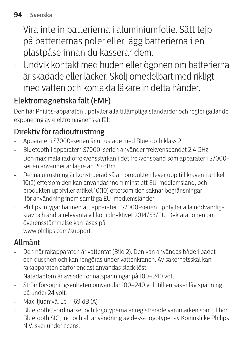Vira inte in batterierna i aluminiumfolie. Sätt tejp på batteriernas poler eller lägg batterierna i en plastpåse innan du kasserar dem.

- Undvik kontakt med huden eller ögonen om batterierna är skadade eller läcker. Skölj omedelbart med rikligt med vatten och kontakta läkare in detta händer.

## Elektromagnetiska fält (EMF)

Den här Philips-apparaten uppfyller alla tillämpliga standarder och regler gällande exponering av elektromagnetiska fält.

#### Direktiv för radioutrustning

- Apparater i S7000-serien är utrustade med Bluetooth klass 2.
- Bluetooth i apparater i S7000-serien använder frekvensbandet 2,4 GHz.
- Den maximala radiofrekvensstyrkan i det frekvensband som apparater i S7000 serien använder är lägre än 20 dBm.
- Denna utrustning är konstruerad så att produkten lever upp till kraven i artikel 10(2) eftersom den kan användas inom minst ett EU-medlemsland, och produkten uppfyller artikel 10(10) eftersom den saknar begränsningar för användning inom samtliga EU-medlemsländer.
- Philips intygar härmed att apparater i S7000-serien uppfyller alla nödvändiga krav och andra relevanta villkor i direktivet 2014/53/EU. Deklarationen om överensstämmelse kan läsas på www.philips.com/support.

### Allmänt

- Den här rakapparaten är vattentät (Bild 2). Den kan användas både i badet och duschen och kan rengöras under vattenkranen. Av säkerhetsskäl kan rakapparaten därför endast användas sladdlöst.
- Nätadaptern är avsedd för nätspänningar på 100–240 volt.
- Strömförsörjningsenheten omvandlar 100–240 volt till en säker låg spänning på under 24 volt.
- Max. ljudnivå: Lc = 69 dB (A)
- Bluetooth®-ordmärket och logotyperna är registrerade varumärken som tillhör Bluetooth SIG, Inc. och all användning av dessa logotyper av Koninklijke Philips N.V. sker under licens.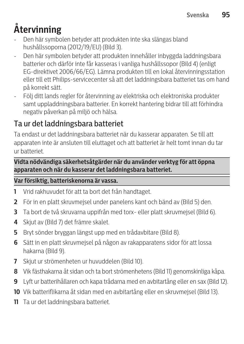# **Återvinning**

- Den här symbolen betyder att produkten inte ska slängas bland hushållssoporna (2012/19/EU) (Bild 3).
- Den här symbolen betyder att produkten innehåller inbyggda laddningsbara batterier och därför inte får kasseras i vanliga hushållssopor (Bild 4) (enligt EG-direktivet 2006/66/EG). Lämna produkten till en lokal återvinningsstation eller till ett Philips-servicecenter så att det laddningsbara batteriet tas om hand på korrekt sätt.
- Följ ditt lands regler för återvinning av elektriska och elektroniska produkter samt uppladdningsbara batterier. En korrekt hantering bidrar till att förhindra negativ påverkan på miljö och hälsa.

### Ta ur det laddningsbara batteriet

Ta endast ur det laddningsbara batteriet när du kasserar apparaten. Se till att apparaten inte är ansluten till eluttaget och att batteriet är helt tomt innan du tar ur batteriet.

#### **Vidta nödvändiga säkerhetsåtgärder när du använder verktyg för att öppna apparaten och när du kasserar det laddningsbara batteriet.**

#### **Var försiktig, batteriskenorna är vassa.**

- **1** Vrid rakhuvudet för att ta bort det från handtaget.
- **2** För in en platt skruvmejsel under panelens kant och bänd av (Bild 5) den.
- **3** Ta bort de två skruvarna uppifrån med torx- eller platt skruvmejsel (Bild 6).
- **4** Skjut av (Bild 7) det främre skalet.
- **5** Bryt sönder bryggan längst upp med en trådavbitare (Bild 8).
- **6** Sätt in en platt skruvmejsel på någon av rakapparatens sidor för att lossa hakarna (Bild 9).
- **7** Skjut ur strömenheten ur huvuddelen (Bild 10).
- **8** Vik fästhakarna åt sidan och ta bort strömenhetens (Bild 11) genomskinliga kåpa.
- **9** Lyft ur batterihållaren och kapa trådarna med en avbitartång eller en sax (Bild 12).
- **10** Vik batteriflikarna åt sidan med en avbitartång eller en skruvmejsel (Bild 13).
- **11** Ta ur det laddningsbara batteriet.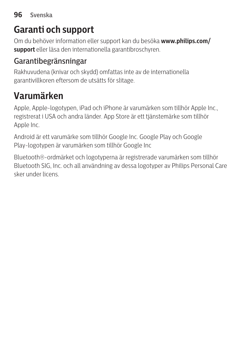# **Garanti och support**

Om du behöver information eller support kan du besöka **www.philips.com/ support** eller läsa den internationella garantibroschyren.

### Garantibegränsningar

Rakhuvudena (knivar och skydd) omfattas inte av de internationella garantivillkoren eftersom de utsätts för slitage.

# **Varumärken**

Apple, Apple-logotypen, iPad och iPhone är varumärken som tillhör Apple Inc., registrerat i USA och andra länder. App Store är ett tjänstemärke som tillhör Apple Inc.

Android är ett varumärke som tillhör Google Inc. Google Play och Google Play-logotypen är varumärken som tillhör Google Inc

Bluetooth®-ordmärket och logotyperna är registrerade varumärken som tillhör Bluetooth SIG, Inc. och all användning av dessa logotyper av Philips Personal Care sker under licens.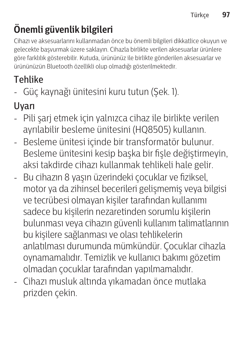# **Önemli güvenlik bilgileri**

Cihazı ve aksesuarlarını kullanmadan önce bu önemli bilgileri dikkatlice okuyun ve gelecekte başvurmak üzere saklayın. Cihazla birlikte verilen aksesuarlar ürünlere göre farklılık gösterebilir. Kutuda, ürününüz ile birlikte gönderilen aksesuarlar ve ürününüzün Bluetooth özellikli olup olmadığı gösterilmektedir.

# Tehlike

- Güç kaynağı ünitesini kuru tutun (Şek. 1).

# Uyarı

- Pili şarj etmek için yalnızca cihaz ile birlikte verilen ayrılabilir besleme ünitesini (HQ8505) kullanın.
- Besleme ünitesi içinde bir transformatör bulunur. Besleme ünitesini kesip başka bir fişle değiştirmeyin, aksi takdirde cihazı kullanmak tehlikeli hale gelir.
- Bu cihazın 8 yaşın üzerindeki çocuklar ve fiziksel, motor ya da zihinsel becerileri gelişmemiş veya bilgisi ve tecrübesi olmayan kişiler tarafından kullanımı sadece bu kişilerin nezaretinden sorumlu kişilerin bulunması veya cihazın güvenli kullanım talimatlarının bu kişilere sağlanması ve olası tehlikelerin anlatılması durumunda mümkündür. Çocuklar cihazla oynamamalıdır. Temizlik ve kullanıcı bakımı gözetim olmadan çocuklar tarafından yapılmamalıdır.
- Cihazı musluk altında yıkamadan önce mutlaka prizden çekin.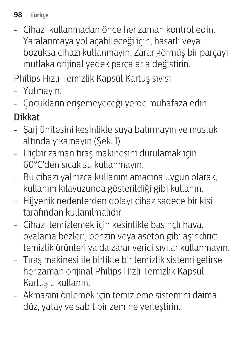- Cihazı kullanmadan önce her zaman kontrol edin. Yaralanmaya yol açabileceği için, hasarlı veya bozuksa cihazı kullanmayın. Zarar görmüş bir parçayı mutlaka orijinal yedek parçalarla değiştirin.

Philips Hızlı Temizlik Kapsül Kartuş sıvısı

- Yutmayın.
- Çocukların erişemeyeceği yerde muhafaza edin.

# Dikkat

- Şarj ünitesini kesinlikle suya batırmayın ve musluk altında yıkamayın (Şek. 1).
- Hiçbir zaman tıraş makinesini durulamak için 60°C'den sıcak su kullanmayın.
- Bu cihazı yalnızca kullanım amacına uygun olarak, kullanım kılavuzunda gösterildiği gibi kullanın.
- Hijyenik nedenlerden dolayı cihaz sadece bir kişi tarafından kullanılmalıdır.
- Cihazı temizlemek için kesinlikle basınçlı hava, ovalama bezleri, benzin veya aseton gibi aşındırıcı temizlik ürünleri ya da zarar verici sıvılar kullanmayın.
- Tıraş makinesi ile birlikte bir temizlik sistemi gelirse her zaman orijinal Philips Hızlı Temizlik Kapsül Kartuş'u kullanın.
- Akmasını önlemek için temizleme sistemini daima düz, yatay ve sabit bir zemine yerleştirin.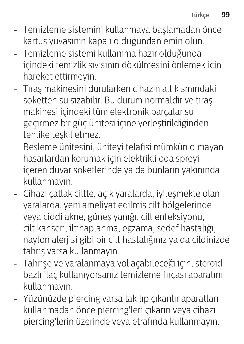- Temizleme sistemini kullanmaya başlamadan önce kartuş yuvasının kapalı olduğundan emin olun.
- Temizleme sistemi kullanıma hazır olduğunda içindeki temizlik sıvısının dökülmesini önlemek için hareket ettirmeyin.
- Tıraş makinesini durularken cihazın alt kısmındaki soketten su sızabilir. Bu durum normaldir ve tıraş makinesi içindeki tüm elektronik parçalar su geçirmez bir güç ünitesi içine yerleştirildiğinden tehlike teşkil etmez.
- Besleme ünitesini, üniteyi telafisi mümkün olmayan hasarlardan korumak için elektrikli oda spreyi içeren duvar soketlerinde ya da bunların yakınında kullanmayın.
- Cihazı çatlak ciltte, açık yaralarda, iyileşmekte olan yaralarda, yeni ameliyat edilmiş cilt bölgelerinde veya ciddi akne, güneş yanığı, cilt enfeksiyonu, cilt kanseri, iltihaplanma, egzama, sedef hastalığı, naylon alerjisi gibi bir cilt hastalığınız ya da cildinizde tahriş varsa kullanmayın.
- Tahrişe ve yaralanmaya yol açabileceği için, steroid bazlı ilaç kullanıyorsanız temizleme fırçası aparatını kullanmayın.
- Yüzünüzde piercing varsa takılıp çıkarılır aparatları kullanmadan önce piercing'leri çıkarın veya cihazı piercing'lerin üzerinde veya etrafında kullanmayın.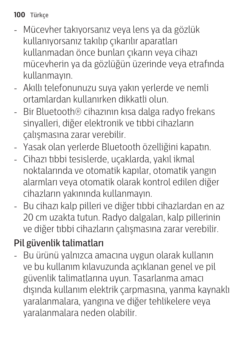#### **100 Türkçe**

- Mücevher takıyorsanız veya lens ya da gözlük kullanıyorsanız takılıp çıkarılır aparatları kullanmadan önce bunları çıkarın veya cihazı mücevherin ya da gözlüğün üzerinde veya etrafında kullanmayın.
- Akıllı telefonunuzu suya yakın yerlerde ve nemli ortamlardan kullanırken dikkatli olun.
- Bir Bluetooth® cihazının kısa dalga radyo frekans sinyalleri, diğer elektronik ve tıbbi cihazların çalışmasına zarar verebilir.
- Yasak olan yerlerde Bluetooth özelliğini kapatın.
- Cihazı tıbbi tesislerde, uçaklarda, yakıl ikmal noktalarında ve otomatik kapılar, otomatik yangın alarmları veya otomatik olarak kontrol edilen diğer cihazların yakınında kullanmayın.
- Bu cihazı kalp pilleri ve diğer tıbbi cihazlardan en az 20 cm uzakta tutun. Radyo dalgaları, kalp pillerinin ve diğer tıbbi cihazların çalışmasına zarar verebilir.

## Pil güvenlik talimatları

- Bu ürünü yalnızca amacına uygun olarak kullanın ve bu kullanım kılavuzunda açıklanan genel ve pil güvenlik talimatlarına uyun. Tasarlanma amacı dışında kullanım elektrik çarpmasına, yanma kaynaklı yaralanmalara, yangına ve diğer tehlikelere veya yaralanmalara neden olabilir.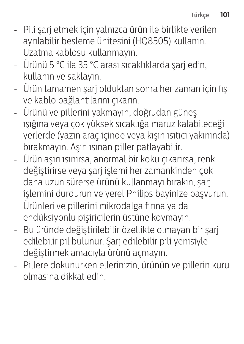- Pili şarj etmek için yalnızca ürün ile birlikte verilen ayrılabilir besleme ünitesini (HQ8505) kullanın. Uzatma kablosu kullanmayın.
- Ürünü 5 °C ila 35 °C arası sıcaklıklarda şarj edin, kullanın ve saklayın.
- Ürün tamamen şarj olduktan sonra her zaman için fiş ve kablo bağlantılarını çıkarın.
- Ürünü ve pillerini yakmayın, doğrudan güneş ışığına veya çok yüksek sıcaklığa maruz kalabileceği yerlerde (yazın araç içinde veya kışın ısıtıcı yakınında) bırakmayın. Aşırı ısınan piller patlayabilir.
- Ürün aşırı ısınırsa, anormal bir koku çıkarırsa, renk değiştirirse veya şarj işlemi her zamankinden çok daha uzun sürerse ürünü kullanmayı bırakın, şarj işlemini durdurun ve yerel Philips bayinize başvurun.
- Ürünleri ve pillerini mikrodalga fırına ya da endüksiyonlu pişiricilerin üstüne koymayın.
- Bu üründe değiştirilebilir özellikte olmayan bir şarj edilebilir pil bulunur. Şarj edilebilir pili yenisiyle değiştirmek amacıyla ürünü açmayın.
- Pillere dokunurken ellerinizin, ürünün ve pillerin kuru olmasına dikkat edin.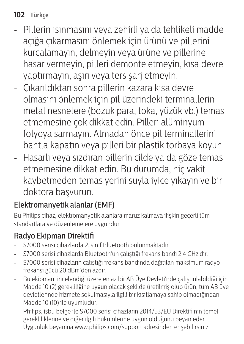#### **102 Türkçe**

- Pillerin ısınmasını veya zehirli ya da tehlikeli madde açığa çıkarmasını önlemek için ürünü ve pillerini kurcalamayın, delmeyin veya ürüne ve pillerine hasar vermeyin, pilleri demonte etmeyin, kısa devre yaptırmayın, aşırı veya ters şarj etmeyin.
- Çıkarıldıktan sonra pillerin kazara kısa devre olmasını önlemek için pil üzerindeki terminallerin metal nesnelere (bozuk para, toka, yüzük vb.) temas etmemesine çok dikkat edin. Pilleri alüminyum folyoya sarmayın. Atmadan önce pil terminallerini bantla kapatın veya pilleri bir plastik torbaya koyun.
- Hasarlı veya sızdıran pillerin cilde ya da göze temas etmemesine dikkat edin. Bu durumda, hiç vakit kaybetmeden temas yerini suyla iyice yıkayın ve bir doktora başvurun.

### Elektromanyetik alanlar (EMF)

Bu Philips cihaz, elektromanyetik alanlara maruz kalmaya ilişkin geçerli tüm standartlara ve düzenlemelere uygundur.

### Radyo Ekipman Direktifi

- S7000 serisi cihazlarda 2. sınıf Bluetooth bulunmaktadır.
- S7000 serisi cihazlarda Bluetooth'un çalıştığı frekans bandı 2,4 GHz'dir.
- S7000 serisi cihazların çalıştığı frekans bandında dağıtılan maksimum radyo frekansı gücü 20 dBm'den azdır.
- Bu ekipman, incelendiği üzere en az bir AB Üye Devleti'nde çalıştırılabildiği için Madde 10 (2) gerekliliğine uygun olacak şekilde üretilmiş olup ürün, tüm AB üye devletlerinde hizmete sokulmasıyla ilgili bir kısıtlamaya sahip olmadığından Madde 10 (10) ile uyumludur.
- Philips, isbu belge ile S7000 serisi cihazların 2014/53/EU Direktifi'nin temel gerekliliklerine ve diğer ilgili hükümlerine uygun olduğunu beyan eder. Uygunluk beyanına www.philips.com/support adresinden erişebilirsiniz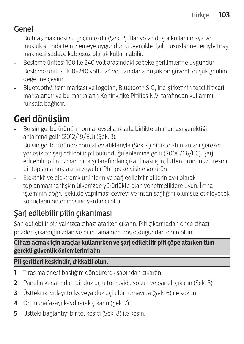#### Genel

- Bu tıraş makinesi su geçirmezdir (Şek. 2). Banyo ve duşta kullanılmaya ve musluk altında temizlemeye uygundur. Güvenlikle ilgili hususlar nedeniyle tıraş makinesi sadece kablosuz olarak kullanılabilir.
- Besleme ünitesi 100 ile 240 volt arasındaki sebeke gerilimlerine uygundur.
- Besleme ünitesi 100-240 voltu 24 volttan daha düşük bir güvenli düşük gerilim değerine cevirir.
- Bluetooth® isim markası ve logoları, Bluetooth SIG, Inc. şirketinin tescilli ticari markalarıdır ve bu markaların Koninklijke Philips N.V. tarafından kullanımı ruhsata bağlıdır.

# **Geri dönüşüm**

- Bu simge, bu ürünün normal evsel atıklarla birlikte atılmaması gerektiği anlamına gelir (2012/19/EU) (Şek. 3).
- Bu simge, bu üründe normal ev atıklarıyla (Şek. 4) birlikte atılmaması gereken yerleşik bir şarj edilebilir pil bulunduğu anlamına gelir (2006/66/EC). Şarj edilebilir pilin uzman bir kişi tarafından çıkarılması için, lütfen ürününüzü resmi bir toplama noktasına veya bir Philips servisine götürün.
- Elektrikli ve elektronik ürünlerin ve şarj edilebilir pillerin ayrı olarak toplanmasına ilişkin ülkenizde yürürlükte olan yönetmeliklere uyun. İmha işleminin doğru şekilde yapılması çevreyi ve insan sağlığını olumsuz etkileyecek sonuçların önlenmesine yardımcı olur.

## Şarj edilebilir pilin çıkarılması

Şarj edilebilir pili yalnızca cihazı atarken çıkarın. Pili çıkarmadan önce cihazı prizden çıkardığınızdan ve pilin tamamen boş olduğundan emin olun.

#### **Cihazı açmak için araçlar kullanırken ve şarj edilebilir pili çöpe atarken tüm gerekli güvenlik önlemlerini alın.**

#### **Pil şeritleri keskindir, dikkatli olun.**

- **1** Tıraş makinesi başlığını döndürerek sapından çıkartın.
- **2** Panelin kenarından bir düz uçlu tornavida sokun ve paneli çıkarın (Şek. 5).
- **3** Üstteki iki vidayı torks veya düz uçlu bir tornavida (Şek. 6) ile sökün.
- **4** Ön muhafazayı kaydırarak çıkarın (Şek. 7).
- **5** Üstteki bağlantıyı bir tel kesici (Şek. 8) ile kesin.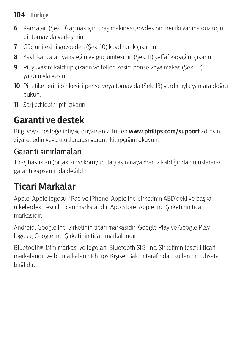#### **104 Türkçe**

- **6** Kancaları (Şek. 9) açmak için tıraş makinesi gövdesinin her iki yanına düz uçlu bir tornavida yerleştirin.
- **7** Güç ünitesini gövdeden (Şek. 10) kaydırarak çıkartın.
- **8** Yaylı kancaları yana eğin ve güç ünitesinin (Şek. 11) şeffaf kapağını çıkarın.
- **9** Pil yuvasını kaldırıp çıkarın ve telleri kesici pense veya makas (Şek. 12) yardımıyla kesin.
- **10** Pil etiketlerini bir kesici pense veya tornavida (Şek. 13) yardımıyla yanlara doğru bükün.
- **11** Şarj edilebilir pili çıkarın.

# **Garanti ve destek**

Bilgi veya desteğe ihtiyaç duyarsanız, lütfen **www.philips.com/support** adresini ziyaret edin veya uluslararası garanti kitapçığını okuyun.

#### Garanti sınırlamaları

Tıraş başlıkları (bıçaklar ve koruyucular) aşınmaya maruz kaldığından uluslararası garanti kapsamında değildir.

# **Ticari Markalar**

Apple, Apple logosu, iPad ve iPhone, Apple Inc. şirketinin ABD'deki ve başka ülkelerdeki tescilli ticari markalarıdır. App Store, Apple Inc. Şirketinin ticari markasıdır.

Android, Google Inc. Şirketinin ticari markasıdır. Google Play ve Google Play logosu, Google Inc. Şirketinin ticari markalarıdır.

Bluetooth® isim markası ve logoları, Bluetooth SIG, Inc. Şirketinin tescilli ticari markalarıdır ve bu markaların Philips Kişisel Bakım tarafından kullanımı ruhsata bağlıdır.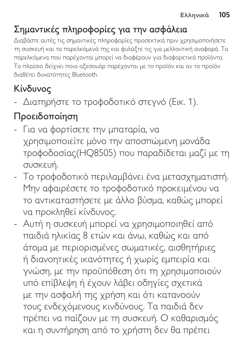# Σημαντικές πληροφορίες για την ασφάλεια

Διαβάστε αυτές τις σημαντικές πληροφορίες προσεκτικά πριν χρησιμοποιήσετε τη συσκευή και τα παρελκόμενά της και φυλάξτε τις για μελλοντική αναφορά. Τα παρελκόμενα που παρέχονται μπορεί να διαφέρουν για διαφορετικά προϊόντα. Το πλαίσιο δείχνει ποια αξεσουάρ παρέχονται με το προϊόν και αν το προϊόν διαθέτει δυνατότητες Bluetooth.

# Κίνδυνος

- Διατηρήστε το τροφοδοτικό στεγνό (Εικ. 1).

## Προειδοποίηση

- Για να φορτίσετε την μπαταρία, να χρησιμοποιείτε μόνο την αποσπώμενη μονάδα τροφοδοσίας(HQ8505) που παραδίδεται μαζί με τη συσκευή.
- Το τροφοδοτικό περιλαμβάνει ένα μετασχηματιστή. Μην αφαιρέσετε το τροφοδοτικό προκειμένου να το αντικαταστήσετε με άλλο βύσμα, καθώς μπορεί να προκληθεί κίνδυνος.
- Αυτή η συσκευή μπορεί να χρησιμοποιηθεί από παιδιά ηλικίας 8 ετών και άνω, καθώς και από άτομα με περιορισμένες σωματικές, αισθητήριες ή διανοητικές ικανότητες ή χωρίς εμπειρία και γνώση, με την προϋπόθεση ότι τη χρησιμοποιούν υπό επίβλεψη ή έχουν λάβει οδηγίες σχετικά με την ασφαλή της χρήση και ότι κατανοούν τους ενδεχόμενους κινδύνους. Τα παιδιά δεν πρέπει να παίζουν με τη συσκευή. Ο καθαρισμός και η συντήρηση από το χρήστη δεν θα πρέπει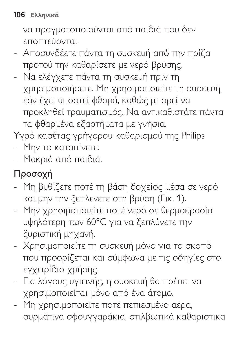να πραγματοποιούνται από παιδιά που δεν εποπτεύονται.

- Αποσυνδέετε πάντα τη συσκευή από την πρίζα προτού την καθαρίσετε με νερό βρύσης.
- Να ελέγχετε πάντα τη συσκευή πριν τη χρησιμοποιήσετε. Μη χρησιμοποιείτε τη συσκευή, εάν έχει υποστεί φθορά, καθώς μπορεί να προκληθεί τραυματισμός. Να αντικαθιστάτε πάντα τα φθαρμένα εξαρτήματα με γνήσια.
- Υγρό κασέτας γρήγορου καθαρισμού της Philips
- Μην το καταπίνετε.
- Μακριά από παιδιά.

# Προσοχή

- Μη βυθίζετε ποτέ τη βάση δοχείος μέσα σε νερό και μην την ξεπλένετε στη βρύση (Εικ. 1).
- Μην χρησιμοποιείτε ποτέ νερό σε θερμοκρασία υψηλότερη των 60°C για να ξεπλύνετε την ξυριστική μηχανή.
- Χρησιμοποιείτε τη συσκευή μόνο για το σκοπό που προορίζεται και σύμφωνα με τις οδηγίες στο εγχειρίδιο χρήσης.
- Για λόγους υγιεινής, η συσκευή θα πρέπει να χρησιμοποιείται μόνο από ένα άτομο.
- Μη χρησιμοποιείτε ποτέ πεπιεσμένο αέρα, συρμάτινα σφουγγαράκια, στιλβωτικά καθαριστικά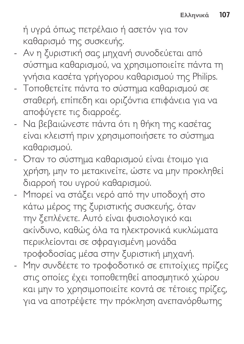ή υγρά όπως πετρέλαιο ή ασετόν για τον καθαρισμό της συσκευής.

- Αν η ξυριστική σας μηχανή συνοδεύεται από σύστημα καθαρισμού, να χρησιμοποιείτε πάντα τη γνήσια κασέτα γρήγορου καθαρισμού της Philips.
- Τοποθετείτε πάντα το σύστημα καθαρισμού σε σταθερή, επίπεδη και οριζόντια επιφάνεια για να αποφύγετε τις διαρροές.
- Να βεβαιώνεστε πάντα ότι η θήκη της κασέτας είναι κλειστή πριν χρησιμοποιήσετε το σύστημα καθαρισμού.
- Όταν το σύστημα καθαρισμού είναι έτοιμο για χρήση, μην το μετακινείτε, ώστε να μην προκληθεί διαρροή του υγρού καθαρισμού.
- Μπορεί να στάξει νερό από την υποδοχή στο κάτω μέρος της ξυριστικής συσκευής, όταν την ξεπλένετε. Αυτό είναι φυσιολογικό και ακίνδυνο, καθώς όλα τα ηλεκτρονικά κυκλώματα περικλείονται σε σφραγισμένη μονάδα τροφοδοσίας μέσα στην ξυριστική μηχανή.
- Μην συνδέετε το τροφοδοτικό σε επιτοίχιες πρίζες στις οποίες έχει τοποθετηθεί αποσμητικό χώρου και μην το χρησιμοποιείτε κοντά σε τέτοιες πρίζες, για να αποτρέψετε την πρόκληση ανεπανόρθωτης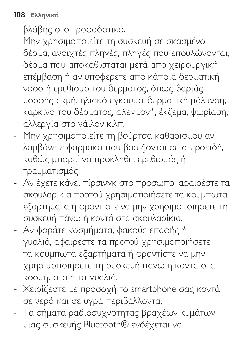βλάβης στο τροφοδοτικό.

- Μην χρησιμοποιείτε τη συσκευή σε σκασμένο δέρμα, ανοιχτές πληγές, πληγές που επουλώνονται, δέρμα που αποκαθίσταται μετά από χειρουργική επέμβαση ή αν υποφέρετε από κάποια δερματική νόσο ή ερεθισμό του δέρματος, όπως βαριάς μορφής ακμή, ηλιακό έγκαυμα, δερματική μόλυνση, καρκίνο του δέρματος, φλεγμονή, έκζεμα, ψωρίαση, αλλεργία στο νάιλον κ.λπ.
- Μην χρησιμοποιείτε τη βούρτσα καθαρισμού αν λαμβάνετε φάρμακα που βασίζονται σε στεροειδή, καθώς μπορεί να προκληθεί ερεθισμός ή τραυματισμός.
- Αν έχετε κάνει πίρσινγκ στο πρόσωπο, αφαιρέστε τα σκουλαρίκια προτού χρησιμοποιήσετε τα κουμπωτά εξαρτήματα ή φροντίστε να μην χρησιμοποιήσετε τη συσκευή πάνω ή κοντά στα σκουλαρίκια.
- Αν φοράτε κοσμήματα, φακούς επαφής ή γυαλιά, αφαιρέστε τα προτού χρησιμοποιήσετε τα κουμπωτά εξαρτήματα ή φροντίστε να μην χρησιμοποιήσετε τη συσκευή πάνω ή κοντά στα κοσμήματα ή τα γυαλιά.
- Χειρίζεστε με προσοχή το smartphone σας κοντά σε νερό και σε υγρά περιβάλλοντα.
- Τα σήματα ραδιοσυχνότητας βραχέων κυμάτων μιας συσκευής Bluetooth® ενδέχεται να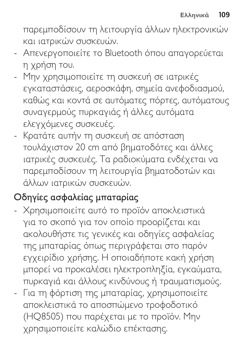παρεμποδίσουν τη λειτουργία άλλων ηλεκτρονικών και ιατρικών συσκευών.

- Απενεργοποιείτε το Bluetooth όπου απαγορεύεται η χρήση του.
- Μην χρησιμοποιείτε τη συσκευή σε ιατρικές εγκαταστάσεις, αεροσκάφη, σημεία ανεφοδιασμού, καθώς και κοντά σε αυτόματες πόρτες, αυτόματους συναγερμούς πυρκαγιάς ή άλλες αυτόματα ελεγχόμενες συσκευές.
- Κρατάτε αυτήν τη συσκευή σε απόσταση τουλάχιστον 20 cm από βηματοδότες και άλλες ιατρικές συσκευές. Τα ραδιοκύματα ενδέχεται να παρεμποδίσουν τη λειτουργία βηματοδοτών και άλλων ιατρικών συσκευών.

# Οδηγίες ασφαλείας μπαταρίας

- Χρησιμοποιείτε αυτό το προϊόν αποκλειστικά για το σκοπό για τον οποίο προορίζεται και ακολουθήστε τις γενικές και οδηγίες ασφαλείας της μπαταρίας όπως περιγράφεται στο παρόν εγχειρίδιο χρήσης. Η οποιαδήποτε κακή χρήση μπορεί να προκαλέσει ηλεκτροπληξία, εγκαύματα, πυρκαγιά και άλλους κινδύνους ή τραυματισμούς. - Για τη φόρτιση της μπαταρίας, χρησιμοποιείτε
- αποκλειστικά το αποσπώμενο τροφοδοτικό (HQ8505) που παρέχεται με το προϊόν. Μην χρησιμοποιείτε καλώδιο επέκτασης.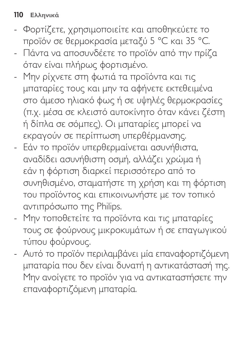- Φορτίζετε, χρησιμοποιείτε και αποθηκεύετε το προϊόν σε θερμοκρασία μεταξύ 5 °C και 35 °C.
- Πάντα να αποσυνδέετε το προϊόν από την πρίζα όταν είναι πλήρως φορτισμένο.
- Μην ρίχνετε στη φωτιά τα προϊόντα και τις μπαταρίες τους και μην τα αφήνετε εκτεθειμένα στο άμεσο ηλιακό φως ή σε υψηλές θερμοκρασίες (π.χ. μέσα σε κλειστό αυτοκίνητο όταν κάνει ζέστη ή δίπλα σε σόμπες). Οι μπαταρίες μπορεί να εκραγούν σε περίπτωση υπερθέρμανσης.
- Εάν το προϊόν υπερθερμαίνεται ασυνήθιστα, αναδίδει ασυνήθιστη οσμή, αλλάζει χρώμα ή εάν η φόρτιση διαρκεί περισσότερο από το συνηθισμένο, σταματήστε τη χρήση και τη φόρτιση του προϊόντος και επικοινωνήστε με τον τοπικό αντιπρόσωπο της Philips.
- Μην τοποθετείτε τα προϊόντα και τις μπαταρίες τους σε φούρνους μικροκυμάτων ή σε επαγωγικού τύπου φούρνους.
- Αυτό το προϊόν περιλαμβάνει μία επαναφορτιζόμενη μπαταρία που δεν είναι δυνατή η αντικατάστασή της. Μην ανοίγετε το προϊόν για να αντικαταστήσετε την επαναφορτιζόμενη μπαταρία.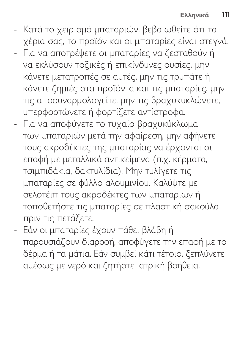- Κατά το χειρισμό μπαταριών, βεβαιωθείτε ότι τα χέρια σας, το προϊόν και οι μπαταρίες είναι στεγνά.
- Για να αποτρέψετε οι μπαταρίες να ζεσταθούν ή να εκλύσουν τοξικές ή επικίνδυνες ουσίες, μην κάνετε μετατροπές σε αυτές, μην τις τρυπάτε ή κάνετε ζημιές στα προϊόντα και τις μπαταρίες, μην τις αποσυναρμολογείτε, μην τις βραχυκυκλώνετε, υπερφορτώνετε ή φορτίζετε αντίστροφα.
- Για να αποφύγετε το τυχαίο βραχυκύκλωμα των μπαταριών μετά την αφαίρεση, μην αφήνετε τους ακροδέκτες της μπαταρίας να έρχονται σε επαφή με μεταλλικά αντικείμενα (π.χ. κέρματα, τσιμπιδάκια, δακτυλίδια). Μην τυλίγετε τις μπαταρίες σε φύλλο αλουμινίου. Καλύψτε με σελοτέιπ τους ακροδέκτες των μπαταριών ή τοποθετήστε τις μπαταρίες σε πλαστική σακούλα πριν τις πετάξετε.
- Εάν οι μπαταρίες έχουν πάθει βλάβη ή παρουσιάζουν διαρροή, αποφύγετε την επαφή με το δέρμα ή τα μάτια. Εάν συμβεί κάτι τέτοιο, ξεπλύνετε αμέσως με νερό και ζητήστε ιατρική βοήθεια.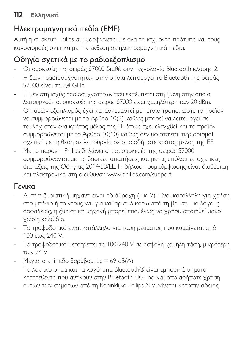### **112 Ελληνικά**

# Ηλεκτρομαγνητικά πεδία (EMF)

Αυτή η συσκευή Philips συμμορφώνεται με όλα τα ισχύοντα πρότυπα και τους κανονισμούς σχετικά με την έκθεση σε ηλεκτρομαγνητικά πεδία.

## Οδηγία σχετικά με το ραδιοεξοπλισμό

- Οι συσκευές της σειράς S7000 διαθέτουν τεχνολογία Bluetooth κλάσης 2.
- Η ζώνη ραδιοσυχνοτήτων στην οποία λειτουργεί το Bluetooth της σειράς S7000 είναι τα 2.4 GHz.
- Η μέγιστη ισχύς ραδιοσυχνοτήτων που εκπέμπεται στη ζώνη στην οποία λειτουργούν οι συσκευές της σειράς S7000 είναι χαμηλότερη των 20 dBm.
- Ο παρών εξοπλισμός έχει κατασκευαστεί με τέτοιο τρόπο, ώστε το προϊόν να συμμορφώνεται με το Άρθρο 10(2) καθώς μπορεί να λειτουργεί σε τουλάχιστον ένα κράτος μέλος της ΕΕ όπως έχει ελεγχθεί και το προϊόν συμμορφώνεται με το Άρθρο 10(10) καθώς δεν υφίστανται περιορισμοί σχετικά με τη θέση σε λειτουργία σε οποιοδήποτε κράτος μέλος της ΕΕ.
- Με το παρόν η Philips δηλώνει ότι οι συσκευές της σειράς S7000 συμμορφώνονται με τις βασικές απαιτήσεις και με τις υπόλοιπες σχετικές διατάξεις της Οδηγίας 2014/53/EE. Η δήλωση συμμόρφωσης είναι διαθέσιμη και ηλεκτρονικά στη διεύθυνση www.philips.com/support.

# Γενικά

- Αυτή η ξυριστική μηχανή είναι αδιάβροχη (Εικ. 2). Είναι κατάλληλη για χρήση στο μπάνιο ή το ντους και για καθαρισμό κάτω από τη βρύση. Για λόγους ασφαλείας, η ξυριστική μηχανή μπορεί επομένως να χρησιμοποιηθεί μόνο χωρίς καλώδιο.
- Το τροφοδοτικό είναι κατάλληλο για τάση ρεύματος που κυμαίνεται από 100 έως 240 V.
- Το τροφοδοτικό μετατρέπει τα 100-240 V σε ασφαλή χαμηλή τάση, μικρότερη των 24 V.
- Μέγιστο επίπεδο θορύβου: Lc = 69 dB(A)
- Το λεκτικό σήμα και τα λογότυπα Bluetooth® είναι εμπορικά σήματα κατατεθέντα που ανήκουν στην Bluetooth SIG, Inc. και οποιαδήποτε χρήση αυτών των σημάτων από τη Koninklijke Philips N.V. γίνεται κατόπιν άδειας.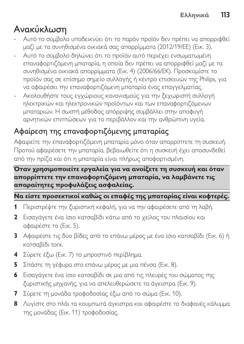# Ανακύκλωση

- Αυτό το σύμβολο υποδεικνύει ότι το παρόν προϊόν δεν πρέπει να απορριφθεί μαζί με τα συνηθισμένα οικιακά σας απορρίμματα (2012/19/ΕΕ) (Εικ. 3).
- Αυτό το σύμβολο δηλώνει ότι το προϊόν αυτό περιέχει ενσωματωμένη επαναφορτιζόμενη μπαταρία, η οποία δεν πρέπει να απορριφθεί μαζί με τα συνηθισμένα οικιακά απορρίμματα (Εικ. 4) (2006/66/ΕΚ). Προσκομίστε το προϊόν σας σε επίσημο σημείο συλλογής ή κέντρο επισκευών της Philips, για να αφαιρέσει την επαναφορτιζόμενη μπαταρία ένας επαγγελματίας.
- Ακολουθήστε τους εγχώριους κανονισμούς για την ξεχωριστή συλλογή ηλεκτρικών και ηλεκτρονικών προϊόντων και των επαναφορτιζόμενων μπαταριών. Η σωστή μέθοδος απόρριψης συμβάλλει στην αποφυγή αρνητικών επιπτώσεων για το περιβάλλον και την ανθρώπινη υγεία.

# Αφαίρεση της επαναφορτιζόμενης μπαταρίας

Αφαιρείτε την επαναφορτιζόμενη μπαταρία μόνο όταν απορρίπτετε τη συσκευή. Προτού αφαιρέσετε την μπαταρία, βεβαιωθείτε ότι η συσκευή έχει αποσυνδεθεί από την πρίζα και ότι η μπαταρία είναι πλήρως αποφορτισμένη.

#### **Όταν χρησιμοποιείτε εργαλεία για να ανοίξετε τη συσκευή και όταν απορρίπτετε την επαναφορτιζόμενη μπαταρία, να λαμβάνετε τις απαραίτητες προφυλάξεις ασφαλείας.**

### **Να είστε προσεκτικοί καθώς οι επαφές της μπαταρίας είναι κοφτερές.**

- **1** Περιστρέψτε την ξυριστική κεφαλή, για να την αφαιρέσετε από τη λαβή.
- **2** Εισαγάγετε ένα ίσιο κατσαβίδι κάτω από το χείλος του πλαισίου και αφαιρέστε το (Εικ. 5).
- **3** Αφαιρέστε τις δύο βίδες από το επάνω μέρος με ένα ίσιο κατσαβίδι (Εικ. 6) ή κατσαβίδι torx.
- **4** Σύρετε έξω (Εικ. 7) το μπροστινό περίβλημα.
- **5** Σπάστε τη γέφυρα στο επάνω μέρος με μια πένσα (Εικ. 8).
- **6** Εισαγάγετε ένα ίσιο κατσαβίδι σε μια από τις πλευρές του σώματος της ξυριστικής μηχανής, για να απελευθερώσετε τα άγκιστρα (Εικ. 9).
- **7** Σύρετε τη μονάδα τροφοδοσίας έξω από το σώμα (Εικ. 10).
- **8** Λυγίστε στο πλάι τα κουμπωτά άγκιστρα και αφαιρέστε το διαφανές κάλυμμα της μονάδας (Εικ. 11) τροφοδοσίας.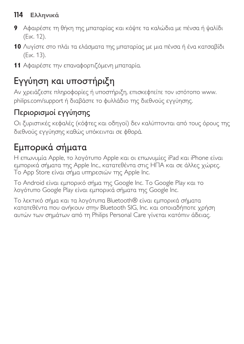### **114 Ελληνικά**

- **9** Αφαιρέστε τη θήκη της μπαταρίας και κόψτε τα καλώδια με πένσα ή ψαλίδι (Εικ. 12).
- **10** Λυγίστε στο πλάι τα ελάσματα της μπαταρίας με μια πένσα ή ένα κατσαβίδι (Εικ. 13).
- **11** Αφαιρέστε την επαναφορτιζόμενη μπαταρία.

# Εγγύηση και υποστήριξη

Αν χρειάζεστε πληροφορίες ή υποστήριξη, επισκεφτείτε τον ιστότοπο www. philips.com/support ή διαβάστε το φυλλάδιο της διεθνούς εγγύησης.

# Περιορισμοί εγγύησης

Οι ξυριστικές κεφαλές (κόφτες και οδηγοί) δεν καλύπτονται από τους όρους της διεθνούς εγγύησης καθώς υπόκεινται σε φθορά.

# Εμπορικά σήματα

Η επωνυμία Apple, το λογότυπο Apple και οι επωνυμίες iPad και iPhone είναι εμπορικά σήματα της Apple Inc., κατατεθέντα στις ΗΠΑ και σε άλλες χώρες. Το App Store είναι σήμα υπηρεσιών της Apple Inc.

Το Android είναι εμπορικό σήμα της Google Inc. Το Google Play και το λογότυπο Google Play είναι εμπορικά σήματα της Google Inc.

Το λεκτικό σήμα και τα λογότυπα Bluetooth® είναι εμπορικά σήματα κατατεθέντα που ανήκουν στην Bluetooth SIG, Inc. και οποιαδήποτε χρήση αυτών των σημάτων από τη Philips Personal Care γίνεται κατόπιν άδειας.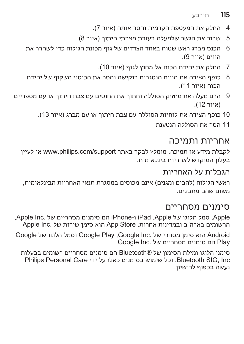#### **115** תירבע

- 4 החלק את המעטפת הקדמית והסר אותה )איור 7(.
- 5 שבור את הגשר שלמעלה בעזרת מצבתי חיתוך (איור 8).
- 6 הכנס מברג ראש שטוח באחד הצדדים של גוף מכונת הגילוח כדי לשחרר את הווים (איור 9).
	- 7 החלק את יחידת הכוח אל מחוץ לגוף )איור 10(.
- 8 כופף הצידה את הווים הנסגרים בנקישה והסר את הכיסוי השקוף של יחידת הכוח (איור 11*).*
- 9 הרם מעלה את מחזיק הסוללה וחתוך את החוטים עם צבת חיתוך או עם מספריים )איור 12(.
	- 10 כופף הצידה את לוחיות הסוללה עם צבת חיתור או עם מברג (איור 13).
		- 11 הסר את הסוללה הנטענת.

### אחריות ותמיכה

לקבלת מידע או תמיכה, מומלץ לבקר באתר www.philips.com/support או לעיין בעלון המוקדש לאחריות בינלאומית.

#### הגבלות על האחריות

ראשי הגילוח (להבים ומגנים) אינם מכוסים במסגרת תנאי האחריות הבינלאומית. משום שהם מתבלים.

**סימנים מסחריים**<br>Apple, סמל הלוגו של iPad .Apple ו-iPhone הם סימנים מסחריים של .Apple Inc . הרשומים בארה"ב ובמדינות אחרות. Store App הוא סימן שירות של .Inc Apple

Android הוא סימן מסחרי של .Inc Google, Play Google וסמל הלוגו של Google Play הם סימנים מסחריים של .Inc Google

סימני הלוגו ומילת הסימון של RBluetooth הם סימנים מסחריים רשומים בבעלות Bluetooth SIG. Inc . וכל שימוש בסימנים כאלו על ידי Philips Personal Care נעשה בכפוף לרישיון.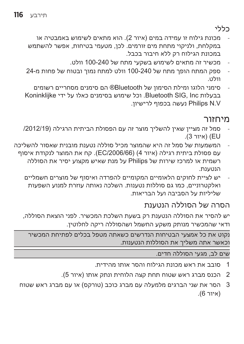כללי

- מכונת גילוח זו עמידה במים )איור 2(. הוא מתאים לשימוש באמבטיה או במקלחת, ולניקוי מתחת מים זורמים. לכן, מטעמי בטיחות, אפשר להשתמש במכונת הגילוח רק ללא חיבור בכבל.
	- מכשיר זה מתאים לשימוש בשקעי מתח של 100-240 וולט.
- ספק המתח הופך מתח של 100-240 וולט למתח נמוך ובטוח של פחות מ24- וולט.
- סימני הלוגו ומילת הסימון של Bluetooth ®הם סימנים מסחריים רשומים בבעלות Inc ,SIG Bluetooth. וכל שימוש בסימנים כאלו על ידי Koninklijke V.N Philips נעשה בכפוף לרישיון.

### מיחזור

- סמל זה מציין שאין להשליך מוצר זה עם הפסולת הביתית הרגילה )/2012/19 EU( )איור 3(.
- המשמעות של סמל זה היא שהמוצר מכיל סוללה נטענת מובנית שאסור להשליכה עם פסולת ביתית רגילה )איור 4( )/2006/66EC). קח את המוצר לנקודת איסוף רשמית או למרכז שירות של Philips על מנת שאיש מקצוע יסיר את הסוללה הנטענת.
	- יש לציית לחוקים הלאומיים המקומיים להפרדה ואיסוף של מוצרים חשמליים ואלקטרוניים, כמו גם סוללות נטענות. השלכה נאותה עוזרת למנוע השפעות שליליות על הסביבה ועל הבריאות.

#### הסרה של הסוללה הנטענת

יש להסיר את הסוללה הנטענת רק בשעת השלכת המכשיר. לפני הוצאת הסוללה, ודאי שהמכשיר מנותק משקע החשמל ושהסוללה ריקה לחלוטין.

נקוט את כל אמצעי הבטיחות הנדרשים כשאתה מטפל בכלים לפתיחת המכשיר וכאשר אתה משליך את הסוללות הנטענות.

שים לב, מגעי הסוללה חדים.

- 1 סובב את ראש מכונת הגילוח והסר אותו מהידית.
- 2 הכנס מברג ראש שטוח תחת קצה הלוחית ונתק אותו )איור 5(.
- 3 הסר את שני הברגים מלמעלה עם מברג כוכב (טורקס) או עם מברג ראש שטוח (איור 6).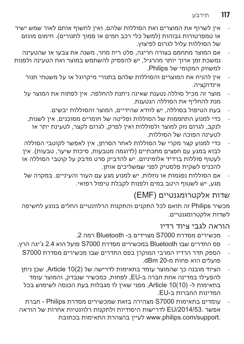#### **117** תירבע

- אין לשרוף את המוצרים ואת הסוללות שלהם, ואין לחשוף אותם לאור שמש ישיר או טמפרטורות גבוהות (למשל כלי רכב חמים או סמוך לתנורים). חימום מוגזם של הסוללות עלול לגרום לפיצוץ.
- אם המוצר מתחמם בצורה חריגה, פלט ריח מוזר, משנה את צבעו או שהטעינה נמשכת זמן ארוך יותר מהרגיל, יש להפסיק להשתמש במוצר ואת הטעינה ולפנות למשווק המקומי של Philips.
	- אין להניח את המוצרים והסוללות שלהם בתנורי מיקרוגל או על משטחי תנור אינדוקציה.
	- מוצר זה מכיל סוללה נטענת שאינה ניתנת להחלפה. אין לפתוח את המוצר על מנת להחליף את הסוללה הנטענת.
		- בעת הטיפול בסוללה, יש לוודא שהידיים, המוצר והסוללות יבשים.
	- כדי למנוע התחממות של הסוללות ופליטה של חומרים מסוכנים, אין לשנות, לנקב, לגרום נזק למוצר ולסוללות ואין לפרק, לגרום לקצר, לטעינת יתר או לטעינה הפוכה של הסוללות.
	- כדי למנוע קצר מקרי של הסוללות לאחר הסרתן, אין לאפשר לקוטבי הסוללה לבוא במגע עם חפצים מתכתיים )לדוגמה מטבעות, סיכות שיער, טבעות(. אין לעטוף סוללות ברדיד אלומיניום. יש להדביק סרט מדבק על קוטבי הסוללה או להכניס לשקית פלסטיק לפני שמשליכים אותן.
	- אם הסוללות נפגמות או נוזלות, יש למנוע מגע עם העור והעיניים. במקרה של מגע, יש לשטוף היטב במים ולפנות לקבלת טיפול רפואי.

### שדות אלקטרומגנטיים )EMF)

מכשיר Philips זה תואם לכל התקנים והתקנות הרלוונטיים החלים בנוגע לחשיפה לשדות אלקטרומגנטיים.

### הוראה לגבי ציוד רדיו

- מכשירים מסדרת 7000S מצוידים ב- Bluetooth רמה .2
- פס התדרים שבו Bluetooth במכשירים מסדרת 7000S פועל הוא 2.4 ג'יגה הרץ.
- הספק תדר הרדיו המרבי המוקרן בפס התדרים שבו מכשירים מסדרת 7000S פועלים הוא פחות מ20- dBm.
- הציוד מובנה כך שהמוצר עומד בתאימות לדרישה של )2)10 Article, שכן ניתן להפעילו במדינה אחת חברה ב-EU, לפחות, כמכשיר שנבדק, והמוצר עומד בתאימות ל- )10)10 Article, מפני שאין לו מגבלות בעת הכנסה לשימוש בכל המדינות החברות ב-EU.
- עומדים בתאימות 7000S מצהירה בזאת שמכשירים מסדרת Philips חברת אפשר /2014/53.EU לדרישות היסודיות ולתקנות רלוונטיות אחרות של הוראה .www.philips.com/support לעיין בהצהרת התאימות בכתובת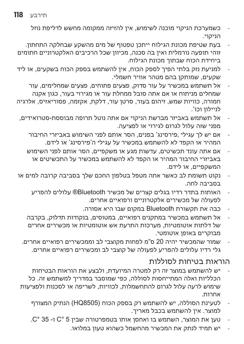- כשמערכת הניקוי מוכנה לשימוש, אין להזיזה ממקומה מחשש לדליפת נוזל הניקוי.
- בעת שטיפת מכונת הגילוח ייתכן טפטוף של מים מהשקע שבחלקה התחתון. זוהי תופעה נורמלית ואין בה סכנה, מכיוון שכל הרכיבים האלקטרוניים חתומים ביחידת הכוח שבתוך מכונת הגילוח.
- למניעת נזק בלתי הפיך לספק הכוח, אין להשתמש בספק הכוח בשקעים, או ליד שקעים, שמותקן בהם מטהר אוויר חשמלי.
- אל תשתמש במכשיר על עור סדוק, פצעים פתוחים, פצעים שמחלימים, עור שמחלים מניתוח או אם אתה סובל ממחלת עור או מגירוי בעור, כגון אקנה חמורה, כוויות שמש, זיהום בעור, סרטן עור, דלקת, אקזמה, פסוריאזיס, אלרגיה לניילון וכו'.
	- אל תשתמש באביזר מברשת הניקוי אם אתה נוטל תרופה מבוססת-סטרואידים, מפני שזה עלול לגרום לגירוי או לפציעה.
		- אם יש לך עגילי ,פירסינג' בפנים, הסר אותם לפני השימוש באביזרי החיבור המהיר או הקפד לא להשתמש במכשיר על עגילי ה'פירסינג' או לידם.
		- אם אתה עונד תכשיטים, עדשות מגע או משקפיים, הסר אותם לפני השימוש באביזרי החיבור המהיר או הקפד לא להשתמש במכשיר על התכשיטים או המשקפיים, או לידם.
- נקוט תשומת לב כאשר אתה מטפל בטלפון החכם שלך בסביבה קרובה למים או בסביבה לחה.
	- האותות בתדר רדיו בגלים קצרים של מכשיר Bluetooth ®עלולים להפריע לפעולה של מכשירים אלקטרוניים ורפואיים אחרים.
		- כבה את תקשורת Bluetooth במקום שבו היא אסורה.
	- אל תשתמש במכשיר במתקנים רפואיים, במטוסים, בנקודות תדלוק, בקרבה של דלתות אוטומטיות, מערכות התרעת אש אוטומטיות או מכשירים אחרים מבוקרים באופן אוטומטי.
	- שמור שהמכשיר יהיה 20 ס"מ לפחות מקוצבי לב וממכשירים רפואיים אחרים. גלי רדיו עלולים להפריע לפעולה של קוצבי לב ומכשירים רפואיים אחרים.

#### הוראות בטיחות לסוללות

- יש להשתמש במוצר זה רק למטרה המיועדת, ולבצע את הוראות הבטיחות הכלליות ואלה המתייחסות לסוללה, כפי שמוסבר במדריך למשתמש זה. כל שימוש לרעה עלול לגרום להתחשמלות, לכוויות, לשריפה או לסכנות ולפציעות אחרות.
	- לטעינת הסוללה, יש להשתמש רק בספק הכוח )8505HQ )הנתיק המצורף למוצר. אין להשתמש בכבל מאריך.
	- טען את המוצר, השתמש בו ואחסן אותו בטמפרטורה שבין 5 °C ו- 35 °C.
		- יש תמיד לנתק את המכשיר מהחשמל כשהוא טעון במלואו.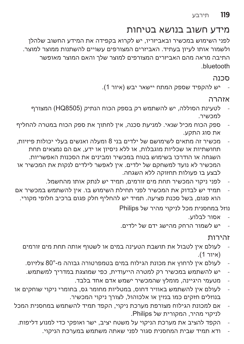#### **119** תירבע

### מידע חשוב בנושא בטיחות

לפני השימוש במכשיר ובאביזריו, יש לקרוא בקפידה את המידע החשוב שלהלן ולשמור אותו לעיון בעתיד. האביזרים המצורפים עשויים להשתנות ממוצר למוצר. התיבה מראה מהם האביזרים המצורפים למוצר שלך והאם המוצר מאופשר .bluetooth

#### סכנה

יש להקפיד שספק המתח יישאר יבש (איור 1).

#### אזהרה

- לטעינת הסוללה, יש להשתמש רק בספק הכוח הנתיק )8505HQ )המצורף למכשיר.
- ספק הכוח מכיל שנאי. למניעת סכנה, אין לחתוך את ספק הכוח במטרה להחליף את סוג התקע.
- מכשיר זה מתאים לשימושם של ילדים בני 8 ומעלה ואנשים בעלי יכולות פיזיות, תחושתיות או שכליות מוגבלות, או ללא ניסיון או ידע, אם הם נמצאים תחת השגחה או הודרכו בשימוש בטוח במכשיר ומבינים את הסכנות האפשריות. המכשיר לא נועד למשחקם של ילדים. אין לאפשר לילדים לנקות את המכשיר או לבצע בו פעולות תחזוקה ללא השגחה.
	- לפני ניקוי המכשיר תחת מים זורמים, תמיד יש לנתק אותו מהחשמל.
- תמיד יש לבדוק את המכשיר לפני תחילת השימוש בו. אין להשתמש במכשיר אם הוא פגום, בשל סכנת פציעה. תמיד יש להחליף חלק פגום ברכיב חלופי מקורי.

נוזל במחסנית מכל לניקוי מהיר של Philips

- אסור לבלוע.
- יש לשמור הרחק מהישג ידם של ילדים.

#### זהירות

- לעולם אין לטבול את תושבת הטעינה במים או לשטוף אותה תחת מים זורמים )איור 1(.
	- לעולם אין לרחוץ את מכונת הגילוח במים בטמפרטורה גבוהה מ80°- צלזיוס.
	- יש להשתמש במכשיר רק למטרה הייעודית, כפי שמוצגת במדריך למשתמש.
		- מטעמי היגיינה, מומלץ שהמכשיר ישמש אדם אחד בלבד.
- לעולם אין להשתמש באוויר דחוס, במטליות מחומר גס, בחומרי ניקוי שוחקים או בנוזלים חזקים כמו בנזין או אלכוהול, לצורך ניקוי המכשיר.
- אם למכונת הגילוח מצורפת מערכת ניקוי, הקפד תמיד להשתמש במחסנית המכל לניקוי מהיר, המקורית של Philips.
	- הקפד להציב את מערכת הניקוי על משטח יציב, ישר ואופקי כדי למנוע דליפות.
		- ודא תמיד שבית המחסנית סגור לפני שאתה משתמש במערכת הניקוי.